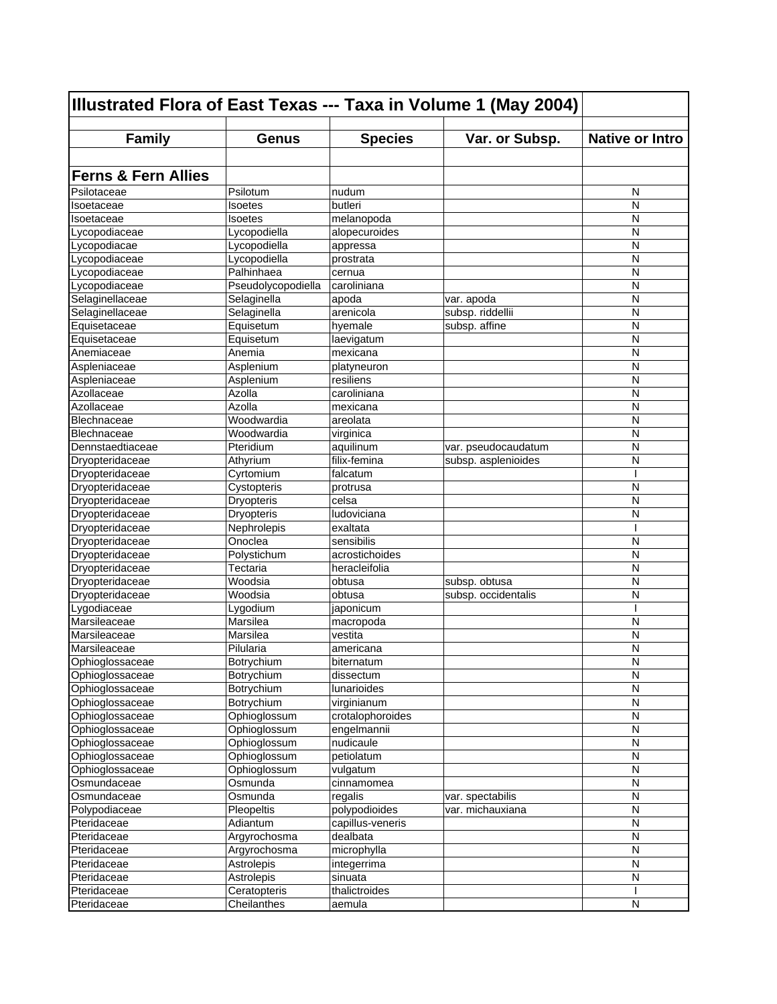| Illustrated Flora of East Texas --- Taxa in Volume 1 (May 2004) |                    |                  |                     |                        |
|-----------------------------------------------------------------|--------------------|------------------|---------------------|------------------------|
| <b>Family</b>                                                   | <b>Genus</b>       | <b>Species</b>   | Var. or Subsp.      | <b>Native or Intro</b> |
|                                                                 |                    |                  |                     |                        |
|                                                                 |                    |                  |                     |                        |
| <b>Ferns &amp; Fern Allies</b>                                  |                    |                  |                     |                        |
| Psilotaceae                                                     | Psilotum           | nudum            |                     | N                      |
| Isoetaceae                                                      | Isoetes            | butleri          |                     | N                      |
| Isoetaceae                                                      | Isoetes            | melanopoda       |                     | N                      |
| Lvcopodiaceae                                                   | Lycopodiella       | alopecuroides    |                     | N                      |
| Lycopodiacae                                                    | Lycopodiella       | appressa         |                     | N                      |
| Lycopodiaceae                                                   | Lycopodiella       | prostrata        |                     | N                      |
| Lycopodiaceae                                                   | Palhinhaea         | cernua           |                     | N                      |
| Lycopodiaceae                                                   | Pseudolycopodiella | caroliniana      |                     | N                      |
| Selaginellaceae                                                 | Selaginella        | apoda            | var. apoda          | N                      |
| Selaginellaceae                                                 | Selaginella        | arenicola        | subsp. riddellii    | N                      |
| Equisetaceae                                                    | Equisetum          | hyemale          | subsp. affine       | N                      |
| Equisetaceae                                                    | Equisetum          | laevigatum       |                     | N                      |
| Anemiaceae                                                      | Anemia             | mexicana         |                     | N                      |
| Aspleniaceae                                                    | Asplenium          | platyneuron      |                     | N                      |
| Aspleniaceae                                                    | Asplenium          | resiliens        |                     | N                      |
| Azollaceae                                                      | Azolla             | caroliniana      |                     | N                      |
| Azollaceae                                                      | Azolla             | mexicana         |                     | N                      |
| Blechnaceae                                                     | Woodwardia         | areolata         |                     | N                      |
| Blechnaceae                                                     | Woodwardia         | virginica        |                     | N                      |
| Dennstaedtiaceae                                                | Pteridium          | aquilinum        | var. pseudocaudatum | N                      |
| Dryopteridaceae                                                 | Athyrium           | filix-femina     | subsp. asplenioides | N                      |
| Dryopteridaceae                                                 | Cyrtomium          | falcatum         |                     | ı                      |
| Dryopteridaceae                                                 | Cystopteris        | protrusa         |                     | N                      |
| Dryopteridaceae                                                 | Dryopteris         | celsa            |                     | N                      |
| Dryopteridaceae                                                 | <b>Dryopteris</b>  | ludoviciana      |                     | N                      |
| Dryopteridaceae                                                 | Nephrolepis        | exaltata         |                     | ı                      |
| Dryopteridaceae                                                 | Onoclea            | sensibilis       |                     | N                      |
| Dryopteridaceae                                                 | Polystichum        | acrostichoides   |                     | N                      |
| Dryopteridaceae                                                 | Tectaria           | heracleifolia    |                     | N                      |
| Dryopteridaceae                                                 | Woodsia            | obtusa           | subsp. obtusa       | N                      |
| Dryopteridaceae                                                 | Woodsia            | obtusa           | subsp. occidentalis | N                      |
| Lygodiaceae                                                     | Lygodium           | japonicum        |                     | ı                      |
| Marsileaceae                                                    | Marsilea           | macropoda        |                     | N                      |
| Marsileaceae                                                    | Marsilea           | vestita          |                     | N                      |
| Marsileaceae                                                    | Pilularia          | americana        |                     | N                      |
| Ophioglossaceae                                                 | Botrychium         | biternatum       |                     | N                      |
| Ophioglossaceae                                                 | Botrychium         | dissectum        |                     | N                      |
| Ophioglossaceae                                                 | Botrychium         | lunarioides      |                     | N                      |
| Ophioglossaceae                                                 | Botrychium         | virginianum      |                     | $\mathsf{N}$           |
| Ophioglossaceae                                                 | Ophioglossum       | crotalophoroides |                     | N                      |
| Ophioglossaceae                                                 | Ophioglossum       | engelmannii      |                     | N                      |
| Ophioglossaceae                                                 | Ophioglossum       | nudicaule        |                     | N                      |
| Ophioglossaceae                                                 | Ophioglossum       | petiolatum       |                     | ${\sf N}$              |
| Ophioglossaceae                                                 | Ophioglossum       | vulgatum         |                     | N                      |
| Osmundaceae                                                     | Osmunda            | cinnamomea       |                     | N                      |
| Osmundaceae                                                     | Osmunda            | regalis          | var. spectabilis    | N                      |
| Polypodiaceae                                                   | Pleopeltis         | polypodioides    | var. michauxiana    | N                      |
| Pteridaceae                                                     | Adiantum           | capillus-veneris |                     | N                      |
| Pteridaceae                                                     | Argyrochosma       | dealbata         |                     | $\mathsf{N}$           |
| Pteridaceae                                                     | Argyrochosma       | microphylla      |                     | N                      |
| Pteridaceae                                                     | Astrolepis         | integerrima      |                     | N                      |
| Pteridaceae                                                     | Astrolepis         | sinuata          |                     | N                      |
| Pteridaceae                                                     | Ceratopteris       | thalictroides    |                     |                        |
| Pteridaceae                                                     | Cheilanthes        | aemula           |                     | N                      |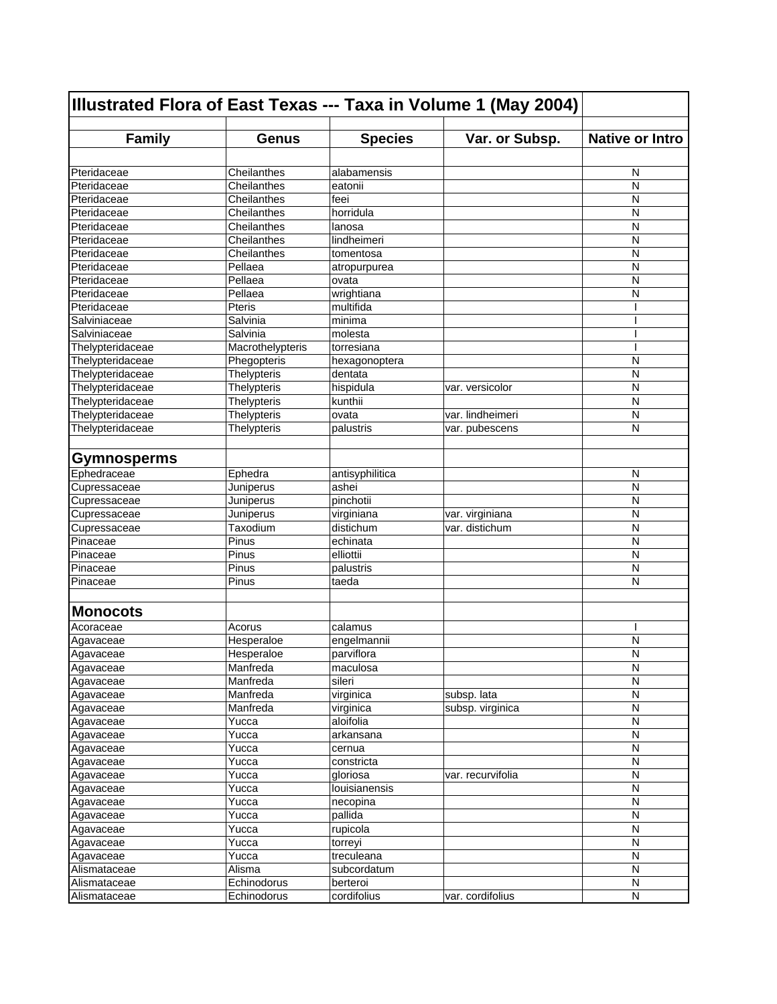| Illustrated Flora of East Texas --- Taxa in Volume 1 (May 2004) |                        |                         |                   |                        |
|-----------------------------------------------------------------|------------------------|-------------------------|-------------------|------------------------|
| <b>Family</b>                                                   | <b>Genus</b>           | <b>Species</b>          | Var. or Subsp.    | <b>Native or Intro</b> |
|                                                                 |                        |                         |                   |                        |
| Pteridaceae                                                     | Cheilanthes            | alabamensis             |                   | N                      |
| Pteridaceae                                                     | Cheilanthes            | eatonii                 |                   | N                      |
| Pteridaceae                                                     | Cheilanthes            | feei                    |                   | N                      |
| Pteridaceae                                                     | Cheilanthes            | horridula               |                   | N                      |
| Pteridaceae                                                     | Cheilanthes            | lanosa                  |                   | N                      |
| Pteridaceae                                                     | Cheilanthes            | lindheimeri             |                   | N                      |
| Pteridaceae                                                     | Cheilanthes            | tomentosa               |                   | N                      |
| Pteridaceae                                                     | Pellaea                | atropurpurea            |                   | N                      |
| Pteridaceae                                                     | Pellaea                | ovata                   |                   | N                      |
| Pteridaceae                                                     | Pellaea                | wrightiana              |                   | N                      |
| Pteridaceae                                                     | Pteris                 | multifida               |                   |                        |
| Salviniaceae                                                    | Salvinia               | minima                  |                   |                        |
| Salviniaceae                                                    | Salvinia               | molesta                 |                   |                        |
| Thelypteridaceae                                                | Macrothelypteris       | torresiana              |                   |                        |
| Thelypteridaceae                                                | Phegopteris            | hexagonoptera           |                   | N                      |
| Thelypteridaceae                                                | Thelypteris            | dentata                 |                   | N                      |
| Thelypteridaceae                                                | <b>Thelypteris</b>     | hispidula               | var. versicolor   | N                      |
| Thelypteridaceae                                                | Thelypteris            | kunthii                 |                   | N                      |
| Thelypteridaceae                                                | Thelypteris            | ovata                   | var. lindheimeri  | N                      |
| Thelypteridaceae                                                | Thelypteris            | palustris               | var. pubescens    | N                      |
|                                                                 |                        |                         |                   |                        |
| <b>Gymnosperms</b>                                              |                        |                         |                   |                        |
| Ephedraceae                                                     | Ephedra                | antisyphilitica         |                   | N                      |
| Cupressaceae                                                    | Juniperus              | ashei                   |                   | N                      |
| Cupressaceae                                                    | Juniperus              | pinchotii               |                   | N                      |
| Cupressaceae                                                    | Juniperus              | virginiana              | var. virginiana   | N                      |
| Cupressaceae                                                    | Taxodium               | distichum               | var. distichum    | N                      |
| Pinaceae                                                        | Pinus                  | echinata                |                   | N                      |
| Pinaceae                                                        | Pinus                  | elliottii               |                   | N                      |
| Pinaceae                                                        | Pinus                  | palustris               |                   | N                      |
| Pinaceae                                                        | Pinus                  | taeda                   |                   | N                      |
| <b>Monocots</b>                                                 |                        |                         |                   |                        |
| Acoraceae                                                       | Acorus                 | calamus                 |                   | ı                      |
| Agavaceae                                                       | Hesperaloe             | engelmannii             |                   | N                      |
| Agavaceae                                                       | Hesperaloe             | parviflora              |                   | N                      |
| Agavaceae                                                       | Manfreda               | maculosa                |                   | N                      |
| Agavaceae                                                       | Manfreda               | sileri                  |                   | N                      |
| Agavaceae                                                       | Manfreda               | virginica               | subsp. lata       | N                      |
| Agavaceae                                                       | Manfreda               | virginica               | subsp. virginica  | N                      |
| Agavaceae                                                       | Yucca                  | aloifolia               |                   | N                      |
| Agavaceae                                                       | Yucca                  | arkansana               |                   | N                      |
| Agavaceae                                                       | Yucca                  | cernua                  |                   | N                      |
| Agavaceae                                                       | Yucca                  | constricta              |                   | N                      |
| Agavaceae                                                       | Yucca                  | gloriosa                | var. recurvifolia | N                      |
| Agavaceae                                                       | Yucca                  | louisianensis           |                   | N                      |
| Agavaceae                                                       | Yucca                  | necopina                |                   | $\mathsf{N}$           |
| Agavaceae                                                       | Yucca                  | pallida                 |                   | N                      |
| Agavaceae                                                       | Yucca                  | rupicola                |                   | N                      |
| Agavaceae                                                       | Yucca                  | torreyi                 |                   | N                      |
| Agavaceae<br>Alismataceae                                       | Yucca<br><b>Alisma</b> | treculeana              |                   | N<br>N                 |
|                                                                 | Echinodorus            | subcordatum<br>berteroi |                   |                        |
| Alismataceae<br>Alismataceae                                    | Echinodorus            | cordifolius             | var. cordifolius  | N<br>N                 |
|                                                                 |                        |                         |                   |                        |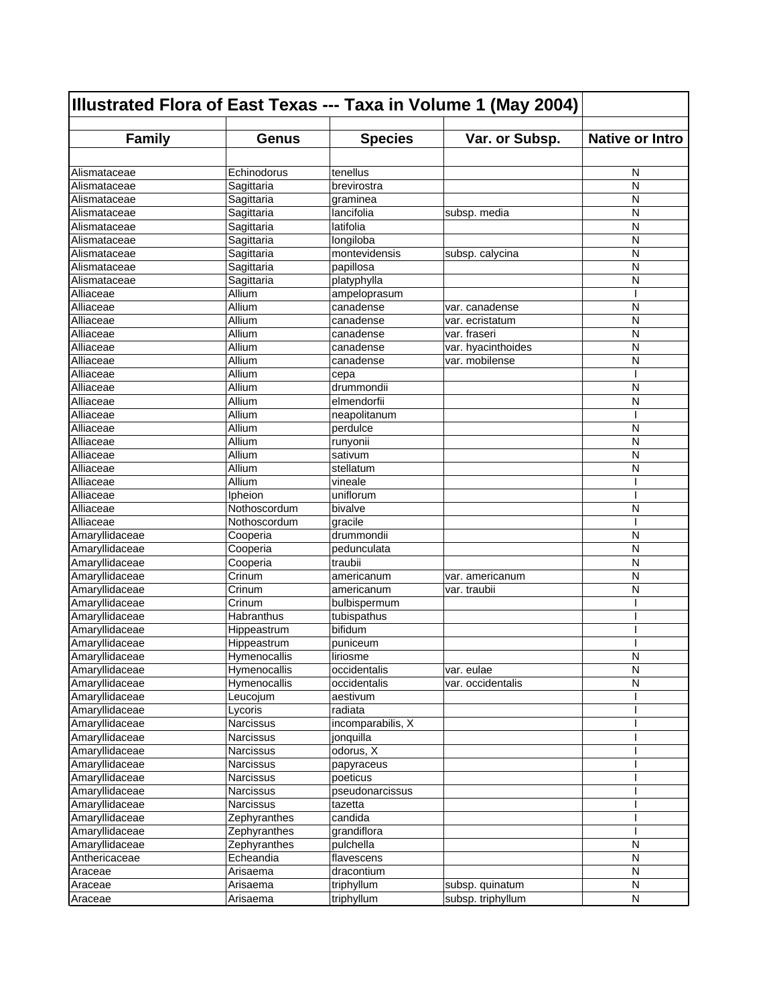| Illustrated Flora of East Texas --- Taxa in Volume 1 (May 2004) |                  |                   |                    |                        |
|-----------------------------------------------------------------|------------------|-------------------|--------------------|------------------------|
| <b>Family</b>                                                   | <b>Genus</b>     | <b>Species</b>    | Var. or Subsp.     | <b>Native or Intro</b> |
|                                                                 |                  |                   |                    |                        |
| Alismataceae                                                    | Echinodorus      | tenellus          |                    | N                      |
| Alismataceae                                                    | Sagittaria       | brevirostra       |                    | N                      |
| Alismataceae                                                    | Sagittaria       | graminea          |                    | N                      |
| Alismataceae                                                    | Sagittaria       | lancifolia        | subsp. media       | N                      |
| Alismataceae                                                    | Sagittaria       | latifolia         |                    | N                      |
| Alismataceae                                                    | Sagittaria       | longiloba         |                    | N                      |
| Alismataceae                                                    | Sagittaria       | montevidensis     | subsp. calycina    | N                      |
| Alismataceae                                                    | Sagittaria       | papillosa         |                    | N                      |
| Alismataceae                                                    | Sagittaria       | platyphylla       |                    | N                      |
| Alliaceae                                                       | Allium           | ampeloprasum      |                    | ı                      |
| Alliaceae                                                       | Allium           | canadense         | var. canadense     | N                      |
| Alliaceae                                                       | Allium           | canadense         | var. ecristatum    | N                      |
| Alliaceae                                                       | Allium           | canadense         | var. fraseri       | N                      |
| Alliaceae                                                       | Allium           | canadense         | var. hyacinthoides | N                      |
| Alliaceae                                                       | Allium           | canadense         | var. mobilense     | N                      |
| Alliaceae                                                       | Allium           | cepa              |                    | ı                      |
| Alliaceae                                                       | Allium           | drummondii        |                    | N                      |
| Alliaceae                                                       | Allium           | elmendorfii       |                    | N                      |
| Alliaceae                                                       | Allium           | neapolitanum      |                    | ı                      |
| Alliaceae                                                       | Allium           | perdulce          |                    | N                      |
| Alliaceae                                                       | Allium           | runyonii          |                    | N                      |
| Alliaceae                                                       | Allium           | sativum           |                    | N                      |
| Alliaceae                                                       | Allium           | stellatum         |                    | N                      |
| Alliaceae                                                       | Allium           | vineale           |                    | ı                      |
| Alliaceae                                                       | Ipheion          | uniflorum         |                    |                        |
| Alliaceae                                                       | Nothoscordum     | bivalve           |                    | N                      |
| Alliaceae                                                       | Nothoscordum     | gracile           |                    |                        |
| Amaryllidaceae                                                  | Cooperia         | drummondii        |                    | N                      |
| Amaryllidaceae                                                  | Cooperia         | pedunculata       |                    | N                      |
| Amaryllidaceae                                                  | Cooperia         | traubii           |                    | N                      |
| Amaryllidaceae                                                  | Crinum           | americanum        | var. americanum    | N                      |
| Amaryllidaceae                                                  | Crinum           | americanum        | var. traubii       | N                      |
| Amaryllidaceae                                                  | Crinum           | bulbispermum      |                    |                        |
| Amaryllidaceae                                                  | Habranthus       | tubispathus       |                    |                        |
| Amaryllidaceae                                                  | Hippeastrum      | bifidum           |                    |                        |
| Amaryllidaceae                                                  | Hippeastrum      | puniceum          |                    |                        |
| Amaryllidaceae                                                  | Hymenocallis     | liriosme          |                    | N                      |
| Amaryllidaceae                                                  | Hymenocallis     | occidentalis      | var. eulae         | N                      |
| Amaryllidaceae                                                  | Hymenocallis     | occidentalis      | var. occidentalis  | N                      |
| Amaryllidaceae                                                  | Leucojum         | aestivum          |                    |                        |
| Amaryllidaceae                                                  | Lycoris          | radiata           |                    |                        |
| Amaryllidaceae                                                  | <b>Narcissus</b> | incomparabilis, X |                    |                        |
| Amaryllidaceae                                                  | Narcissus        | jonquilla         |                    |                        |
| Amaryllidaceae                                                  | Narcissus        | odorus, X         |                    |                        |
| Amaryllidaceae                                                  | Narcissus        | papyraceus        |                    |                        |
| Amaryllidaceae                                                  | Narcissus        | poeticus          |                    |                        |
| Amaryllidaceae                                                  | Narcissus        | pseudonarcissus   |                    |                        |
| Amaryllidaceae                                                  | Narcissus        | tazetta           |                    |                        |
| Amaryllidaceae                                                  | Zephyranthes     | candida           |                    |                        |
| Amaryllidaceae                                                  | Zephyranthes     | grandiflora       |                    |                        |
| Amaryllidaceae                                                  | Zephyranthes     | pulchella         |                    | Ν                      |
| Anthericaceae                                                   | Echeandia        | flavescens        |                    | N                      |
| Araceae                                                         | Arisaema         | dracontium        |                    | N                      |
| Araceae                                                         | Arisaema         | triphyllum        | subsp. quinatum    | N                      |
| Araceae                                                         | Arisaema         | triphyllum        | subsp. triphyllum  | N                      |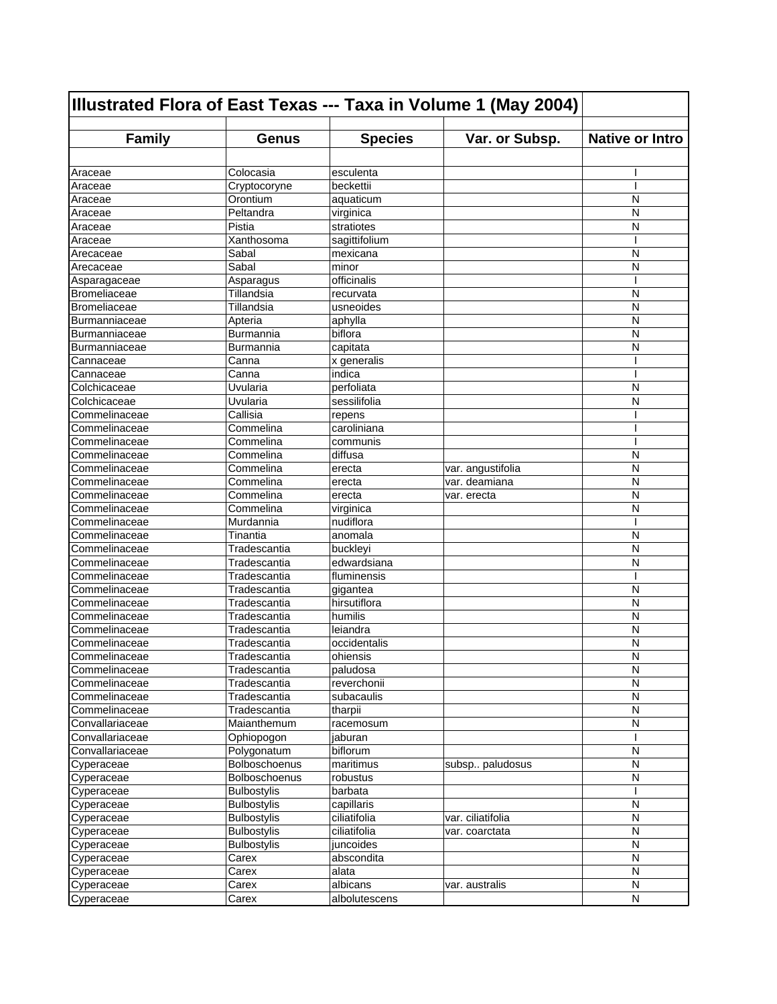| Illustrated Flora of East Texas --- Taxa in Volume 1 (May 2004) |                      |                |                   |                        |
|-----------------------------------------------------------------|----------------------|----------------|-------------------|------------------------|
| <b>Family</b>                                                   | Genus                | <b>Species</b> | Var. or Subsp.    | <b>Native or Intro</b> |
|                                                                 |                      |                |                   |                        |
| Araceae                                                         | Colocasia            | esculenta      |                   |                        |
| Araceae                                                         | Cryptocoryne         | beckettii      |                   | I                      |
| Araceae                                                         | Orontium             | aquaticum      |                   | N                      |
| Araceae                                                         | Peltandra            | virginica      |                   | N                      |
| Araceae                                                         | Pistia               | stratiotes     |                   | N                      |
| Araceae                                                         | Xanthosoma           | sagittifolium  |                   | ı                      |
| Arecaceae                                                       | Sabal                | mexicana       |                   | N                      |
| Arecaceae                                                       | Sabal                | minor          |                   | N                      |
| Asparagaceae                                                    | Asparagus            | officinalis    |                   | ı                      |
| Bromeliaceae                                                    | Tillandsia           | recurvata      |                   | N                      |
| Bromeliaceae                                                    | Tillandsia           | usneoides      |                   | N                      |
| Burmanniaceae                                                   | Apteria              | aphylla        |                   | N                      |
| <b>Burmanniaceae</b>                                            | Burmannia            | biflora        |                   | N                      |
| Burmanniaceae                                                   | Burmannia            | capitata       |                   | N                      |
| Cannaceae                                                       | Canna                | x generalis    |                   |                        |
| Cannaceae                                                       | Canna                | indica         |                   |                        |
|                                                                 | Uvularia             | perfoliata     |                   | N                      |
| Colchicaceae                                                    |                      |                |                   | N                      |
| Colchicaceae                                                    | Uvularia<br>Callisia | sessilifolia   |                   |                        |
| Commelinaceae                                                   |                      | repens         |                   |                        |
| Commelinaceae                                                   | Commelina            | caroliniana    |                   |                        |
| Commelinaceae                                                   | Commelina            | communis       |                   |                        |
| Commelinaceae                                                   | Commelina            | diffusa        |                   | N                      |
| Commelinaceae                                                   | Commelina            | erecta         | var. angustifolia | N                      |
| Commelinaceae                                                   | Commelina            | erecta         | var. deamiana     | N                      |
| Commelinaceae                                                   | Commelina            | erecta         | var. erecta       | N                      |
| Commelinaceae                                                   | Commelina            | virginica      |                   | N                      |
| Commelinaceae                                                   | Murdannia            | nudiflora      |                   |                        |
| Commelinaceae                                                   | Tinantia             | anomala        |                   | N                      |
| Commelinaceae                                                   | Tradescantia         | buckleyi       |                   | N                      |
| Commelinaceae                                                   | Tradescantia         | edwardsiana    |                   | N                      |
| Commelinaceae                                                   | Tradescantia         | fluminensis    |                   | ı                      |
| Commelinaceae                                                   | Tradescantia         | gigantea       |                   | N                      |
| Commelinaceae                                                   | Tradescantia         | hirsutiflora   |                   | N                      |
| Commelinaceae                                                   | Tradescantia         | humilis        |                   | N                      |
| Commelinaceae                                                   | Tradescantia         | leiandra       |                   | N                      |
| Commelinaceae                                                   | Tradescantia         | occidentalis   |                   | N                      |
| Commelinaceae                                                   | Tradescantia         | ohiensis       |                   | N                      |
| Commelinaceae                                                   | Tradescantia         | paludosa       |                   | N                      |
| Commelinaceae                                                   | Tradescantia         | reverchonii    |                   | N                      |
| Commelinaceae                                                   | Tradescantia         | subacaulis     |                   | N                      |
| Commelinaceae                                                   | Tradescantia         | tharpii        |                   | N                      |
| Convallariaceae                                                 | Maianthemum          | racemosum      |                   | N                      |
| Convallariaceae                                                 | Ophiopogon           | jaburan        |                   |                        |
| Convallariaceae                                                 | Polygonatum          | biflorum       |                   | N                      |
| Cyperaceae                                                      | Bolboschoenus        | maritimus      | subsp paludosus   | N                      |
| Cyperaceae                                                      | Bolboschoenus        | robustus       |                   | N                      |
| Cyperaceae                                                      | <b>Bulbostylis</b>   | barbata        |                   |                        |
| Cyperaceae                                                      | <b>Bulbostylis</b>   | capillaris     |                   | N                      |
| Cyperaceae                                                      | <b>Bulbostylis</b>   | ciliatifolia   | var. ciliatifolia | N                      |
| Cyperaceae                                                      | <b>Bulbostylis</b>   | ciliatifolia   | var. coarctata    | N                      |
| Cyperaceae                                                      | <b>Bulbostylis</b>   | juncoides      |                   | N                      |
| Cyperaceae                                                      | Carex                | abscondita     |                   | N                      |
| Cyperaceae                                                      | Carex                | alata          |                   | N                      |
| Cyperaceae                                                      | Carex                | albicans       | var. australis    | N                      |
| Cyperaceae                                                      | Carex                | albolutescens  |                   | N                      |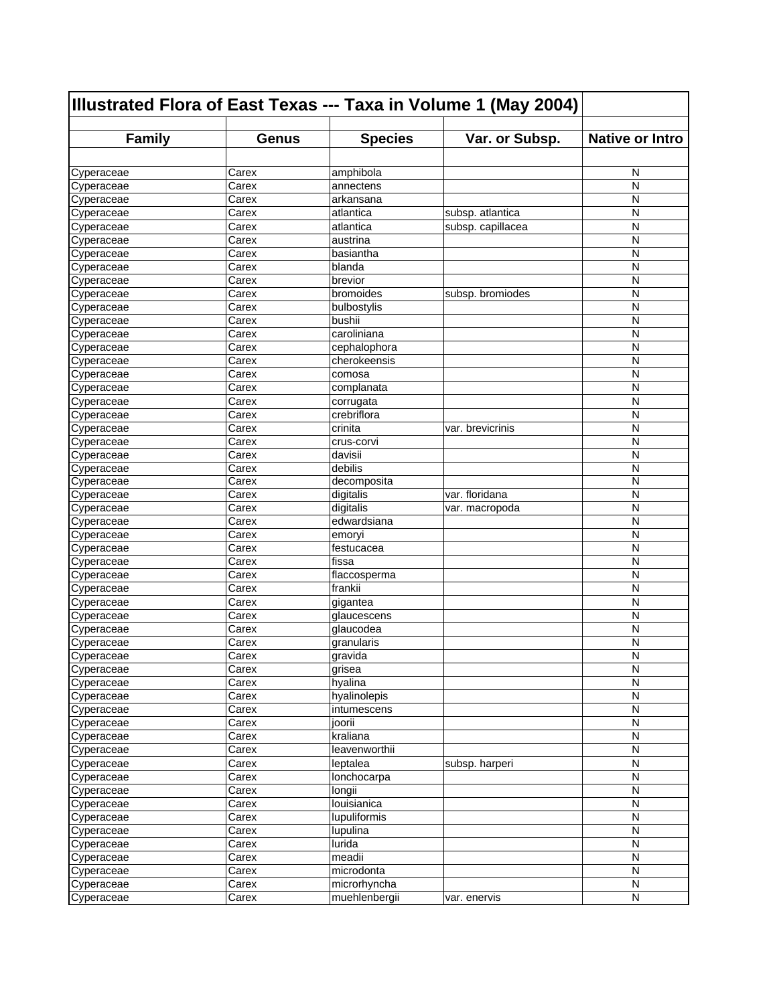| Illustrated Flora of East Texas --- Taxa in Volume 1 (May 2004) |                |                     |                   |                        |
|-----------------------------------------------------------------|----------------|---------------------|-------------------|------------------------|
| <b>Family</b>                                                   | <b>Genus</b>   | <b>Species</b>      | Var. or Subsp.    | <b>Native or Intro</b> |
|                                                                 |                |                     |                   |                        |
| Cyperaceae                                                      | Carex          | amphibola           |                   | N                      |
| Cyperaceae                                                      | Carex          | annectens           |                   | N                      |
| Cyperaceae                                                      | Carex          | arkansana           |                   | N                      |
| Cyperaceae                                                      | Carex          | atlantica           | subsp. atlantica  | N                      |
| Cyperaceae                                                      | Carex          | atlantica           | subsp. capillacea | N                      |
| Cyperaceae                                                      | Carex          | austrina            |                   | N                      |
| Cyperaceae                                                      | Carex          | basiantha           |                   | N                      |
| Cyperaceae                                                      | Carex          | blanda              |                   | N                      |
| Cyperaceae                                                      | Carex          | brevior             |                   | N                      |
| Cyperaceae                                                      | Carex          | bromoides           | subsp. bromiodes  | N                      |
| Cyperaceae                                                      | Carex          | bulbostylis         |                   | N                      |
| Cyperaceae                                                      | Carex          | bushii              |                   | N                      |
| Cyperaceae                                                      | Carex          | caroliniana         |                   | N                      |
| Cyperaceae                                                      | Carex          | cephalophora        |                   | N                      |
| Cyperaceae                                                      | Carex          | cherokeensis        |                   | N                      |
| Cyperaceae                                                      | Carex          | comosa              |                   | N                      |
| Cyperaceae                                                      | Carex          | complanata          |                   | N                      |
| Cyperaceae                                                      | Carex          | corrugata           |                   | N                      |
| Cyperaceae                                                      | Carex          | crebriflora         |                   | N                      |
| Cyperaceae                                                      | Carex          | crinita             | var. brevicrinis  | N                      |
| Cyperaceae                                                      | Carex          | crus-corvi          |                   | N                      |
| Cyperaceae                                                      | Carex          | davisii             |                   | N                      |
| Cyperaceae                                                      | Carex          | debilis             |                   | N                      |
| Cyperaceae                                                      | Carex          | decomposita         |                   | N                      |
| Cyperaceae                                                      | Carex          | digitalis           | var. floridana    | N                      |
| Cyperaceae                                                      | Carex          | digitalis           | var. macropoda    | N                      |
| Cyperaceae                                                      | Carex          | edwardsiana         |                   | N<br>N                 |
| Cyperaceae                                                      | Carex          | emoryi              |                   | N                      |
| Cyperaceae<br>Cyperaceae                                        | Carex<br>Carex | festucacea<br>fissa |                   | N                      |
| Cyperaceae                                                      | Carex          | flaccosperma        |                   | N                      |
| Cyperaceae                                                      | Carex          | frankii             |                   | N                      |
| Cyperaceae                                                      | Carex          | gigantea            |                   | N                      |
| Cyperaceae                                                      | Carex          | glaucescens         |                   | N                      |
| Cyperaceae                                                      | Carex          | glaucodea           |                   | N                      |
| Cyperaceae                                                      | Carex          | granularis          |                   | N                      |
| Cyperaceae                                                      | Carex          | gravida             |                   | N                      |
| Cyperaceae                                                      | Carex          | grisea              |                   | ${\sf N}$              |
| Cyperaceae                                                      | Carex          | hyalina             |                   | N                      |
| Cyperaceae                                                      | Carex          | hyalinolepis        |                   | N                      |
| Cyperaceae                                                      | Carex          | intumescens         |                   | N                      |
| Cyperaceae                                                      | Carex          | joorii              |                   | N                      |
| Cyperaceae                                                      | Carex          | kraliana            |                   | N                      |
| Cyperaceae                                                      | Carex          | leavenworthii       |                   | N                      |
| Cyperaceae                                                      | Carex          | leptalea            | subsp. harperi    | N                      |
| Cyperaceae                                                      | Carex          | lonchocarpa         |                   | N                      |
| Cyperaceae                                                      | Carex          | longii              |                   | N                      |
| Cyperaceae                                                      | Carex          | louisianica         |                   | N                      |
| Cyperaceae                                                      | Carex          | lupuliformis        |                   | $\mathsf{N}$           |
| Cyperaceae                                                      | Carex          | lupulina            |                   | N                      |
| Cyperaceae                                                      | Carex          | lurida              |                   | N                      |
| Cyperaceae                                                      | Carex          | meadii              |                   | N                      |
| Cyperaceae                                                      | Carex          | microdonta          |                   | N                      |
| Cyperaceae                                                      | Carex          | microrhyncha        |                   | N                      |
| Cyperaceae                                                      | Carex          | muehlenbergii       | var. enervis      | N                      |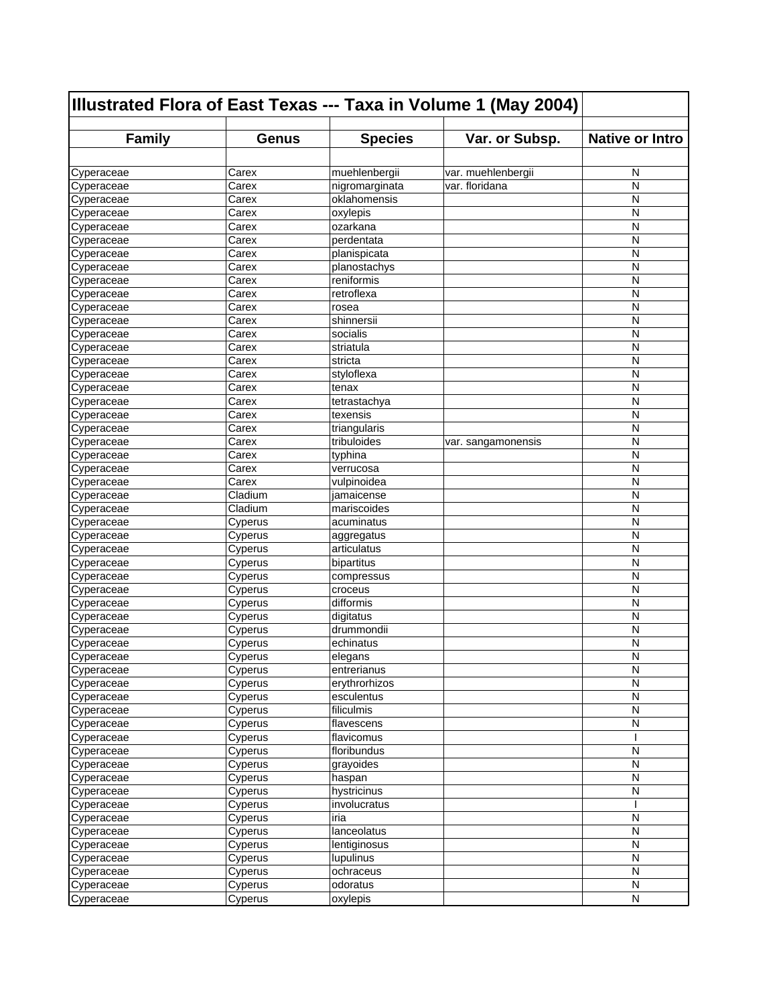| Illustrated Flora of East Texas --- Taxa in Volume 1 (May 2004) |                    |                             |                    |                        |
|-----------------------------------------------------------------|--------------------|-----------------------------|--------------------|------------------------|
| <b>Family</b>                                                   | <b>Genus</b>       | <b>Species</b>              | Var. or Subsp.     | <b>Native or Intro</b> |
|                                                                 |                    |                             |                    |                        |
| Cyperaceae                                                      | Carex              | muehlenbergii               | var. muehlenbergii | N                      |
| Cyperaceae                                                      | Carex              | nigromarginata              | var. floridana     | N                      |
| Cyperaceae                                                      | Carex              | oklahomensis                |                    | N                      |
| Cyperaceae                                                      | Carex              | oxylepis                    |                    | N                      |
| Cyperaceae                                                      | Carex              | ozarkana                    |                    | N                      |
| Cyperaceae                                                      | Carex              | perdentata                  |                    | N                      |
| Cyperaceae                                                      | Carex              | planispicata                |                    | N                      |
| Cyperaceae                                                      | Carex              | planostachys                |                    | N                      |
| Cyperaceae                                                      | Carex              | reniformis                  |                    | N                      |
| Cyperaceae                                                      | Carex              | retroflexa                  |                    | N                      |
| Cyperaceae                                                      | Carex              | rosea                       |                    | N                      |
| Cyperaceae                                                      | Carex              | shinnersii                  |                    | N                      |
| Cyperaceae                                                      | Carex              | socialis                    |                    | N                      |
| Cyperaceae                                                      | Carex              | striatula                   |                    | N                      |
| Cyperaceae                                                      | Carex              | stricta                     |                    | N                      |
| Cyperaceae                                                      | Carex              | styloflexa                  |                    | N                      |
| Cyperaceae                                                      | Carex              | tenax                       |                    | N                      |
| Cyperaceae                                                      | Carex              | tetrastachya                |                    | N                      |
| Cyperaceae                                                      | Carex              | texensis                    |                    | N                      |
| Cyperaceae                                                      | Carex              | triangularis                |                    | N                      |
| Cyperaceae                                                      | Carex              | tribuloides                 | var. sangamonensis | N                      |
| Cyperaceae                                                      | Carex              | typhina                     |                    | N                      |
| Cyperaceae                                                      | Carex              | verrucosa                   |                    | N                      |
| Cyperaceae                                                      | Carex              | vulpinoidea                 |                    | N                      |
| Cyperaceae                                                      | Cladium            | jamaicense                  |                    | N                      |
| Cyperaceae                                                      | Cladium            | mariscoides                 |                    | N                      |
| Cyperaceae                                                      | Cyperus            | acuminatus                  |                    | N                      |
| Cyperaceae                                                      | Cyperus            | aggregatus                  |                    | N                      |
| Cyperaceae                                                      | Cyperus            | articulatus                 |                    | N                      |
| Cyperaceae                                                      | Cyperus            | bipartitus                  |                    | N                      |
| Cyperaceae                                                      | Cyperus            | compressus                  |                    | N                      |
| Cyperaceae                                                      | Cyperus            | croceus                     |                    | N                      |
| Cyperaceae                                                      | Cyperus            | difformis                   |                    | N                      |
| Cyperaceae                                                      | Cyperus            | digitatus                   |                    | N                      |
| Cyperaceae                                                      | Cyperus            | drummondii                  |                    | N                      |
| Cyperaceae                                                      | Cyperus            | echinatus                   |                    | N                      |
| Cyperaceae                                                      | Cyperus            | elegans                     |                    | N                      |
| Cyperaceae                                                      | Cyperus            | entrerianus                 |                    | N                      |
| Cyperaceae                                                      | Cyperus            | erythrorhizos               |                    | N                      |
| Cyperaceae                                                      | Cyperus            | esculentus                  |                    | N                      |
| Cyperaceae                                                      | Cyperus            | filiculmis                  |                    | N                      |
| Cyperaceae                                                      | Cyperus            | flavescens                  |                    | N                      |
| Cyperaceae                                                      | Cyperus            | flavicomus                  |                    |                        |
| Cyperaceae                                                      | Cyperus            | floribundus                 |                    | N                      |
| Cyperaceae                                                      | Cyperus            | grayoides                   |                    | N                      |
| Cyperaceae                                                      | Cyperus            | haspan                      |                    | N                      |
| Cyperaceae                                                      | Cyperus            | hystricinus<br>involucratus |                    | N                      |
| Cyperaceae                                                      | Cyperus            | iria                        |                    | N                      |
| Cyperaceae                                                      | Cyperus            | lanceolatus                 |                    | N                      |
| Cyperaceae                                                      | Cyperus            | lentiginosus                |                    | N                      |
| Cyperaceae<br>Cyperaceae                                        | Cyperus            |                             |                    | N                      |
| Cyperaceae                                                      | Cyperus            | lupulinus<br>ochraceus      |                    | N                      |
| Cyperaceae                                                      | Cyperus<br>Cyperus | odoratus                    |                    | N                      |
| Cyperaceae                                                      | Cyperus            | oxylepis                    |                    | N                      |
|                                                                 |                    |                             |                    |                        |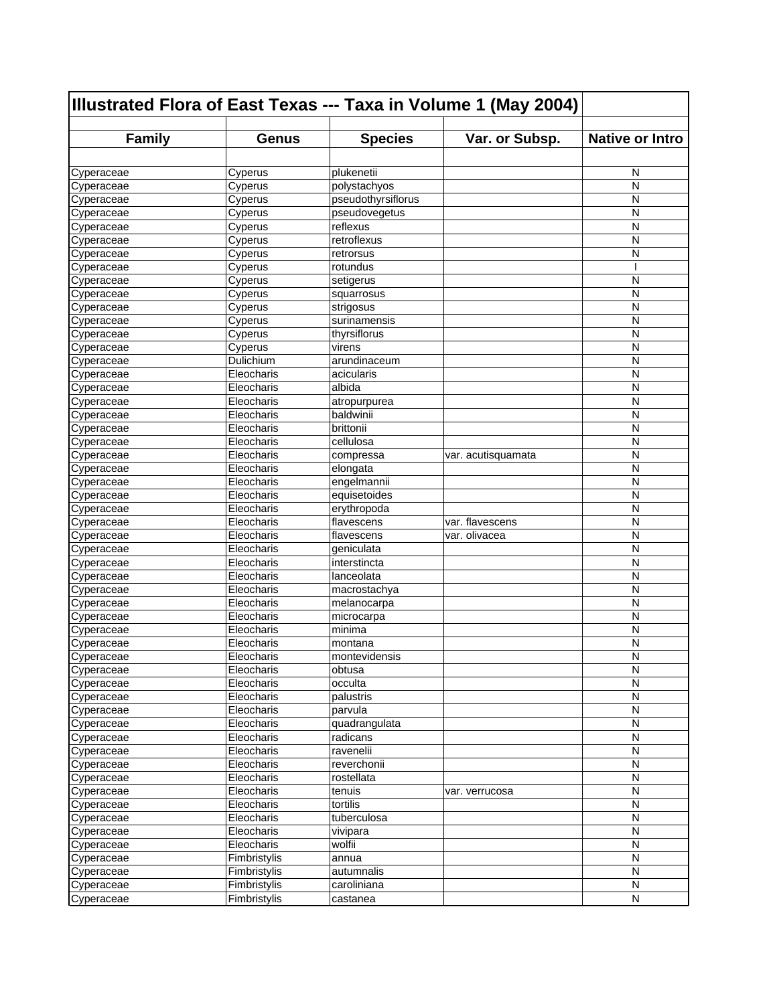| Illustrated Flora of East Texas --- Taxa in Volume 1 (May 2004) |              |                    |                    |                        |
|-----------------------------------------------------------------|--------------|--------------------|--------------------|------------------------|
| <b>Family</b>                                                   | <b>Genus</b> | <b>Species</b>     | Var. or Subsp.     | <b>Native or Intro</b> |
|                                                                 |              |                    |                    |                        |
| Cyperaceae                                                      | Cyperus      | plukenetii         |                    | N                      |
| Cyperaceae                                                      | Cyperus      | polystachyos       |                    | N                      |
| Cyperaceae                                                      | Cyperus      | pseudothyrsiflorus |                    | N                      |
| Cyperaceae                                                      | Cyperus      | pseudovegetus      |                    | N                      |
| Cyperaceae                                                      | Cyperus      | reflexus           |                    | N                      |
| Cyperaceae                                                      | Cyperus      | retroflexus        |                    | N                      |
| Cyperaceae                                                      | Cyperus      | retrorsus          |                    | N                      |
| Cyperaceae                                                      | Cyperus      | rotundus           |                    |                        |
| Cyperaceae                                                      | Cyperus      | setigerus          |                    | N                      |
| Cyperaceae                                                      | Cyperus      | squarrosus         |                    | N                      |
| Cyperaceae                                                      | Cyperus      | strigosus          |                    | N                      |
| Cyperaceae                                                      | Cyperus      | surinamensis       |                    | N                      |
| Cyperaceae                                                      | Cyperus      | thyrsiflorus       |                    | N                      |
| Cyperaceae                                                      | Cyperus      | virens             |                    | N                      |
| Cyperaceae                                                      | Dulichium    | arundinaceum       |                    | N                      |
| Cyperaceae                                                      | Eleocharis   | acicularis         |                    | N                      |
| Cyperaceae                                                      | Eleocharis   | albida             |                    | N                      |
| Cyperaceae                                                      | Eleocharis   | atropurpurea       |                    | N                      |
| Cyperaceae                                                      | Eleocharis   | baldwinii          |                    | N                      |
| Cyperaceae                                                      | Eleocharis   | <b>brittonii</b>   |                    | N                      |
| Cyperaceae                                                      | Eleocharis   | cellulosa          |                    | N                      |
| Cyperaceae                                                      | Eleocharis   | compressa          | var. acutisquamata | N                      |
| Cyperaceae                                                      | Eleocharis   | elongata           |                    | N                      |
| Cyperaceae                                                      | Eleocharis   | engelmannii        |                    | N                      |
| Cyperaceae                                                      | Eleocharis   | equisetoides       |                    | N                      |
| Cyperaceae                                                      | Eleocharis   | erythropoda        |                    | N                      |
| Cyperaceae                                                      | Eleocharis   | flavescens         | var. flavescens    | N                      |
| Cyperaceae                                                      | Eleocharis   | flavescens         | var. olivacea      | N                      |
| Cyperaceae                                                      | Eleocharis   | geniculata         |                    | N                      |
| Cyperaceae                                                      | Eleocharis   | interstincta       |                    | N                      |
| Cyperaceae                                                      | Eleocharis   | lanceolata         |                    | N                      |
| Cyperaceae                                                      | Eleocharis   | macrostachya       |                    | N                      |
| Cyperaceae                                                      | Eleocharis   | melanocarpa        |                    | N                      |
| Cyperaceae                                                      | Eleocharis   | microcarpa         |                    | N                      |
| Cyperaceae                                                      | Eleocharis   | minima             |                    | N                      |
| Cyperaceae                                                      | Eleocharis   | montana            |                    | N                      |
| Cyperaceae                                                      | Eleocharis   | montevidensis      |                    | N                      |
| Cyperaceae                                                      | Eleocharis   | obtusa             |                    | N                      |
| Cyperaceae                                                      | Eleocharis   | occulta            |                    | Ν                      |
| Cyperaceae                                                      | Eleocharis   | palustris          |                    | N                      |
| Cyperaceae                                                      | Eleocharis   | parvula            |                    | $\mathsf{N}$           |
| Cyperaceae                                                      | Eleocharis   | quadrangulata      |                    | N                      |
| Cyperaceae                                                      | Eleocharis   | radicans           |                    | N                      |
| Cyperaceae                                                      | Eleocharis   | ravenelii          |                    | N                      |
| Cyperaceae                                                      | Eleocharis   | reverchonii        |                    | N                      |
| Cyperaceae                                                      | Eleocharis   | rostellata         |                    | N                      |
| Cyperaceae                                                      | Eleocharis   | tenuis             | var. verrucosa     | N                      |
| Cyperaceae                                                      | Eleocharis   | tortilis           |                    | N                      |
| Cyperaceae                                                      | Eleocharis   | tuberculosa        |                    | N                      |
| Cyperaceae                                                      | Eleocharis   | vivipara           |                    | N                      |
| Cyperaceae                                                      | Eleocharis   | wolfii             |                    | N                      |
| Cyperaceae                                                      | Fimbristylis | annua              |                    | N                      |
| Cyperaceae                                                      | Fimbristylis | autumnalis         |                    | N                      |
| Cyperaceae                                                      | Fimbristylis | caroliniana        |                    | N                      |
| Cyperaceae                                                      | Fimbristylis | castanea           |                    | N                      |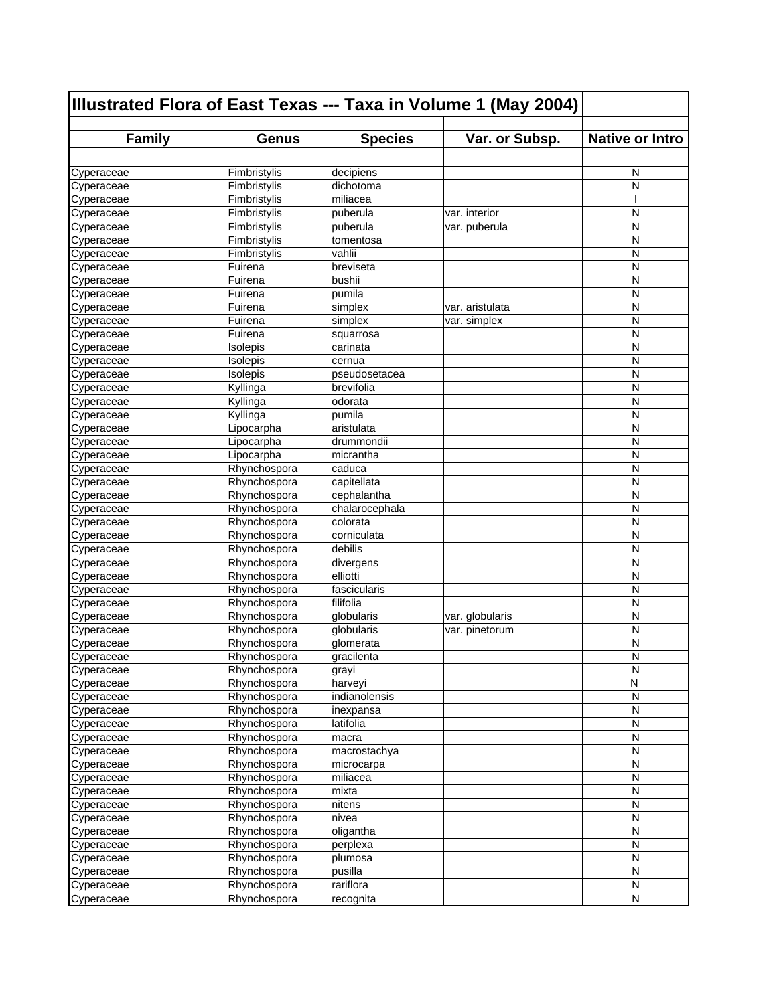| Illustrated Flora of East Texas --- Taxa in Volume 1 (May 2004) |              |                |                 |                        |
|-----------------------------------------------------------------|--------------|----------------|-----------------|------------------------|
| <b>Family</b>                                                   | Genus        | <b>Species</b> | Var. or Subsp.  | <b>Native or Intro</b> |
|                                                                 |              |                |                 |                        |
| Cyperaceae                                                      | Fimbristylis | decipiens      |                 | N                      |
| Cyperaceae                                                      | Fimbristylis | dichotoma      |                 | N                      |
| Cyperaceae                                                      | Fimbristylis | miliacea       |                 |                        |
| Cyperaceae                                                      | Fimbristylis | puberula       | var. interior   | N                      |
| Cyperaceae                                                      | Fimbristylis | puberula       | var. puberula   | N                      |
| Cyperaceae                                                      | Fimbristylis | tomentosa      |                 | N                      |
| Cyperaceae                                                      | Fimbristylis | vahlii         |                 | N                      |
| Cyperaceae                                                      | Fuirena      | breviseta      |                 | N                      |
| Cyperaceae                                                      | Fuirena      | bushii         |                 | N                      |
| Cyperaceae                                                      | Fuirena      | pumila         |                 | N                      |
| Cyperaceae                                                      | Fuirena      | simplex        | var. aristulata | N                      |
| Cyperaceae                                                      | Fuirena      | simplex        | var. simplex    | N                      |
| Cyperaceae                                                      | Fuirena      | squarrosa      |                 | N                      |
| Cyperaceae                                                      | Isolepis     | carinata       |                 | N                      |
| Cyperaceae                                                      | Isolepis     | cernua         |                 | N                      |
| Cyperaceae                                                      | Isolepis     | pseudosetacea  |                 | N                      |
| Cyperaceae                                                      | Kyllinga     | brevifolia     |                 | N                      |
| Cyperaceae                                                      | Kyllinga     | odorata        |                 | N                      |
| Cyperaceae                                                      | Kyllinga     | pumila         |                 | N                      |
| Cyperaceae                                                      | Lipocarpha   | aristulata     |                 | N                      |
| Cyperaceae                                                      | Lipocarpha   | drummondii     |                 | N                      |
| Cyperaceae                                                      | Lipocarpha   | micrantha      |                 | N                      |
| Cyperaceae                                                      | Rhynchospora | caduca         |                 | N                      |
| Cyperaceae                                                      | Rhynchospora | capitellata    |                 | N                      |
| Cyperaceae                                                      | Rhynchospora | cephalantha    |                 | N                      |
| Cyperaceae                                                      | Rhynchospora | chalarocephala |                 | N                      |
| Cyperaceae                                                      | Rhynchospora | colorata       |                 | N                      |
| Cyperaceae                                                      | Rhynchospora | corniculata    |                 | N                      |
| Cyperaceae                                                      | Rhynchospora | debilis        |                 | N                      |
| Cyperaceae                                                      | Rhynchospora | divergens      |                 | N                      |
| Cyperaceae                                                      | Rhynchospora | elliotti       |                 | N                      |
| Cyperaceae                                                      | Rhynchospora | fascicularis   |                 | N                      |
| Cyperaceae                                                      | Rhynchospora | filifolia      |                 | N                      |
| Cyperaceae                                                      | Rhynchospora | globularis     | var. globularis | N                      |
| Cyperaceae                                                      | Rhynchospora | globularis     | var. pinetorum  | N                      |
| Cyperaceae                                                      | Rhynchospora | glomerata      |                 | N                      |
| Cyperaceae                                                      | Rhynchospora | gracilenta     |                 | N                      |
| Cyperaceae                                                      | Rhynchospora | grayi          |                 | N                      |
| Cyperaceae                                                      | Rhynchospora | harveyi        |                 | N                      |
| Cyperaceae                                                      | Rhynchospora | indianolensis  |                 | N                      |
| Cyperaceae                                                      | Rhynchospora | inexpansa      |                 | N                      |
| Cyperaceae                                                      | Rhynchospora | latifolia      |                 | N                      |
| Cyperaceae                                                      | Rhynchospora | macra          |                 | N                      |
| Cyperaceae                                                      | Rhynchospora | macrostachya   |                 | N                      |
| Cyperaceae                                                      | Rhynchospora | microcarpa     |                 | N                      |
| Cyperaceae                                                      | Rhynchospora | miliacea       |                 | N                      |
| Cyperaceae                                                      | Rhynchospora | mixta          |                 | N                      |
| Cyperaceae                                                      | Rhynchospora | nitens         |                 | N                      |
| Cyperaceae                                                      | Rhynchospora | nivea          |                 | N                      |
| Cyperaceae                                                      | Rhynchospora | oligantha      |                 | N                      |
| Cyperaceae                                                      | Rhynchospora | perplexa       |                 | N                      |
| Cyperaceae                                                      | Rhynchospora | plumosa        |                 | N                      |
| Cyperaceae                                                      | Rhynchospora | pusilla        |                 | N                      |
| Cyperaceae                                                      | Rhynchospora | rariflora      |                 | N                      |
| Cyperaceae                                                      | Rhynchospora | recognita      |                 | N                      |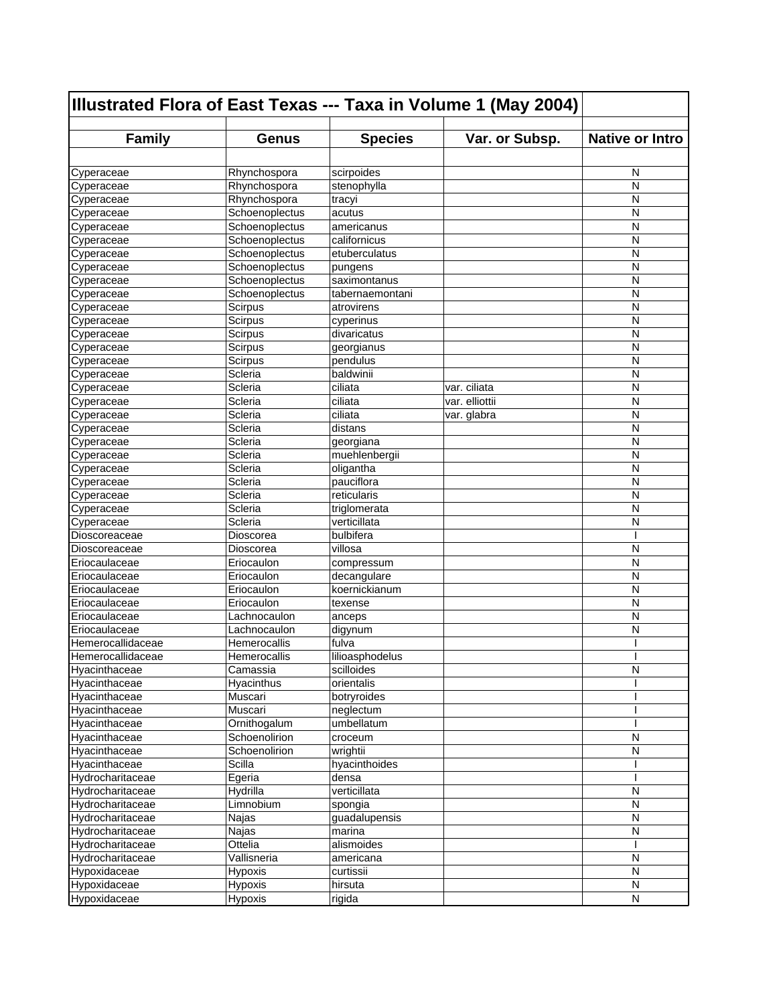| <b>Family</b><br><b>Species</b><br>Var. or Subsp.<br><b>Native or Intro</b><br><b>Genus</b><br>Rhynchospora<br>scirpoides<br>N<br>Cyperaceae<br>N<br>Rhynchospora<br>stenophylla<br>Cyperaceae<br>N<br>Cyperaceae<br>Rhynchospora<br>tracyi<br>Schoenoplectus<br>N<br>Cyperaceae<br>acutus<br>N<br>Schoenoplectus<br>Cyperaceae<br>americanus<br>N<br>Schoenoplectus<br>californicus<br>Cyperaceae<br>Cyperaceae<br>N<br>Schoenoplectus<br>etuberculatus<br>Schoenoplectus<br>Cyperaceae<br>N<br>pungens<br>N<br>Schoenoplectus<br>saximontanus<br>Cyperaceae<br>N<br>Schoenoplectus<br>Cyperaceae<br>tabernaemontani<br>N<br>Cyperaceae<br>Scirpus<br>atrovirens<br>Scirpus<br>N<br>Cyperaceae<br>cyperinus<br>N<br>divaricatus<br>Scirpus<br>Cyperaceae<br>N<br>Cyperaceae<br>Scirpus<br>georgianus<br>Cyperaceae<br>Scirpus<br>pendulus<br>N<br>Cyperaceae<br>baldwinii<br>Scleria<br>N<br>Scleria<br>ciliata<br>var. ciliata<br>N<br>Scleria<br>var. elliottii<br>N<br>ciliata<br>N<br>Scleria<br>ciliata<br>var. glabra<br>N<br>Scleria<br>distans<br>Scleria<br>N<br>georgiana<br>N<br>Scleria<br>muehlenbergii<br>N<br>Scleria<br>oligantha<br>Cyperaceae<br>Scleria<br>pauciflora<br>N<br>reticularis<br>Scleria<br>N<br>N<br>Scleria<br>triglomerata<br>Scleria<br>verticillata<br>N<br>bulbifera<br>Dioscoreaceae<br>Dioscorea<br>Dioscoreaceae<br>villosa<br>N<br>Dioscorea<br>N<br>Eriocaulaceae<br>Eriocaulon<br>compressum<br>N<br>decangulare<br>Eriocaulaceae<br>Eriocaulon<br>N<br>Eriocaulaceae<br>koernickianum<br>Eriocaulon<br>N<br>Eriocaulaceae<br>Eriocaulon<br>texense<br>N<br>Eriocaulaceae<br>Lachnocaulon<br>anceps<br>N<br>Eriocaulaceae<br>Lachnocaulon<br>digynum<br>Hemerocallidaceae<br>fulva<br>Hemerocallis<br>Hemerocallidaceae<br>lilioasphodelus<br>Hemerocallis<br>Hyacinthaceae<br>N<br>Camassia<br>scilloides<br>orientalis<br>Hyacinthaceae<br>Hyacinthus<br>Hyacinthaceae<br>Muscari<br>botryroides<br>Hyacinthaceae<br>Muscari<br>neglectum<br>Ornithogalum<br>umbellatum<br>Hyacinthaceae<br>Schoenolirion<br>N<br>Hyacinthaceae<br>croceum<br>N<br>Hyacinthaceae<br>Schoenolirion<br>wrightii<br>Hyacinthaceae<br>Scilla<br>hyacinthoides<br>Hydrocharitaceae<br>Egeria<br>densa<br>verticillata<br>Hydrilla<br>N<br>Hydrocharitaceae<br>N<br>Limnobium<br>Hydrocharitaceae<br>spongia<br>Hydrocharitaceae<br>N<br>guadalupensis<br>Najas<br>Hydrocharitaceae<br>Najas<br>marina<br>N<br>Ottelia<br>Hydrocharitaceae<br>alismoides<br>Vallisneria<br>N<br>Hydrocharitaceae<br>americana<br>Hypoxidaceae<br>N<br>Hypoxis<br>curtissii<br>Hypoxidaceae<br>Hypoxis<br>hirsuta<br>N | Illustrated Flora of East Texas --- Taxa in Volume 1 (May 2004) |         |        |  |   |
|-------------------------------------------------------------------------------------------------------------------------------------------------------------------------------------------------------------------------------------------------------------------------------------------------------------------------------------------------------------------------------------------------------------------------------------------------------------------------------------------------------------------------------------------------------------------------------------------------------------------------------------------------------------------------------------------------------------------------------------------------------------------------------------------------------------------------------------------------------------------------------------------------------------------------------------------------------------------------------------------------------------------------------------------------------------------------------------------------------------------------------------------------------------------------------------------------------------------------------------------------------------------------------------------------------------------------------------------------------------------------------------------------------------------------------------------------------------------------------------------------------------------------------------------------------------------------------------------------------------------------------------------------------------------------------------------------------------------------------------------------------------------------------------------------------------------------------------------------------------------------------------------------------------------------------------------------------------------------------------------------------------------------------------------------------------------------------------------------------------------------------------------------------------------------------------------------------------------------------------------------------------------------------------------------------------------------------------------------------------------------------------------------------------------------------------------------------------------------------------------------------------------------------------------------------------------------------------------------------------------------------|-----------------------------------------------------------------|---------|--------|--|---|
|                                                                                                                                                                                                                                                                                                                                                                                                                                                                                                                                                                                                                                                                                                                                                                                                                                                                                                                                                                                                                                                                                                                                                                                                                                                                                                                                                                                                                                                                                                                                                                                                                                                                                                                                                                                                                                                                                                                                                                                                                                                                                                                                                                                                                                                                                                                                                                                                                                                                                                                                                                                                                               |                                                                 |         |        |  |   |
|                                                                                                                                                                                                                                                                                                                                                                                                                                                                                                                                                                                                                                                                                                                                                                                                                                                                                                                                                                                                                                                                                                                                                                                                                                                                                                                                                                                                                                                                                                                                                                                                                                                                                                                                                                                                                                                                                                                                                                                                                                                                                                                                                                                                                                                                                                                                                                                                                                                                                                                                                                                                                               |                                                                 |         |        |  |   |
|                                                                                                                                                                                                                                                                                                                                                                                                                                                                                                                                                                                                                                                                                                                                                                                                                                                                                                                                                                                                                                                                                                                                                                                                                                                                                                                                                                                                                                                                                                                                                                                                                                                                                                                                                                                                                                                                                                                                                                                                                                                                                                                                                                                                                                                                                                                                                                                                                                                                                                                                                                                                                               |                                                                 |         |        |  |   |
|                                                                                                                                                                                                                                                                                                                                                                                                                                                                                                                                                                                                                                                                                                                                                                                                                                                                                                                                                                                                                                                                                                                                                                                                                                                                                                                                                                                                                                                                                                                                                                                                                                                                                                                                                                                                                                                                                                                                                                                                                                                                                                                                                                                                                                                                                                                                                                                                                                                                                                                                                                                                                               |                                                                 |         |        |  |   |
|                                                                                                                                                                                                                                                                                                                                                                                                                                                                                                                                                                                                                                                                                                                                                                                                                                                                                                                                                                                                                                                                                                                                                                                                                                                                                                                                                                                                                                                                                                                                                                                                                                                                                                                                                                                                                                                                                                                                                                                                                                                                                                                                                                                                                                                                                                                                                                                                                                                                                                                                                                                                                               |                                                                 |         |        |  |   |
|                                                                                                                                                                                                                                                                                                                                                                                                                                                                                                                                                                                                                                                                                                                                                                                                                                                                                                                                                                                                                                                                                                                                                                                                                                                                                                                                                                                                                                                                                                                                                                                                                                                                                                                                                                                                                                                                                                                                                                                                                                                                                                                                                                                                                                                                                                                                                                                                                                                                                                                                                                                                                               |                                                                 |         |        |  |   |
|                                                                                                                                                                                                                                                                                                                                                                                                                                                                                                                                                                                                                                                                                                                                                                                                                                                                                                                                                                                                                                                                                                                                                                                                                                                                                                                                                                                                                                                                                                                                                                                                                                                                                                                                                                                                                                                                                                                                                                                                                                                                                                                                                                                                                                                                                                                                                                                                                                                                                                                                                                                                                               |                                                                 |         |        |  |   |
|                                                                                                                                                                                                                                                                                                                                                                                                                                                                                                                                                                                                                                                                                                                                                                                                                                                                                                                                                                                                                                                                                                                                                                                                                                                                                                                                                                                                                                                                                                                                                                                                                                                                                                                                                                                                                                                                                                                                                                                                                                                                                                                                                                                                                                                                                                                                                                                                                                                                                                                                                                                                                               |                                                                 |         |        |  |   |
|                                                                                                                                                                                                                                                                                                                                                                                                                                                                                                                                                                                                                                                                                                                                                                                                                                                                                                                                                                                                                                                                                                                                                                                                                                                                                                                                                                                                                                                                                                                                                                                                                                                                                                                                                                                                                                                                                                                                                                                                                                                                                                                                                                                                                                                                                                                                                                                                                                                                                                                                                                                                                               |                                                                 |         |        |  |   |
|                                                                                                                                                                                                                                                                                                                                                                                                                                                                                                                                                                                                                                                                                                                                                                                                                                                                                                                                                                                                                                                                                                                                                                                                                                                                                                                                                                                                                                                                                                                                                                                                                                                                                                                                                                                                                                                                                                                                                                                                                                                                                                                                                                                                                                                                                                                                                                                                                                                                                                                                                                                                                               |                                                                 |         |        |  |   |
|                                                                                                                                                                                                                                                                                                                                                                                                                                                                                                                                                                                                                                                                                                                                                                                                                                                                                                                                                                                                                                                                                                                                                                                                                                                                                                                                                                                                                                                                                                                                                                                                                                                                                                                                                                                                                                                                                                                                                                                                                                                                                                                                                                                                                                                                                                                                                                                                                                                                                                                                                                                                                               |                                                                 |         |        |  |   |
|                                                                                                                                                                                                                                                                                                                                                                                                                                                                                                                                                                                                                                                                                                                                                                                                                                                                                                                                                                                                                                                                                                                                                                                                                                                                                                                                                                                                                                                                                                                                                                                                                                                                                                                                                                                                                                                                                                                                                                                                                                                                                                                                                                                                                                                                                                                                                                                                                                                                                                                                                                                                                               |                                                                 |         |        |  |   |
|                                                                                                                                                                                                                                                                                                                                                                                                                                                                                                                                                                                                                                                                                                                                                                                                                                                                                                                                                                                                                                                                                                                                                                                                                                                                                                                                                                                                                                                                                                                                                                                                                                                                                                                                                                                                                                                                                                                                                                                                                                                                                                                                                                                                                                                                                                                                                                                                                                                                                                                                                                                                                               |                                                                 |         |        |  |   |
|                                                                                                                                                                                                                                                                                                                                                                                                                                                                                                                                                                                                                                                                                                                                                                                                                                                                                                                                                                                                                                                                                                                                                                                                                                                                                                                                                                                                                                                                                                                                                                                                                                                                                                                                                                                                                                                                                                                                                                                                                                                                                                                                                                                                                                                                                                                                                                                                                                                                                                                                                                                                                               |                                                                 |         |        |  |   |
|                                                                                                                                                                                                                                                                                                                                                                                                                                                                                                                                                                                                                                                                                                                                                                                                                                                                                                                                                                                                                                                                                                                                                                                                                                                                                                                                                                                                                                                                                                                                                                                                                                                                                                                                                                                                                                                                                                                                                                                                                                                                                                                                                                                                                                                                                                                                                                                                                                                                                                                                                                                                                               |                                                                 |         |        |  |   |
|                                                                                                                                                                                                                                                                                                                                                                                                                                                                                                                                                                                                                                                                                                                                                                                                                                                                                                                                                                                                                                                                                                                                                                                                                                                                                                                                                                                                                                                                                                                                                                                                                                                                                                                                                                                                                                                                                                                                                                                                                                                                                                                                                                                                                                                                                                                                                                                                                                                                                                                                                                                                                               |                                                                 |         |        |  |   |
|                                                                                                                                                                                                                                                                                                                                                                                                                                                                                                                                                                                                                                                                                                                                                                                                                                                                                                                                                                                                                                                                                                                                                                                                                                                                                                                                                                                                                                                                                                                                                                                                                                                                                                                                                                                                                                                                                                                                                                                                                                                                                                                                                                                                                                                                                                                                                                                                                                                                                                                                                                                                                               |                                                                 |         |        |  |   |
|                                                                                                                                                                                                                                                                                                                                                                                                                                                                                                                                                                                                                                                                                                                                                                                                                                                                                                                                                                                                                                                                                                                                                                                                                                                                                                                                                                                                                                                                                                                                                                                                                                                                                                                                                                                                                                                                                                                                                                                                                                                                                                                                                                                                                                                                                                                                                                                                                                                                                                                                                                                                                               |                                                                 |         |        |  |   |
|                                                                                                                                                                                                                                                                                                                                                                                                                                                                                                                                                                                                                                                                                                                                                                                                                                                                                                                                                                                                                                                                                                                                                                                                                                                                                                                                                                                                                                                                                                                                                                                                                                                                                                                                                                                                                                                                                                                                                                                                                                                                                                                                                                                                                                                                                                                                                                                                                                                                                                                                                                                                                               | Cyperaceae                                                      |         |        |  |   |
|                                                                                                                                                                                                                                                                                                                                                                                                                                                                                                                                                                                                                                                                                                                                                                                                                                                                                                                                                                                                                                                                                                                                                                                                                                                                                                                                                                                                                                                                                                                                                                                                                                                                                                                                                                                                                                                                                                                                                                                                                                                                                                                                                                                                                                                                                                                                                                                                                                                                                                                                                                                                                               | Cyperaceae                                                      |         |        |  |   |
|                                                                                                                                                                                                                                                                                                                                                                                                                                                                                                                                                                                                                                                                                                                                                                                                                                                                                                                                                                                                                                                                                                                                                                                                                                                                                                                                                                                                                                                                                                                                                                                                                                                                                                                                                                                                                                                                                                                                                                                                                                                                                                                                                                                                                                                                                                                                                                                                                                                                                                                                                                                                                               | Cyperaceae                                                      |         |        |  |   |
|                                                                                                                                                                                                                                                                                                                                                                                                                                                                                                                                                                                                                                                                                                                                                                                                                                                                                                                                                                                                                                                                                                                                                                                                                                                                                                                                                                                                                                                                                                                                                                                                                                                                                                                                                                                                                                                                                                                                                                                                                                                                                                                                                                                                                                                                                                                                                                                                                                                                                                                                                                                                                               | Cyperaceae                                                      |         |        |  |   |
|                                                                                                                                                                                                                                                                                                                                                                                                                                                                                                                                                                                                                                                                                                                                                                                                                                                                                                                                                                                                                                                                                                                                                                                                                                                                                                                                                                                                                                                                                                                                                                                                                                                                                                                                                                                                                                                                                                                                                                                                                                                                                                                                                                                                                                                                                                                                                                                                                                                                                                                                                                                                                               | Cyperaceae                                                      |         |        |  |   |
|                                                                                                                                                                                                                                                                                                                                                                                                                                                                                                                                                                                                                                                                                                                                                                                                                                                                                                                                                                                                                                                                                                                                                                                                                                                                                                                                                                                                                                                                                                                                                                                                                                                                                                                                                                                                                                                                                                                                                                                                                                                                                                                                                                                                                                                                                                                                                                                                                                                                                                                                                                                                                               | Cyperaceae                                                      |         |        |  |   |
|                                                                                                                                                                                                                                                                                                                                                                                                                                                                                                                                                                                                                                                                                                                                                                                                                                                                                                                                                                                                                                                                                                                                                                                                                                                                                                                                                                                                                                                                                                                                                                                                                                                                                                                                                                                                                                                                                                                                                                                                                                                                                                                                                                                                                                                                                                                                                                                                                                                                                                                                                                                                                               | Cyperaceae                                                      |         |        |  |   |
|                                                                                                                                                                                                                                                                                                                                                                                                                                                                                                                                                                                                                                                                                                                                                                                                                                                                                                                                                                                                                                                                                                                                                                                                                                                                                                                                                                                                                                                                                                                                                                                                                                                                                                                                                                                                                                                                                                                                                                                                                                                                                                                                                                                                                                                                                                                                                                                                                                                                                                                                                                                                                               |                                                                 |         |        |  |   |
|                                                                                                                                                                                                                                                                                                                                                                                                                                                                                                                                                                                                                                                                                                                                                                                                                                                                                                                                                                                                                                                                                                                                                                                                                                                                                                                                                                                                                                                                                                                                                                                                                                                                                                                                                                                                                                                                                                                                                                                                                                                                                                                                                                                                                                                                                                                                                                                                                                                                                                                                                                                                                               | Cyperaceae                                                      |         |        |  |   |
|                                                                                                                                                                                                                                                                                                                                                                                                                                                                                                                                                                                                                                                                                                                                                                                                                                                                                                                                                                                                                                                                                                                                                                                                                                                                                                                                                                                                                                                                                                                                                                                                                                                                                                                                                                                                                                                                                                                                                                                                                                                                                                                                                                                                                                                                                                                                                                                                                                                                                                                                                                                                                               | Cyperaceae                                                      |         |        |  |   |
|                                                                                                                                                                                                                                                                                                                                                                                                                                                                                                                                                                                                                                                                                                                                                                                                                                                                                                                                                                                                                                                                                                                                                                                                                                                                                                                                                                                                                                                                                                                                                                                                                                                                                                                                                                                                                                                                                                                                                                                                                                                                                                                                                                                                                                                                                                                                                                                                                                                                                                                                                                                                                               | Cyperaceae                                                      |         |        |  |   |
|                                                                                                                                                                                                                                                                                                                                                                                                                                                                                                                                                                                                                                                                                                                                                                                                                                                                                                                                                                                                                                                                                                                                                                                                                                                                                                                                                                                                                                                                                                                                                                                                                                                                                                                                                                                                                                                                                                                                                                                                                                                                                                                                                                                                                                                                                                                                                                                                                                                                                                                                                                                                                               |                                                                 |         |        |  |   |
|                                                                                                                                                                                                                                                                                                                                                                                                                                                                                                                                                                                                                                                                                                                                                                                                                                                                                                                                                                                                                                                                                                                                                                                                                                                                                                                                                                                                                                                                                                                                                                                                                                                                                                                                                                                                                                                                                                                                                                                                                                                                                                                                                                                                                                                                                                                                                                                                                                                                                                                                                                                                                               |                                                                 |         |        |  |   |
|                                                                                                                                                                                                                                                                                                                                                                                                                                                                                                                                                                                                                                                                                                                                                                                                                                                                                                                                                                                                                                                                                                                                                                                                                                                                                                                                                                                                                                                                                                                                                                                                                                                                                                                                                                                                                                                                                                                                                                                                                                                                                                                                                                                                                                                                                                                                                                                                                                                                                                                                                                                                                               |                                                                 |         |        |  |   |
|                                                                                                                                                                                                                                                                                                                                                                                                                                                                                                                                                                                                                                                                                                                                                                                                                                                                                                                                                                                                                                                                                                                                                                                                                                                                                                                                                                                                                                                                                                                                                                                                                                                                                                                                                                                                                                                                                                                                                                                                                                                                                                                                                                                                                                                                                                                                                                                                                                                                                                                                                                                                                               |                                                                 |         |        |  |   |
|                                                                                                                                                                                                                                                                                                                                                                                                                                                                                                                                                                                                                                                                                                                                                                                                                                                                                                                                                                                                                                                                                                                                                                                                                                                                                                                                                                                                                                                                                                                                                                                                                                                                                                                                                                                                                                                                                                                                                                                                                                                                                                                                                                                                                                                                                                                                                                                                                                                                                                                                                                                                                               |                                                                 |         |        |  |   |
|                                                                                                                                                                                                                                                                                                                                                                                                                                                                                                                                                                                                                                                                                                                                                                                                                                                                                                                                                                                                                                                                                                                                                                                                                                                                                                                                                                                                                                                                                                                                                                                                                                                                                                                                                                                                                                                                                                                                                                                                                                                                                                                                                                                                                                                                                                                                                                                                                                                                                                                                                                                                                               |                                                                 |         |        |  |   |
|                                                                                                                                                                                                                                                                                                                                                                                                                                                                                                                                                                                                                                                                                                                                                                                                                                                                                                                                                                                                                                                                                                                                                                                                                                                                                                                                                                                                                                                                                                                                                                                                                                                                                                                                                                                                                                                                                                                                                                                                                                                                                                                                                                                                                                                                                                                                                                                                                                                                                                                                                                                                                               |                                                                 |         |        |  |   |
|                                                                                                                                                                                                                                                                                                                                                                                                                                                                                                                                                                                                                                                                                                                                                                                                                                                                                                                                                                                                                                                                                                                                                                                                                                                                                                                                                                                                                                                                                                                                                                                                                                                                                                                                                                                                                                                                                                                                                                                                                                                                                                                                                                                                                                                                                                                                                                                                                                                                                                                                                                                                                               |                                                                 |         |        |  |   |
|                                                                                                                                                                                                                                                                                                                                                                                                                                                                                                                                                                                                                                                                                                                                                                                                                                                                                                                                                                                                                                                                                                                                                                                                                                                                                                                                                                                                                                                                                                                                                                                                                                                                                                                                                                                                                                                                                                                                                                                                                                                                                                                                                                                                                                                                                                                                                                                                                                                                                                                                                                                                                               |                                                                 |         |        |  |   |
|                                                                                                                                                                                                                                                                                                                                                                                                                                                                                                                                                                                                                                                                                                                                                                                                                                                                                                                                                                                                                                                                                                                                                                                                                                                                                                                                                                                                                                                                                                                                                                                                                                                                                                                                                                                                                                                                                                                                                                                                                                                                                                                                                                                                                                                                                                                                                                                                                                                                                                                                                                                                                               |                                                                 |         |        |  |   |
|                                                                                                                                                                                                                                                                                                                                                                                                                                                                                                                                                                                                                                                                                                                                                                                                                                                                                                                                                                                                                                                                                                                                                                                                                                                                                                                                                                                                                                                                                                                                                                                                                                                                                                                                                                                                                                                                                                                                                                                                                                                                                                                                                                                                                                                                                                                                                                                                                                                                                                                                                                                                                               |                                                                 |         |        |  |   |
|                                                                                                                                                                                                                                                                                                                                                                                                                                                                                                                                                                                                                                                                                                                                                                                                                                                                                                                                                                                                                                                                                                                                                                                                                                                                                                                                                                                                                                                                                                                                                                                                                                                                                                                                                                                                                                                                                                                                                                                                                                                                                                                                                                                                                                                                                                                                                                                                                                                                                                                                                                                                                               |                                                                 |         |        |  |   |
|                                                                                                                                                                                                                                                                                                                                                                                                                                                                                                                                                                                                                                                                                                                                                                                                                                                                                                                                                                                                                                                                                                                                                                                                                                                                                                                                                                                                                                                                                                                                                                                                                                                                                                                                                                                                                                                                                                                                                                                                                                                                                                                                                                                                                                                                                                                                                                                                                                                                                                                                                                                                                               |                                                                 |         |        |  |   |
|                                                                                                                                                                                                                                                                                                                                                                                                                                                                                                                                                                                                                                                                                                                                                                                                                                                                                                                                                                                                                                                                                                                                                                                                                                                                                                                                                                                                                                                                                                                                                                                                                                                                                                                                                                                                                                                                                                                                                                                                                                                                                                                                                                                                                                                                                                                                                                                                                                                                                                                                                                                                                               |                                                                 |         |        |  |   |
|                                                                                                                                                                                                                                                                                                                                                                                                                                                                                                                                                                                                                                                                                                                                                                                                                                                                                                                                                                                                                                                                                                                                                                                                                                                                                                                                                                                                                                                                                                                                                                                                                                                                                                                                                                                                                                                                                                                                                                                                                                                                                                                                                                                                                                                                                                                                                                                                                                                                                                                                                                                                                               |                                                                 |         |        |  |   |
|                                                                                                                                                                                                                                                                                                                                                                                                                                                                                                                                                                                                                                                                                                                                                                                                                                                                                                                                                                                                                                                                                                                                                                                                                                                                                                                                                                                                                                                                                                                                                                                                                                                                                                                                                                                                                                                                                                                                                                                                                                                                                                                                                                                                                                                                                                                                                                                                                                                                                                                                                                                                                               |                                                                 |         |        |  |   |
|                                                                                                                                                                                                                                                                                                                                                                                                                                                                                                                                                                                                                                                                                                                                                                                                                                                                                                                                                                                                                                                                                                                                                                                                                                                                                                                                                                                                                                                                                                                                                                                                                                                                                                                                                                                                                                                                                                                                                                                                                                                                                                                                                                                                                                                                                                                                                                                                                                                                                                                                                                                                                               |                                                                 |         |        |  |   |
|                                                                                                                                                                                                                                                                                                                                                                                                                                                                                                                                                                                                                                                                                                                                                                                                                                                                                                                                                                                                                                                                                                                                                                                                                                                                                                                                                                                                                                                                                                                                                                                                                                                                                                                                                                                                                                                                                                                                                                                                                                                                                                                                                                                                                                                                                                                                                                                                                                                                                                                                                                                                                               |                                                                 |         |        |  |   |
|                                                                                                                                                                                                                                                                                                                                                                                                                                                                                                                                                                                                                                                                                                                                                                                                                                                                                                                                                                                                                                                                                                                                                                                                                                                                                                                                                                                                                                                                                                                                                                                                                                                                                                                                                                                                                                                                                                                                                                                                                                                                                                                                                                                                                                                                                                                                                                                                                                                                                                                                                                                                                               |                                                                 |         |        |  |   |
|                                                                                                                                                                                                                                                                                                                                                                                                                                                                                                                                                                                                                                                                                                                                                                                                                                                                                                                                                                                                                                                                                                                                                                                                                                                                                                                                                                                                                                                                                                                                                                                                                                                                                                                                                                                                                                                                                                                                                                                                                                                                                                                                                                                                                                                                                                                                                                                                                                                                                                                                                                                                                               |                                                                 |         |        |  |   |
|                                                                                                                                                                                                                                                                                                                                                                                                                                                                                                                                                                                                                                                                                                                                                                                                                                                                                                                                                                                                                                                                                                                                                                                                                                                                                                                                                                                                                                                                                                                                                                                                                                                                                                                                                                                                                                                                                                                                                                                                                                                                                                                                                                                                                                                                                                                                                                                                                                                                                                                                                                                                                               |                                                                 |         |        |  |   |
|                                                                                                                                                                                                                                                                                                                                                                                                                                                                                                                                                                                                                                                                                                                                                                                                                                                                                                                                                                                                                                                                                                                                                                                                                                                                                                                                                                                                                                                                                                                                                                                                                                                                                                                                                                                                                                                                                                                                                                                                                                                                                                                                                                                                                                                                                                                                                                                                                                                                                                                                                                                                                               |                                                                 |         |        |  |   |
|                                                                                                                                                                                                                                                                                                                                                                                                                                                                                                                                                                                                                                                                                                                                                                                                                                                                                                                                                                                                                                                                                                                                                                                                                                                                                                                                                                                                                                                                                                                                                                                                                                                                                                                                                                                                                                                                                                                                                                                                                                                                                                                                                                                                                                                                                                                                                                                                                                                                                                                                                                                                                               |                                                                 |         |        |  |   |
|                                                                                                                                                                                                                                                                                                                                                                                                                                                                                                                                                                                                                                                                                                                                                                                                                                                                                                                                                                                                                                                                                                                                                                                                                                                                                                                                                                                                                                                                                                                                                                                                                                                                                                                                                                                                                                                                                                                                                                                                                                                                                                                                                                                                                                                                                                                                                                                                                                                                                                                                                                                                                               |                                                                 |         |        |  |   |
|                                                                                                                                                                                                                                                                                                                                                                                                                                                                                                                                                                                                                                                                                                                                                                                                                                                                                                                                                                                                                                                                                                                                                                                                                                                                                                                                                                                                                                                                                                                                                                                                                                                                                                                                                                                                                                                                                                                                                                                                                                                                                                                                                                                                                                                                                                                                                                                                                                                                                                                                                                                                                               |                                                                 |         |        |  |   |
|                                                                                                                                                                                                                                                                                                                                                                                                                                                                                                                                                                                                                                                                                                                                                                                                                                                                                                                                                                                                                                                                                                                                                                                                                                                                                                                                                                                                                                                                                                                                                                                                                                                                                                                                                                                                                                                                                                                                                                                                                                                                                                                                                                                                                                                                                                                                                                                                                                                                                                                                                                                                                               |                                                                 |         |        |  |   |
|                                                                                                                                                                                                                                                                                                                                                                                                                                                                                                                                                                                                                                                                                                                                                                                                                                                                                                                                                                                                                                                                                                                                                                                                                                                                                                                                                                                                                                                                                                                                                                                                                                                                                                                                                                                                                                                                                                                                                                                                                                                                                                                                                                                                                                                                                                                                                                                                                                                                                                                                                                                                                               | Hypoxidaceae                                                    | Hypoxis | rigida |  | N |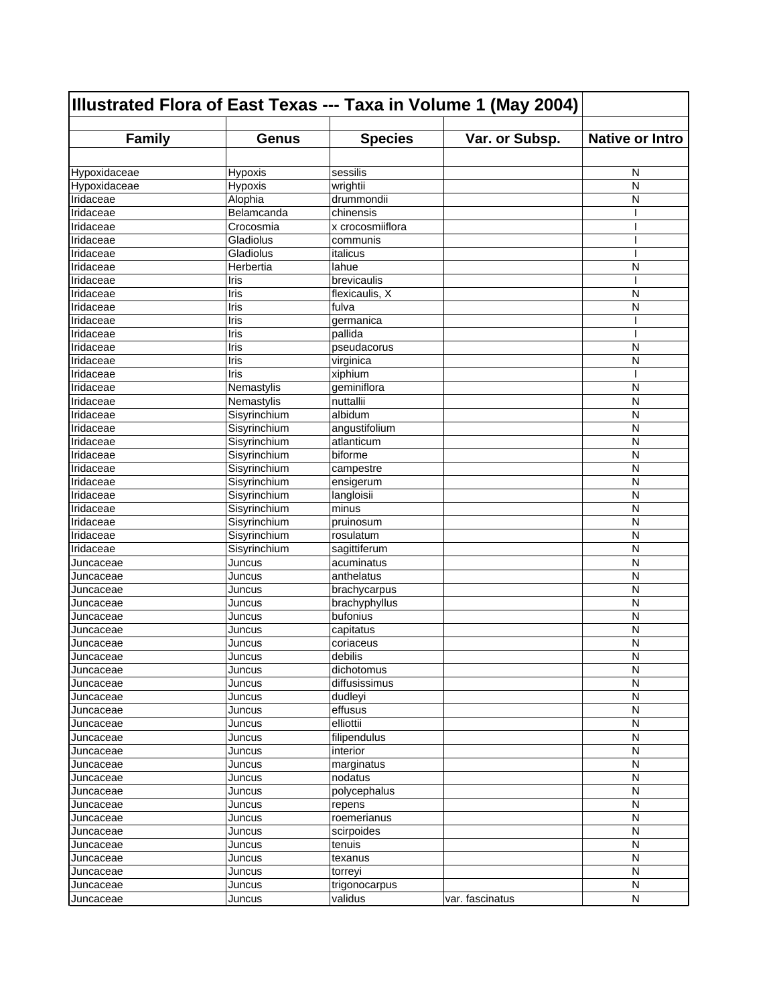| Illustrated Flora of East Texas --- Taxa in Volume 1 (May 2004) |                    |                        |                 |                        |
|-----------------------------------------------------------------|--------------------|------------------------|-----------------|------------------------|
| <b>Family</b>                                                   | <b>Genus</b>       | <b>Species</b>         | Var. or Subsp.  | <b>Native or Intro</b> |
|                                                                 |                    |                        |                 |                        |
| Hypoxidaceae                                                    |                    | sessilis               |                 | N                      |
| Hypoxidaceae                                                    | Hypoxis<br>Hypoxis |                        |                 | N                      |
| Iridaceae                                                       | Alophia            | wrightii<br>drummondii |                 | N                      |
| Iridaceae                                                       | Belamcanda         | chinensis              |                 |                        |
| Iridaceae                                                       | Crocosmia          | x crocosmiiflora       |                 | I                      |
| Iridaceae                                                       | Gladiolus          | communis               |                 |                        |
| Iridaceae                                                       | Gladiolus          | italicus               |                 | I                      |
| Iridaceae                                                       | Herbertia          | lahue                  |                 | N                      |
| Iridaceae                                                       | Iris               | brevicaulis            |                 | ı                      |
| Iridaceae                                                       | Iris               | flexicaulis, X         |                 | N                      |
| <b>Iridaceae</b>                                                | Iris               | fulva                  |                 | N                      |
| Iridaceae                                                       | Iris               | germanica              |                 |                        |
| Iridaceae                                                       | Iris               | pallida                |                 |                        |
| Iridaceae                                                       | Iris               | pseudacorus            |                 | N                      |
| Iridaceae                                                       | Iris               | virginica              |                 | N                      |
| Iridaceae                                                       | Iris               |                        |                 |                        |
|                                                                 |                    | xiphium<br>geminiflora |                 |                        |
| Iridaceae<br>Iridaceae                                          | Nemastylis         |                        |                 | N<br>N                 |
|                                                                 | Nemastylis         | nuttallii              |                 |                        |
| <b>Iridaceae</b>                                                | Sisyrinchium       | albidum                |                 | N                      |
| Iridaceae                                                       | Sisyrinchium       | angustifolium          |                 | N                      |
| Iridaceae                                                       | Sisyrinchium       | atlanticum             |                 | N                      |
| Iridaceae                                                       | Sisyrinchium       | biforme                |                 | N                      |
| Iridaceae                                                       | Sisyrinchium       | campestre              |                 | N                      |
| Iridaceae                                                       | Sisyrinchium       | ensigerum              |                 | N                      |
| Iridaceae                                                       | Sisyrinchium       | langloisii             |                 | N                      |
| <b>Iridaceae</b>                                                | Sisyrinchium       | minus                  |                 | N                      |
| Iridaceae                                                       | Sisyrinchium       | pruinosum              |                 | N                      |
| Iridaceae                                                       | Sisyrinchium       | rosulatum              |                 | N                      |
| Iridaceae                                                       | Sisyrinchium       | sagittiferum           |                 | N                      |
| Juncaceae                                                       | Juncus             | acuminatus             |                 | N                      |
| Juncaceae                                                       | Juncus             | anthelatus             |                 | N                      |
| Juncaceae                                                       | Juncus             | brachycarpus           |                 | N                      |
| Juncaceae                                                       | Juncus             | brachyphyllus          |                 | N                      |
| Juncaceae                                                       | Juncus             | bufonius               |                 | N                      |
| Juncaceae                                                       | Juncus             | capitatus              |                 | N                      |
| Juncaceae                                                       | Juncus             | coriaceus              |                 | N                      |
| Juncaceae                                                       | Juncus             | debilis                |                 | N                      |
| Juncaceae                                                       | Juncus             | dichotomus             |                 | N                      |
| Juncaceae                                                       | Juncus             | diffusissimus          |                 | N                      |
| Juncaceae                                                       | Juncus             | dudleyi                |                 | N                      |
| Juncaceae                                                       | Juncus             | effusus                |                 | N                      |
| Juncaceae                                                       | Juncus             | elliottii              |                 | N                      |
| Juncaceae                                                       | Juncus             | filipendulus           |                 | $\mathsf{N}$           |
| Juncaceae                                                       | Juncus             | interior               |                 | N                      |
| Juncaceae                                                       | Juncus             | marginatus             |                 | N                      |
| Juncaceae                                                       | Juncus             | nodatus                |                 | N                      |
| Juncaceae                                                       | Juncus             | polycephalus           |                 | N                      |
| Juncaceae                                                       | Juncus             | repens                 |                 | N                      |
| Juncaceae                                                       | Juncus             | roemerianus            |                 | N                      |
| Juncaceae                                                       | Juncus             | scirpoides             |                 | N                      |
| Juncaceae                                                       | Juncus             | tenuis                 |                 | N                      |
| Juncaceae                                                       | Juncus             | texanus                |                 | N                      |
| Juncaceae                                                       | Juncus             | torreyi                |                 | N                      |
| Juncaceae                                                       | Juncus             | trigonocarpus          |                 | N                      |
| Juncaceae                                                       | Juncus             | validus                | var. fascinatus | N                      |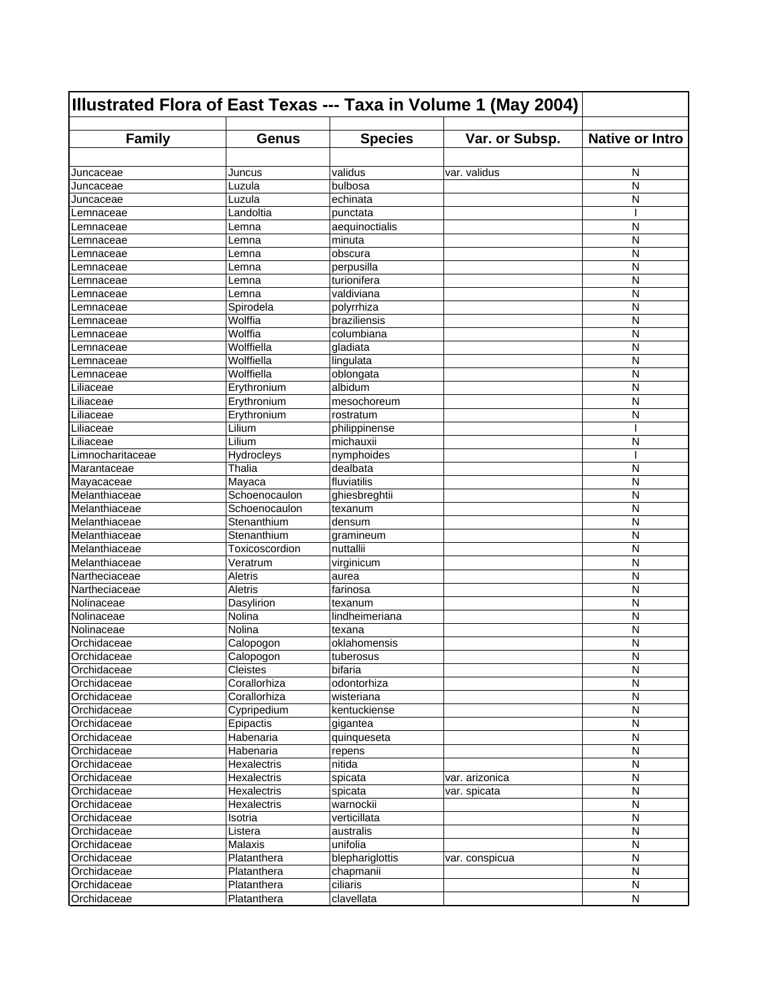| <b>Family</b><br><b>Species</b><br><b>Native or Intro</b><br>Var. or Subsp.<br><b>Genus</b><br>validus<br>var. validus<br>N<br>Juncaceae<br>Juncus<br>bulbosa<br>N<br>Luzula<br>Juncaceae<br>echinata<br>Luzula<br>N<br>Juncaceae<br>Landoltia<br>punctata<br>ı<br>_emnaceae<br>N<br>aequinoctialis<br>Lemna<br>_emnaceae<br>N<br>minuta<br>Lemna<br>.emnaceae<br>obscura<br>N<br>_emnaceae<br>Lemna<br>N<br>perpusilla<br>Lemna<br>emnaceae.<br>N<br>turionifera<br>Lemna<br>.emnaceae<br>N<br>valdiviana<br>Lemna<br>.emnaceae<br>Spirodela<br>polyrrhiza<br>N<br>emnaceae.<br>Wolffia<br>braziliensis<br>N<br>.emnaceae<br>Wolffia<br>columbiana<br>N<br>_emnaceae<br>Wolffiella<br>N<br>gladiata<br>_emnaceae<br>Wolffiella<br>N<br>lingulata<br>_emnaceae<br>Wolffiella<br>oblongata<br>N<br>_emnaceae<br>albidum<br>N<br>Erythronium<br>Liliaceae<br>Liliaceae<br>N<br>Erythronium<br>mesochoreum<br>Liliaceae<br>N<br>Erythronium<br>rostratum<br>Lilium<br>philippinense<br>N<br>Lilium<br>michauxii<br>Limnocharitaceae<br>Hydrocleys<br>nymphoides<br>I<br>Marantaceae<br>Thalia<br>dealbata<br>N<br>fluviatilis<br>Mayaca<br>N<br>Schoenocaulon<br>ghiesbreghtii<br>N<br>N<br>Schoenocaulon<br>texanum<br>Melanthiaceae<br>N<br>Stenanthium<br>densum<br>Stenanthium<br>N<br>gramineum<br>Toxicoscordion<br>nuttallii<br>N<br>N<br>Veratrum<br>virginicum<br>N<br>Aletris<br>aurea<br><b>Aletris</b><br>N<br>farinosa<br>Dasylirion<br>N<br>texanum<br>N<br>Nolina<br>lindheimeriana<br>Nolina<br>N<br>texana<br>Orchidaceae<br>N<br>oklahomensis<br>Calopogon<br>N<br>Calopogon<br>tuberosus<br>Orchidaceae<br>${\sf N}$<br>bifaria<br>Cleistes<br>Corallorhiza<br>N<br>odontorhiza<br>Orchidaceae<br>N<br>Corallorhiza<br>wisteriana<br>Orchidaceae<br>$\mathsf{N}$<br>Cypripedium<br>kentuckiense<br>Epipactis<br>N<br>gigantea<br>Habenaria<br>${\sf N}$<br>Orchidaceae<br>quinqueseta<br>Orchidaceae<br>N<br>Habenaria<br>repens<br>Orchidaceae<br>nitida<br>N<br>Hexalectris<br>Orchidaceae<br>Hexalectris<br>spicata<br>var. arizonica<br>N<br>$\mathsf{N}$<br>Orchidaceae<br>Hexalectris<br>spicata<br>var. spicata<br>Orchidaceae<br>N<br>Hexalectris<br>warnockii<br>Orchidaceae<br>N<br>Isotria<br>verticillata<br>Orchidaceae<br>australis<br>N<br>Listera<br>Malaxis<br>unifolia<br>N<br>Orchidaceae<br>N<br>Orchidaceae<br>Platanthera<br>blephariglottis<br>var. conspicua<br>Orchidaceae<br>N<br>chapmanii<br>Platanthera<br>Orchidaceae<br>ciliaris<br>${\sf N}$<br>Platanthera | Illustrated Flora of East Texas --- Taxa in Volume 1 (May 2004) |             |            |  |           |
|-------------------------------------------------------------------------------------------------------------------------------------------------------------------------------------------------------------------------------------------------------------------------------------------------------------------------------------------------------------------------------------------------------------------------------------------------------------------------------------------------------------------------------------------------------------------------------------------------------------------------------------------------------------------------------------------------------------------------------------------------------------------------------------------------------------------------------------------------------------------------------------------------------------------------------------------------------------------------------------------------------------------------------------------------------------------------------------------------------------------------------------------------------------------------------------------------------------------------------------------------------------------------------------------------------------------------------------------------------------------------------------------------------------------------------------------------------------------------------------------------------------------------------------------------------------------------------------------------------------------------------------------------------------------------------------------------------------------------------------------------------------------------------------------------------------------------------------------------------------------------------------------------------------------------------------------------------------------------------------------------------------------------------------------------------------------------------------------------------------------------------------------------------------------------------------------------------------------------------------------------------------------------------------------------------------------------------------------------------------------------------------------------------------------------------------------------------------------------------------------------------------|-----------------------------------------------------------------|-------------|------------|--|-----------|
|                                                                                                                                                                                                                                                                                                                                                                                                                                                                                                                                                                                                                                                                                                                                                                                                                                                                                                                                                                                                                                                                                                                                                                                                                                                                                                                                                                                                                                                                                                                                                                                                                                                                                                                                                                                                                                                                                                                                                                                                                                                                                                                                                                                                                                                                                                                                                                                                                                                                                                             |                                                                 |             |            |  |           |
|                                                                                                                                                                                                                                                                                                                                                                                                                                                                                                                                                                                                                                                                                                                                                                                                                                                                                                                                                                                                                                                                                                                                                                                                                                                                                                                                                                                                                                                                                                                                                                                                                                                                                                                                                                                                                                                                                                                                                                                                                                                                                                                                                                                                                                                                                                                                                                                                                                                                                                             |                                                                 |             |            |  |           |
|                                                                                                                                                                                                                                                                                                                                                                                                                                                                                                                                                                                                                                                                                                                                                                                                                                                                                                                                                                                                                                                                                                                                                                                                                                                                                                                                                                                                                                                                                                                                                                                                                                                                                                                                                                                                                                                                                                                                                                                                                                                                                                                                                                                                                                                                                                                                                                                                                                                                                                             |                                                                 |             |            |  |           |
|                                                                                                                                                                                                                                                                                                                                                                                                                                                                                                                                                                                                                                                                                                                                                                                                                                                                                                                                                                                                                                                                                                                                                                                                                                                                                                                                                                                                                                                                                                                                                                                                                                                                                                                                                                                                                                                                                                                                                                                                                                                                                                                                                                                                                                                                                                                                                                                                                                                                                                             |                                                                 |             |            |  |           |
|                                                                                                                                                                                                                                                                                                                                                                                                                                                                                                                                                                                                                                                                                                                                                                                                                                                                                                                                                                                                                                                                                                                                                                                                                                                                                                                                                                                                                                                                                                                                                                                                                                                                                                                                                                                                                                                                                                                                                                                                                                                                                                                                                                                                                                                                                                                                                                                                                                                                                                             |                                                                 |             |            |  |           |
|                                                                                                                                                                                                                                                                                                                                                                                                                                                                                                                                                                                                                                                                                                                                                                                                                                                                                                                                                                                                                                                                                                                                                                                                                                                                                                                                                                                                                                                                                                                                                                                                                                                                                                                                                                                                                                                                                                                                                                                                                                                                                                                                                                                                                                                                                                                                                                                                                                                                                                             |                                                                 |             |            |  |           |
|                                                                                                                                                                                                                                                                                                                                                                                                                                                                                                                                                                                                                                                                                                                                                                                                                                                                                                                                                                                                                                                                                                                                                                                                                                                                                                                                                                                                                                                                                                                                                                                                                                                                                                                                                                                                                                                                                                                                                                                                                                                                                                                                                                                                                                                                                                                                                                                                                                                                                                             |                                                                 |             |            |  |           |
|                                                                                                                                                                                                                                                                                                                                                                                                                                                                                                                                                                                                                                                                                                                                                                                                                                                                                                                                                                                                                                                                                                                                                                                                                                                                                                                                                                                                                                                                                                                                                                                                                                                                                                                                                                                                                                                                                                                                                                                                                                                                                                                                                                                                                                                                                                                                                                                                                                                                                                             |                                                                 |             |            |  |           |
|                                                                                                                                                                                                                                                                                                                                                                                                                                                                                                                                                                                                                                                                                                                                                                                                                                                                                                                                                                                                                                                                                                                                                                                                                                                                                                                                                                                                                                                                                                                                                                                                                                                                                                                                                                                                                                                                                                                                                                                                                                                                                                                                                                                                                                                                                                                                                                                                                                                                                                             |                                                                 |             |            |  |           |
|                                                                                                                                                                                                                                                                                                                                                                                                                                                                                                                                                                                                                                                                                                                                                                                                                                                                                                                                                                                                                                                                                                                                                                                                                                                                                                                                                                                                                                                                                                                                                                                                                                                                                                                                                                                                                                                                                                                                                                                                                                                                                                                                                                                                                                                                                                                                                                                                                                                                                                             |                                                                 |             |            |  |           |
|                                                                                                                                                                                                                                                                                                                                                                                                                                                                                                                                                                                                                                                                                                                                                                                                                                                                                                                                                                                                                                                                                                                                                                                                                                                                                                                                                                                                                                                                                                                                                                                                                                                                                                                                                                                                                                                                                                                                                                                                                                                                                                                                                                                                                                                                                                                                                                                                                                                                                                             |                                                                 |             |            |  |           |
|                                                                                                                                                                                                                                                                                                                                                                                                                                                                                                                                                                                                                                                                                                                                                                                                                                                                                                                                                                                                                                                                                                                                                                                                                                                                                                                                                                                                                                                                                                                                                                                                                                                                                                                                                                                                                                                                                                                                                                                                                                                                                                                                                                                                                                                                                                                                                                                                                                                                                                             |                                                                 |             |            |  |           |
|                                                                                                                                                                                                                                                                                                                                                                                                                                                                                                                                                                                                                                                                                                                                                                                                                                                                                                                                                                                                                                                                                                                                                                                                                                                                                                                                                                                                                                                                                                                                                                                                                                                                                                                                                                                                                                                                                                                                                                                                                                                                                                                                                                                                                                                                                                                                                                                                                                                                                                             |                                                                 |             |            |  |           |
|                                                                                                                                                                                                                                                                                                                                                                                                                                                                                                                                                                                                                                                                                                                                                                                                                                                                                                                                                                                                                                                                                                                                                                                                                                                                                                                                                                                                                                                                                                                                                                                                                                                                                                                                                                                                                                                                                                                                                                                                                                                                                                                                                                                                                                                                                                                                                                                                                                                                                                             |                                                                 |             |            |  |           |
|                                                                                                                                                                                                                                                                                                                                                                                                                                                                                                                                                                                                                                                                                                                                                                                                                                                                                                                                                                                                                                                                                                                                                                                                                                                                                                                                                                                                                                                                                                                                                                                                                                                                                                                                                                                                                                                                                                                                                                                                                                                                                                                                                                                                                                                                                                                                                                                                                                                                                                             |                                                                 |             |            |  |           |
|                                                                                                                                                                                                                                                                                                                                                                                                                                                                                                                                                                                                                                                                                                                                                                                                                                                                                                                                                                                                                                                                                                                                                                                                                                                                                                                                                                                                                                                                                                                                                                                                                                                                                                                                                                                                                                                                                                                                                                                                                                                                                                                                                                                                                                                                                                                                                                                                                                                                                                             |                                                                 |             |            |  |           |
|                                                                                                                                                                                                                                                                                                                                                                                                                                                                                                                                                                                                                                                                                                                                                                                                                                                                                                                                                                                                                                                                                                                                                                                                                                                                                                                                                                                                                                                                                                                                                                                                                                                                                                                                                                                                                                                                                                                                                                                                                                                                                                                                                                                                                                                                                                                                                                                                                                                                                                             |                                                                 |             |            |  |           |
|                                                                                                                                                                                                                                                                                                                                                                                                                                                                                                                                                                                                                                                                                                                                                                                                                                                                                                                                                                                                                                                                                                                                                                                                                                                                                                                                                                                                                                                                                                                                                                                                                                                                                                                                                                                                                                                                                                                                                                                                                                                                                                                                                                                                                                                                                                                                                                                                                                                                                                             |                                                                 |             |            |  |           |
|                                                                                                                                                                                                                                                                                                                                                                                                                                                                                                                                                                                                                                                                                                                                                                                                                                                                                                                                                                                                                                                                                                                                                                                                                                                                                                                                                                                                                                                                                                                                                                                                                                                                                                                                                                                                                                                                                                                                                                                                                                                                                                                                                                                                                                                                                                                                                                                                                                                                                                             |                                                                 |             |            |  |           |
|                                                                                                                                                                                                                                                                                                                                                                                                                                                                                                                                                                                                                                                                                                                                                                                                                                                                                                                                                                                                                                                                                                                                                                                                                                                                                                                                                                                                                                                                                                                                                                                                                                                                                                                                                                                                                                                                                                                                                                                                                                                                                                                                                                                                                                                                                                                                                                                                                                                                                                             |                                                                 |             |            |  |           |
|                                                                                                                                                                                                                                                                                                                                                                                                                                                                                                                                                                                                                                                                                                                                                                                                                                                                                                                                                                                                                                                                                                                                                                                                                                                                                                                                                                                                                                                                                                                                                                                                                                                                                                                                                                                                                                                                                                                                                                                                                                                                                                                                                                                                                                                                                                                                                                                                                                                                                                             |                                                                 |             |            |  |           |
|                                                                                                                                                                                                                                                                                                                                                                                                                                                                                                                                                                                                                                                                                                                                                                                                                                                                                                                                                                                                                                                                                                                                                                                                                                                                                                                                                                                                                                                                                                                                                                                                                                                                                                                                                                                                                                                                                                                                                                                                                                                                                                                                                                                                                                                                                                                                                                                                                                                                                                             | Liliaceae                                                       |             |            |  |           |
|                                                                                                                                                                                                                                                                                                                                                                                                                                                                                                                                                                                                                                                                                                                                                                                                                                                                                                                                                                                                                                                                                                                                                                                                                                                                                                                                                                                                                                                                                                                                                                                                                                                                                                                                                                                                                                                                                                                                                                                                                                                                                                                                                                                                                                                                                                                                                                                                                                                                                                             | Liliaceae                                                       |             |            |  |           |
|                                                                                                                                                                                                                                                                                                                                                                                                                                                                                                                                                                                                                                                                                                                                                                                                                                                                                                                                                                                                                                                                                                                                                                                                                                                                                                                                                                                                                                                                                                                                                                                                                                                                                                                                                                                                                                                                                                                                                                                                                                                                                                                                                                                                                                                                                                                                                                                                                                                                                                             |                                                                 |             |            |  |           |
|                                                                                                                                                                                                                                                                                                                                                                                                                                                                                                                                                                                                                                                                                                                                                                                                                                                                                                                                                                                                                                                                                                                                                                                                                                                                                                                                                                                                                                                                                                                                                                                                                                                                                                                                                                                                                                                                                                                                                                                                                                                                                                                                                                                                                                                                                                                                                                                                                                                                                                             |                                                                 |             |            |  |           |
|                                                                                                                                                                                                                                                                                                                                                                                                                                                                                                                                                                                                                                                                                                                                                                                                                                                                                                                                                                                                                                                                                                                                                                                                                                                                                                                                                                                                                                                                                                                                                                                                                                                                                                                                                                                                                                                                                                                                                                                                                                                                                                                                                                                                                                                                                                                                                                                                                                                                                                             | Mayacaceae                                                      |             |            |  |           |
|                                                                                                                                                                                                                                                                                                                                                                                                                                                                                                                                                                                                                                                                                                                                                                                                                                                                                                                                                                                                                                                                                                                                                                                                                                                                                                                                                                                                                                                                                                                                                                                                                                                                                                                                                                                                                                                                                                                                                                                                                                                                                                                                                                                                                                                                                                                                                                                                                                                                                                             | Melanthiaceae                                                   |             |            |  |           |
|                                                                                                                                                                                                                                                                                                                                                                                                                                                                                                                                                                                                                                                                                                                                                                                                                                                                                                                                                                                                                                                                                                                                                                                                                                                                                                                                                                                                                                                                                                                                                                                                                                                                                                                                                                                                                                                                                                                                                                                                                                                                                                                                                                                                                                                                                                                                                                                                                                                                                                             | Melanthiaceae                                                   |             |            |  |           |
|                                                                                                                                                                                                                                                                                                                                                                                                                                                                                                                                                                                                                                                                                                                                                                                                                                                                                                                                                                                                                                                                                                                                                                                                                                                                                                                                                                                                                                                                                                                                                                                                                                                                                                                                                                                                                                                                                                                                                                                                                                                                                                                                                                                                                                                                                                                                                                                                                                                                                                             |                                                                 |             |            |  |           |
|                                                                                                                                                                                                                                                                                                                                                                                                                                                                                                                                                                                                                                                                                                                                                                                                                                                                                                                                                                                                                                                                                                                                                                                                                                                                                                                                                                                                                                                                                                                                                                                                                                                                                                                                                                                                                                                                                                                                                                                                                                                                                                                                                                                                                                                                                                                                                                                                                                                                                                             | Melanthiaceae                                                   |             |            |  |           |
|                                                                                                                                                                                                                                                                                                                                                                                                                                                                                                                                                                                                                                                                                                                                                                                                                                                                                                                                                                                                                                                                                                                                                                                                                                                                                                                                                                                                                                                                                                                                                                                                                                                                                                                                                                                                                                                                                                                                                                                                                                                                                                                                                                                                                                                                                                                                                                                                                                                                                                             | Melanthiaceae                                                   |             |            |  |           |
|                                                                                                                                                                                                                                                                                                                                                                                                                                                                                                                                                                                                                                                                                                                                                                                                                                                                                                                                                                                                                                                                                                                                                                                                                                                                                                                                                                                                                                                                                                                                                                                                                                                                                                                                                                                                                                                                                                                                                                                                                                                                                                                                                                                                                                                                                                                                                                                                                                                                                                             | Melanthiaceae                                                   |             |            |  |           |
|                                                                                                                                                                                                                                                                                                                                                                                                                                                                                                                                                                                                                                                                                                                                                                                                                                                                                                                                                                                                                                                                                                                                                                                                                                                                                                                                                                                                                                                                                                                                                                                                                                                                                                                                                                                                                                                                                                                                                                                                                                                                                                                                                                                                                                                                                                                                                                                                                                                                                                             | Nartheciaceae                                                   |             |            |  |           |
|                                                                                                                                                                                                                                                                                                                                                                                                                                                                                                                                                                                                                                                                                                                                                                                                                                                                                                                                                                                                                                                                                                                                                                                                                                                                                                                                                                                                                                                                                                                                                                                                                                                                                                                                                                                                                                                                                                                                                                                                                                                                                                                                                                                                                                                                                                                                                                                                                                                                                                             | Nartheciaceae                                                   |             |            |  |           |
|                                                                                                                                                                                                                                                                                                                                                                                                                                                                                                                                                                                                                                                                                                                                                                                                                                                                                                                                                                                                                                                                                                                                                                                                                                                                                                                                                                                                                                                                                                                                                                                                                                                                                                                                                                                                                                                                                                                                                                                                                                                                                                                                                                                                                                                                                                                                                                                                                                                                                                             | Nolinaceae                                                      |             |            |  |           |
|                                                                                                                                                                                                                                                                                                                                                                                                                                                                                                                                                                                                                                                                                                                                                                                                                                                                                                                                                                                                                                                                                                                                                                                                                                                                                                                                                                                                                                                                                                                                                                                                                                                                                                                                                                                                                                                                                                                                                                                                                                                                                                                                                                                                                                                                                                                                                                                                                                                                                                             | Nolinaceae                                                      |             |            |  |           |
|                                                                                                                                                                                                                                                                                                                                                                                                                                                                                                                                                                                                                                                                                                                                                                                                                                                                                                                                                                                                                                                                                                                                                                                                                                                                                                                                                                                                                                                                                                                                                                                                                                                                                                                                                                                                                                                                                                                                                                                                                                                                                                                                                                                                                                                                                                                                                                                                                                                                                                             | Nolinaceae                                                      |             |            |  |           |
|                                                                                                                                                                                                                                                                                                                                                                                                                                                                                                                                                                                                                                                                                                                                                                                                                                                                                                                                                                                                                                                                                                                                                                                                                                                                                                                                                                                                                                                                                                                                                                                                                                                                                                                                                                                                                                                                                                                                                                                                                                                                                                                                                                                                                                                                                                                                                                                                                                                                                                             |                                                                 |             |            |  |           |
|                                                                                                                                                                                                                                                                                                                                                                                                                                                                                                                                                                                                                                                                                                                                                                                                                                                                                                                                                                                                                                                                                                                                                                                                                                                                                                                                                                                                                                                                                                                                                                                                                                                                                                                                                                                                                                                                                                                                                                                                                                                                                                                                                                                                                                                                                                                                                                                                                                                                                                             | Orchidaceae                                                     |             |            |  |           |
|                                                                                                                                                                                                                                                                                                                                                                                                                                                                                                                                                                                                                                                                                                                                                                                                                                                                                                                                                                                                                                                                                                                                                                                                                                                                                                                                                                                                                                                                                                                                                                                                                                                                                                                                                                                                                                                                                                                                                                                                                                                                                                                                                                                                                                                                                                                                                                                                                                                                                                             |                                                                 |             |            |  |           |
|                                                                                                                                                                                                                                                                                                                                                                                                                                                                                                                                                                                                                                                                                                                                                                                                                                                                                                                                                                                                                                                                                                                                                                                                                                                                                                                                                                                                                                                                                                                                                                                                                                                                                                                                                                                                                                                                                                                                                                                                                                                                                                                                                                                                                                                                                                                                                                                                                                                                                                             | Orchidaceae                                                     |             |            |  |           |
|                                                                                                                                                                                                                                                                                                                                                                                                                                                                                                                                                                                                                                                                                                                                                                                                                                                                                                                                                                                                                                                                                                                                                                                                                                                                                                                                                                                                                                                                                                                                                                                                                                                                                                                                                                                                                                                                                                                                                                                                                                                                                                                                                                                                                                                                                                                                                                                                                                                                                                             |                                                                 |             |            |  |           |
|                                                                                                                                                                                                                                                                                                                                                                                                                                                                                                                                                                                                                                                                                                                                                                                                                                                                                                                                                                                                                                                                                                                                                                                                                                                                                                                                                                                                                                                                                                                                                                                                                                                                                                                                                                                                                                                                                                                                                                                                                                                                                                                                                                                                                                                                                                                                                                                                                                                                                                             |                                                                 |             |            |  |           |
|                                                                                                                                                                                                                                                                                                                                                                                                                                                                                                                                                                                                                                                                                                                                                                                                                                                                                                                                                                                                                                                                                                                                                                                                                                                                                                                                                                                                                                                                                                                                                                                                                                                                                                                                                                                                                                                                                                                                                                                                                                                                                                                                                                                                                                                                                                                                                                                                                                                                                                             | Orchidaceae                                                     |             |            |  |           |
|                                                                                                                                                                                                                                                                                                                                                                                                                                                                                                                                                                                                                                                                                                                                                                                                                                                                                                                                                                                                                                                                                                                                                                                                                                                                                                                                                                                                                                                                                                                                                                                                                                                                                                                                                                                                                                                                                                                                                                                                                                                                                                                                                                                                                                                                                                                                                                                                                                                                                                             |                                                                 |             |            |  |           |
|                                                                                                                                                                                                                                                                                                                                                                                                                                                                                                                                                                                                                                                                                                                                                                                                                                                                                                                                                                                                                                                                                                                                                                                                                                                                                                                                                                                                                                                                                                                                                                                                                                                                                                                                                                                                                                                                                                                                                                                                                                                                                                                                                                                                                                                                                                                                                                                                                                                                                                             |                                                                 |             |            |  |           |
|                                                                                                                                                                                                                                                                                                                                                                                                                                                                                                                                                                                                                                                                                                                                                                                                                                                                                                                                                                                                                                                                                                                                                                                                                                                                                                                                                                                                                                                                                                                                                                                                                                                                                                                                                                                                                                                                                                                                                                                                                                                                                                                                                                                                                                                                                                                                                                                                                                                                                                             |                                                                 |             |            |  |           |
|                                                                                                                                                                                                                                                                                                                                                                                                                                                                                                                                                                                                                                                                                                                                                                                                                                                                                                                                                                                                                                                                                                                                                                                                                                                                                                                                                                                                                                                                                                                                                                                                                                                                                                                                                                                                                                                                                                                                                                                                                                                                                                                                                                                                                                                                                                                                                                                                                                                                                                             |                                                                 |             |            |  |           |
|                                                                                                                                                                                                                                                                                                                                                                                                                                                                                                                                                                                                                                                                                                                                                                                                                                                                                                                                                                                                                                                                                                                                                                                                                                                                                                                                                                                                                                                                                                                                                                                                                                                                                                                                                                                                                                                                                                                                                                                                                                                                                                                                                                                                                                                                                                                                                                                                                                                                                                             |                                                                 |             |            |  |           |
|                                                                                                                                                                                                                                                                                                                                                                                                                                                                                                                                                                                                                                                                                                                                                                                                                                                                                                                                                                                                                                                                                                                                                                                                                                                                                                                                                                                                                                                                                                                                                                                                                                                                                                                                                                                                                                                                                                                                                                                                                                                                                                                                                                                                                                                                                                                                                                                                                                                                                                             |                                                                 |             |            |  |           |
|                                                                                                                                                                                                                                                                                                                                                                                                                                                                                                                                                                                                                                                                                                                                                                                                                                                                                                                                                                                                                                                                                                                                                                                                                                                                                                                                                                                                                                                                                                                                                                                                                                                                                                                                                                                                                                                                                                                                                                                                                                                                                                                                                                                                                                                                                                                                                                                                                                                                                                             |                                                                 |             |            |  |           |
|                                                                                                                                                                                                                                                                                                                                                                                                                                                                                                                                                                                                                                                                                                                                                                                                                                                                                                                                                                                                                                                                                                                                                                                                                                                                                                                                                                                                                                                                                                                                                                                                                                                                                                                                                                                                                                                                                                                                                                                                                                                                                                                                                                                                                                                                                                                                                                                                                                                                                                             |                                                                 |             |            |  |           |
|                                                                                                                                                                                                                                                                                                                                                                                                                                                                                                                                                                                                                                                                                                                                                                                                                                                                                                                                                                                                                                                                                                                                                                                                                                                                                                                                                                                                                                                                                                                                                                                                                                                                                                                                                                                                                                                                                                                                                                                                                                                                                                                                                                                                                                                                                                                                                                                                                                                                                                             |                                                                 |             |            |  |           |
|                                                                                                                                                                                                                                                                                                                                                                                                                                                                                                                                                                                                                                                                                                                                                                                                                                                                                                                                                                                                                                                                                                                                                                                                                                                                                                                                                                                                                                                                                                                                                                                                                                                                                                                                                                                                                                                                                                                                                                                                                                                                                                                                                                                                                                                                                                                                                                                                                                                                                                             |                                                                 |             |            |  |           |
|                                                                                                                                                                                                                                                                                                                                                                                                                                                                                                                                                                                                                                                                                                                                                                                                                                                                                                                                                                                                                                                                                                                                                                                                                                                                                                                                                                                                                                                                                                                                                                                                                                                                                                                                                                                                                                                                                                                                                                                                                                                                                                                                                                                                                                                                                                                                                                                                                                                                                                             |                                                                 |             |            |  |           |
|                                                                                                                                                                                                                                                                                                                                                                                                                                                                                                                                                                                                                                                                                                                                                                                                                                                                                                                                                                                                                                                                                                                                                                                                                                                                                                                                                                                                                                                                                                                                                                                                                                                                                                                                                                                                                                                                                                                                                                                                                                                                                                                                                                                                                                                                                                                                                                                                                                                                                                             |                                                                 |             |            |  |           |
|                                                                                                                                                                                                                                                                                                                                                                                                                                                                                                                                                                                                                                                                                                                                                                                                                                                                                                                                                                                                                                                                                                                                                                                                                                                                                                                                                                                                                                                                                                                                                                                                                                                                                                                                                                                                                                                                                                                                                                                                                                                                                                                                                                                                                                                                                                                                                                                                                                                                                                             | Orchidaceae                                                     | Platanthera | clavellata |  | ${\sf N}$ |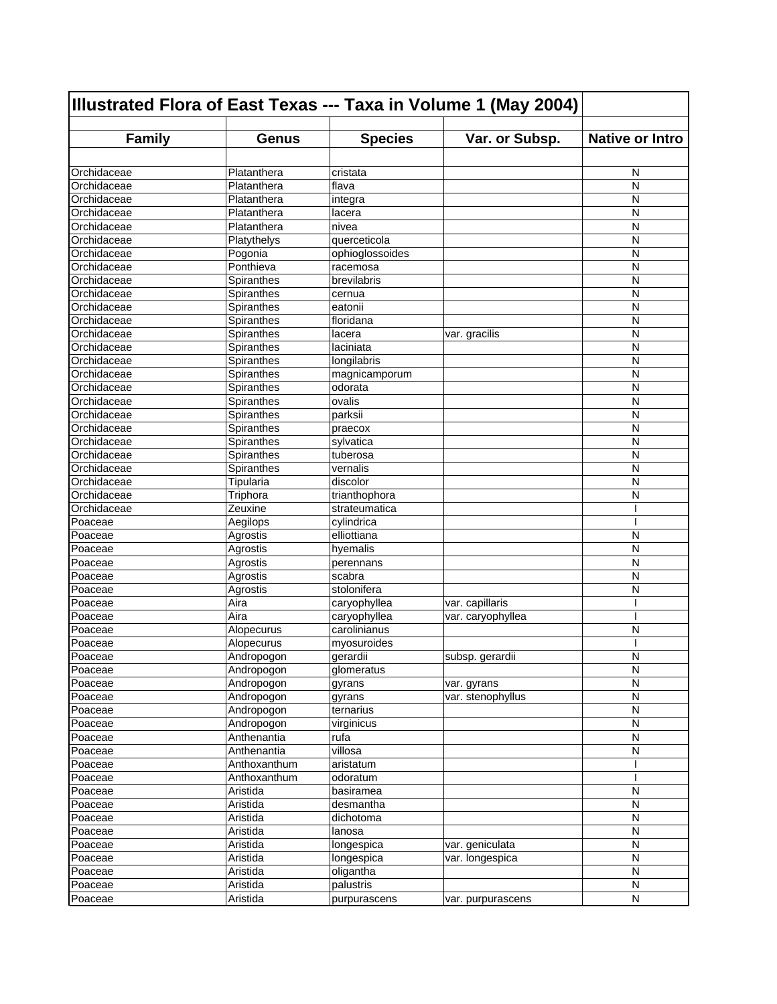| Illustrated Flora of East Texas --- Taxa in Volume 1 (May 2004) |                  |                          |                   |                        |
|-----------------------------------------------------------------|------------------|--------------------------|-------------------|------------------------|
| <b>Family</b>                                                   | <b>Genus</b>     | <b>Species</b>           | Var. or Subsp.    | <b>Native or Intro</b> |
|                                                                 |                  |                          |                   |                        |
| Orchidaceae                                                     | Platanthera      | cristata                 |                   | N                      |
| Orchidaceae                                                     | Platanthera      | flava                    |                   | N                      |
| Orchidaceae                                                     | Platanthera      |                          |                   | N                      |
| Orchidaceae                                                     | Platanthera      | integra<br>lacera        |                   | N                      |
| Orchidaceae                                                     | Platanthera      | nivea                    |                   | N                      |
| Orchidaceae                                                     | Platythelys      | querceticola             |                   | N                      |
| Orchidaceae                                                     | Pogonia          | ophioglossoides          |                   | N                      |
| Orchidaceae                                                     | Ponthieva        | racemosa                 |                   | N                      |
| Orchidaceae                                                     | Spiranthes       | brevilabris              |                   | N                      |
| Orchidaceae                                                     | Spiranthes       | cernua                   |                   | N                      |
| Orchidaceae                                                     | Spiranthes       | eatonii                  |                   | N                      |
| Orchidaceae                                                     | Spiranthes       | floridana                |                   | N                      |
| Orchidaceae                                                     | Spiranthes       | lacera                   | var. gracilis     | N                      |
| Orchidaceae                                                     | Spiranthes       | laciniata                |                   | N                      |
| Orchidaceae                                                     | Spiranthes       | longilabris              |                   | N                      |
| Orchidaceae                                                     | Spiranthes       |                          |                   | N                      |
| Orchidaceae                                                     | Spiranthes       | magnicamporum<br>odorata |                   | N                      |
| Orchidaceae                                                     |                  | ovalis                   |                   | N                      |
| Orchidaceae                                                     | Spiranthes       |                          |                   | N                      |
| Orchidaceae                                                     | Spiranthes       | parksii                  |                   |                        |
|                                                                 | Spiranthes       | praecox                  |                   | N                      |
| Orchidaceae                                                     | Spiranthes       | sylvatica                |                   | N                      |
| Orchidaceae                                                     | Spiranthes       | tuberosa                 |                   | N                      |
| Orchidaceae                                                     | Spiranthes       | vernalis                 |                   | N                      |
| Orchidaceae                                                     | <b>Tipularia</b> | discolor                 |                   | N                      |
| Orchidaceae                                                     | Triphora         | trianthophora            |                   | N                      |
| Orchidaceae                                                     | Zeuxine          | strateumatica            |                   |                        |
| Poaceae                                                         | Aegilops         | cylindrica               |                   |                        |
| Poaceae                                                         | Agrostis         | elliottiana              |                   | N                      |
| Poaceae                                                         | Agrostis         | hyemalis                 |                   | N                      |
| Poaceae                                                         | Agrostis         | perennans                |                   | N                      |
| Poaceae                                                         | Agrostis         | scabra                   |                   | N                      |
| Poaceae                                                         | Agrostis         | stolonifera              |                   | N                      |
| Poaceae                                                         | Aira             | caryophyllea             | var. capillaris   |                        |
| Poaceae                                                         | Aira             | caryophyllea             | var. caryophyllea |                        |
| Poaceae                                                         | Alopecurus       | carolinianus             |                   | N                      |
| Poaceae                                                         | Alopecurus       | myosuroides              |                   |                        |
| Poaceae                                                         | Andropogon       | gerardii                 | subsp. gerardii   | N                      |
| Poaceae                                                         | Andropogon       | glomeratus               |                   | N                      |
| Poaceae                                                         | Andropogon       | gyrans                   | var. gyrans       | N                      |
| Poaceae                                                         | Andropogon       | gyrans                   | var. stenophyllus | N                      |
| Poaceae                                                         | Andropogon       | ternarius                |                   | $\mathsf{N}$           |
| Poaceae                                                         | Andropogon       | virginicus               |                   | N                      |
| Poaceae                                                         | Anthenantia      | rufa                     |                   | N                      |
| Poaceae                                                         | Anthenantia      | villosa                  |                   | N                      |
| Poaceae                                                         | Anthoxanthum     | aristatum                |                   |                        |
| Poaceae                                                         | Anthoxanthum     | odoratum                 |                   |                        |
| Poaceae                                                         | Aristida         | basiramea                |                   | N                      |
| Poaceae                                                         | Aristida         | desmantha                |                   | N                      |
| Poaceae                                                         | Aristida         | dichotoma                |                   | N                      |
| Poaceae                                                         | Aristida         | lanosa                   |                   | N                      |
| Poaceae                                                         | Aristida         | longespica               | var. geniculata   | N                      |
| Poaceae                                                         | Aristida         | longespica               | var. longespica   | N                      |
| Poaceae                                                         | Aristida         | oligantha                |                   | N                      |
| Poaceae                                                         | Aristida         | palustris                |                   | N                      |
| Poaceae                                                         | Aristida         | purpurascens             | var. purpurascens | N                      |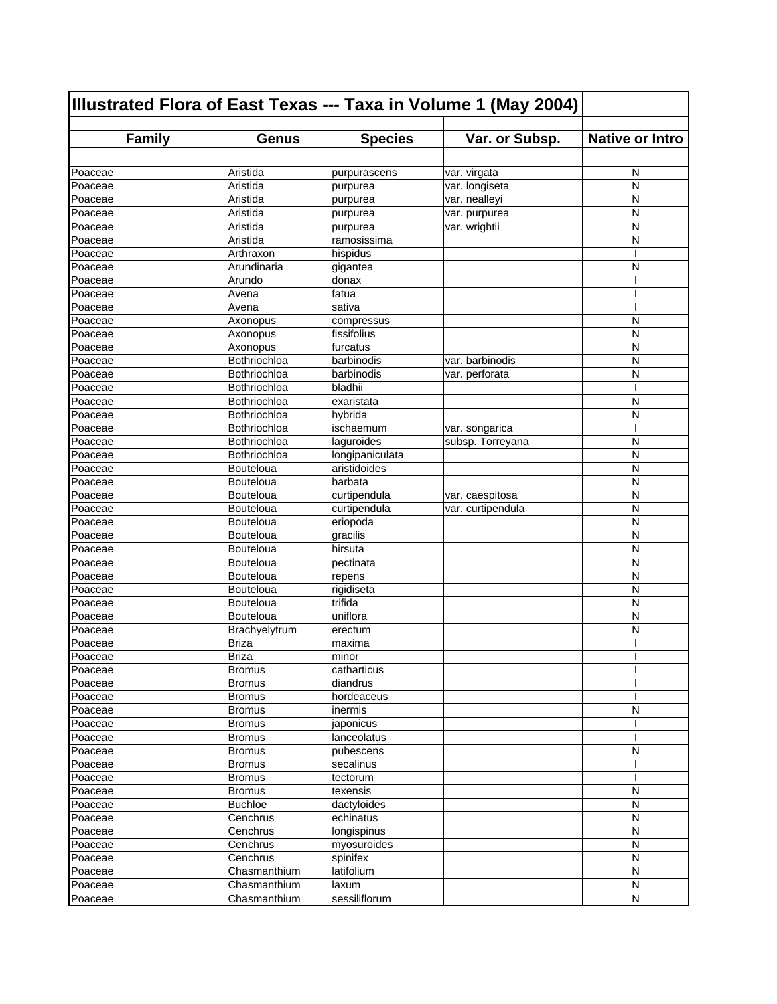| Illustrated Flora of East Texas --- Taxa in Volume 1 (May 2004) |                  |                 |                   |                        |
|-----------------------------------------------------------------|------------------|-----------------|-------------------|------------------------|
| <b>Family</b>                                                   | <b>Genus</b>     | <b>Species</b>  | Var. or Subsp.    | <b>Native or Intro</b> |
|                                                                 |                  |                 |                   |                        |
| Poaceae                                                         | Aristida         | purpurascens    | var. virgata      | N                      |
| Poaceae                                                         | Aristida         | purpurea        | var. longiseta    | N                      |
| Poaceae                                                         | Aristida         | purpurea        | var. nealleyi     | N                      |
| Poaceae                                                         | Aristida         | purpurea        | var. purpurea     | N                      |
| Poaceae                                                         | Aristida         | purpurea        | var. wrightii     | N                      |
| Poaceae                                                         | Aristida         | ramosissima     |                   | N                      |
| Poaceae                                                         | Arthraxon        | hispidus        |                   | ı                      |
| Poaceae                                                         | Arundinaria      | gigantea        |                   | N                      |
| Poaceae                                                         | Arundo           | donax           |                   |                        |
| Poaceae                                                         | Avena            | fatua           |                   | I                      |
| Poaceae                                                         | Avena            | sativa          |                   | I                      |
| Poaceae                                                         | Axonopus         | compressus      |                   | N                      |
| Poaceae                                                         | Axonopus         | fissifolius     |                   | N                      |
| Poaceae                                                         | Axonopus         | furcatus        |                   | N                      |
| Poaceae                                                         | Bothriochloa     | barbinodis      | var. barbinodis   | N                      |
| Poaceae                                                         | Bothriochloa     | barbinodis      | var. perforata    | N                      |
| Poaceae                                                         | Bothriochloa     | bladhii         |                   | ı                      |
| Poaceae                                                         | Bothriochloa     | exaristata      |                   | N                      |
| Poaceae                                                         | Bothriochloa     | hybrida         |                   | N                      |
| Poaceae                                                         | Bothriochloa     | ischaemum       | var. songarica    |                        |
| Poaceae                                                         | Bothriochloa     | laguroides      | subsp. Torreyana  | N                      |
| Poaceae                                                         | Bothriochloa     | longipaniculata |                   | N                      |
| Poaceae                                                         | Bouteloua        | aristidoides    |                   | N                      |
| Poaceae                                                         | Bouteloua        | barbata         |                   | N                      |
| Poaceae                                                         | Bouteloua        | curtipendula    | var. caespitosa   | N                      |
| Poaceae                                                         | Bouteloua        | curtipendula    | var. curtipendula | N                      |
| Poaceae                                                         | <b>Bouteloua</b> | eriopoda        |                   | N                      |
| Poaceae                                                         | Bouteloua        | gracilis        |                   | N                      |
| Poaceae                                                         | Bouteloua        | hirsuta         |                   | N                      |
| Poaceae                                                         | Bouteloua        | pectinata       |                   | N                      |
| Poaceae                                                         | Bouteloua        | repens          |                   | N                      |
| Poaceae                                                         | Bouteloua        | rigidiseta      |                   | N                      |
| Poaceae                                                         | Bouteloua        | trifida         |                   | N                      |
| Poaceae                                                         | Bouteloua        | uniflora        |                   | N                      |
| Poaceae                                                         | Brachyelytrum    | erectum         |                   | N                      |
| Poaceae                                                         | <b>Briza</b>     | maxima          |                   |                        |
| Poaceae                                                         | <b>Briza</b>     | minor           |                   |                        |
| Poaceae                                                         | <b>Bromus</b>    | catharticus     |                   | ı                      |
| Poaceae                                                         | Bromus           | diandrus        |                   |                        |
| Poaceae                                                         | <b>Bromus</b>    | hordeaceus      |                   |                        |
| Poaceae                                                         | <b>Bromus</b>    | inermis         |                   | N                      |
| Poaceae                                                         | Bromus           | japonicus       |                   |                        |
| Poaceae                                                         | <b>Bromus</b>    | lanceolatus     |                   | I                      |
| Poaceae                                                         | <b>Bromus</b>    | pubescens       |                   | N                      |
| Poaceae                                                         | <b>Bromus</b>    | secalinus       |                   |                        |
| Poaceae                                                         | <b>Bromus</b>    | tectorum        |                   |                        |
| Poaceae                                                         | <b>Bromus</b>    | texensis        |                   | $\mathsf{N}$           |
| Poaceae                                                         | <b>Buchloe</b>   | dactyloides     |                   | N                      |
| Poaceae                                                         | Cenchrus         | echinatus       |                   | N                      |
| Poaceae                                                         | Cenchrus         | longispinus     |                   | N                      |
| Poaceae                                                         | Cenchrus         | myosuroides     |                   | N                      |
| Poaceae                                                         | Cenchrus         | spinifex        |                   | N                      |
| Poaceae                                                         | Chasmanthium     | latifolium      |                   | N                      |
| Poaceae                                                         | Chasmanthium     | laxum           |                   | N                      |
| Poaceae                                                         | Chasmanthium     | sessiliflorum   |                   | ${\sf N}$              |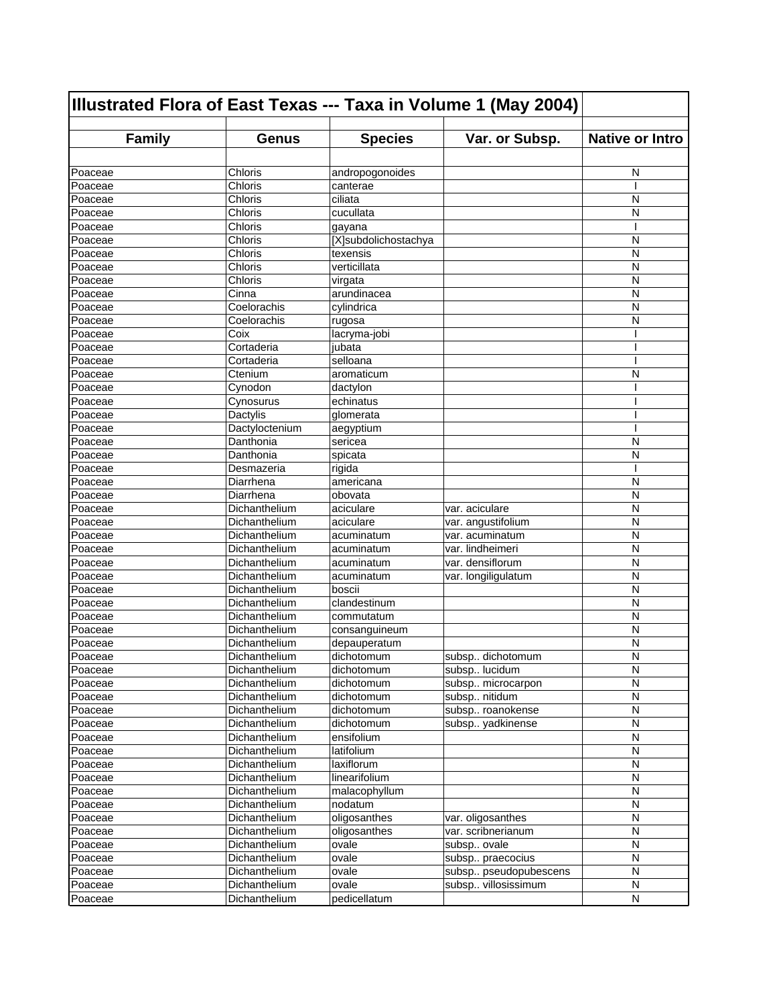| <b>Family</b><br><b>Species</b><br>Var. or Subsp.<br><b>Native or Intro</b><br><b>Genus</b><br>Chloris<br>andropogonoides<br>N<br>Poaceae<br>Chloris<br>Poaceae<br>canterae<br>Chloris<br>ciliata<br>Poaceae<br>N<br>Chloris<br>N<br>cucullata<br>Poaceae<br>Chloris<br>Poaceae<br>gayana<br>Chloris<br>[X]subdolichostachya<br>N<br>Chloris<br>Poaceae<br>texensis<br>N<br>verticillata<br>Chloris<br>N<br>Poaceae<br>Chloris<br>N<br>Poaceae<br>virgata<br>Cinna<br>N<br>arundinacea<br>Poaceae<br>Coelorachis<br>N<br>cylindrica<br>Poaceae<br>Coelorachis<br>N<br>Poaceae<br>rugosa<br>Coix<br>lacryma-jobi<br>I<br>Poaceae<br>Cortaderia<br>Poaceae<br>jubata<br>ı<br>selloana<br>Cortaderia<br>Poaceae<br>ı<br>Poaceae<br>Ctenium<br>N<br>aromaticum<br>Poaceae<br>Cynodon<br>dactylon<br>Cynosurus<br>echinatus<br>Poaceae<br>Dactylis<br>glomerata<br>Poaceae<br>Poaceae<br>Dactyloctenium<br>aegyptium<br>Danthonia<br>sericea<br>N<br>Poaceae<br>N<br>Danthonia<br>spicata<br>Poaceae<br>rigida<br>I<br>Desmazeria<br>Diarrhena<br>americana<br>N<br>Poaceae<br>Diarrhena<br>Poaceae<br>obovata<br>N<br>N<br>Dichanthelium<br>var. aciculare<br>Poaceae<br>aciculare<br>N<br>aciculare<br>var. angustifolium<br>Poaceae<br>Dichanthelium<br>N<br>Poaceae<br>Dichanthelium<br>var. acuminatum<br>acuminatum<br>Poaceae<br>Dichanthelium<br>var. lindheimeri<br>N<br>acuminatum<br>var. densiflorum<br>Dichanthelium<br>N<br>Poaceae<br>acuminatum<br>N<br>Dichanthelium<br>var. longiligulatum<br>Poaceae<br>acuminatum<br>Poaceae<br>Dichanthelium<br>boscii<br>N<br>Dichanthelium<br>Poaceae<br>clandestinum<br>N<br>N<br>Dichanthelium<br>Poaceae<br>commutatum<br>N<br>Dichanthelium<br>Poaceae<br>consanguineum<br>N<br>Poaceae<br>Dichanthelium<br>depauperatum<br>Poaceae<br>N<br>Dichanthelium<br>dichotomum<br>subsp dichotomum<br>${\sf N}$<br>Poaceae<br>Dichanthelium<br>subsp lucidum<br>dichotomum<br>N<br>Dichanthelium<br>dichotomum<br>subsp microcarpon<br>Poaceae<br>$\mathsf{N}$<br>Dichanthelium<br>dichotomum<br>subsp nitidum<br>Poaceae<br>Dichanthelium<br>subsp roanokense<br>N<br>Poaceae<br>dichotomum<br>subsp yadkinense<br>N<br>Poaceae<br>Dichanthelium<br>dichotomum<br>N<br>Dichanthelium<br>ensifolium<br>Poaceae<br>latifolium<br>N<br>Dichanthelium<br>Poaceae<br>$\mathsf{N}$<br>Dichanthelium<br>laxiflorum<br>Poaceae<br>Poaceae<br>Dichanthelium<br>linearifolium<br>N<br>malacophyllum<br>N<br>Poaceae<br>Dichanthelium<br>N<br>Dichanthelium<br>nodatum<br>Poaceae<br>$\mathsf{N}$<br>Dichanthelium<br>oligosanthes<br>Poaceae<br>var. oligosanthes<br>N<br>Dichanthelium<br>oligosanthes<br>var. scribnerianum<br>Poaceae<br>$\mathsf{N}$<br>Dichanthelium<br>ovale<br>subsp ovale<br>Poaceae<br>N<br>Dichanthelium<br>ovale<br>subsp praecocius<br>Poaceae<br>Dichanthelium<br>ovale<br>subsp pseudopubescens<br>N<br>Poaceae<br>Dichanthelium<br>ovale<br>subsp villosissimum<br>N<br>Poaceae<br>pedicellatum<br>${\sf N}$<br>Dichanthelium | Illustrated Flora of East Texas --- Taxa in Volume 1 (May 2004) |  |  |  |  |
|----------------------------------------------------------------------------------------------------------------------------------------------------------------------------------------------------------------------------------------------------------------------------------------------------------------------------------------------------------------------------------------------------------------------------------------------------------------------------------------------------------------------------------------------------------------------------------------------------------------------------------------------------------------------------------------------------------------------------------------------------------------------------------------------------------------------------------------------------------------------------------------------------------------------------------------------------------------------------------------------------------------------------------------------------------------------------------------------------------------------------------------------------------------------------------------------------------------------------------------------------------------------------------------------------------------------------------------------------------------------------------------------------------------------------------------------------------------------------------------------------------------------------------------------------------------------------------------------------------------------------------------------------------------------------------------------------------------------------------------------------------------------------------------------------------------------------------------------------------------------------------------------------------------------------------------------------------------------------------------------------------------------------------------------------------------------------------------------------------------------------------------------------------------------------------------------------------------------------------------------------------------------------------------------------------------------------------------------------------------------------------------------------------------------------------------------------------------------------------------------------------------------------------------------------------------------------------------------------------------------------------------------------------------------------------------------------------------------------------------------------------------------------------------------------------------------------------------------------------------------------------------------------------------------------------------------------------------------------------------------------|-----------------------------------------------------------------|--|--|--|--|
|                                                                                                                                                                                                                                                                                                                                                                                                                                                                                                                                                                                                                                                                                                                                                                                                                                                                                                                                                                                                                                                                                                                                                                                                                                                                                                                                                                                                                                                                                                                                                                                                                                                                                                                                                                                                                                                                                                                                                                                                                                                                                                                                                                                                                                                                                                                                                                                                                                                                                                                                                                                                                                                                                                                                                                                                                                                                                                                                                                                                    |                                                                 |  |  |  |  |
|                                                                                                                                                                                                                                                                                                                                                                                                                                                                                                                                                                                                                                                                                                                                                                                                                                                                                                                                                                                                                                                                                                                                                                                                                                                                                                                                                                                                                                                                                                                                                                                                                                                                                                                                                                                                                                                                                                                                                                                                                                                                                                                                                                                                                                                                                                                                                                                                                                                                                                                                                                                                                                                                                                                                                                                                                                                                                                                                                                                                    |                                                                 |  |  |  |  |
|                                                                                                                                                                                                                                                                                                                                                                                                                                                                                                                                                                                                                                                                                                                                                                                                                                                                                                                                                                                                                                                                                                                                                                                                                                                                                                                                                                                                                                                                                                                                                                                                                                                                                                                                                                                                                                                                                                                                                                                                                                                                                                                                                                                                                                                                                                                                                                                                                                                                                                                                                                                                                                                                                                                                                                                                                                                                                                                                                                                                    |                                                                 |  |  |  |  |
|                                                                                                                                                                                                                                                                                                                                                                                                                                                                                                                                                                                                                                                                                                                                                                                                                                                                                                                                                                                                                                                                                                                                                                                                                                                                                                                                                                                                                                                                                                                                                                                                                                                                                                                                                                                                                                                                                                                                                                                                                                                                                                                                                                                                                                                                                                                                                                                                                                                                                                                                                                                                                                                                                                                                                                                                                                                                                                                                                                                                    |                                                                 |  |  |  |  |
|                                                                                                                                                                                                                                                                                                                                                                                                                                                                                                                                                                                                                                                                                                                                                                                                                                                                                                                                                                                                                                                                                                                                                                                                                                                                                                                                                                                                                                                                                                                                                                                                                                                                                                                                                                                                                                                                                                                                                                                                                                                                                                                                                                                                                                                                                                                                                                                                                                                                                                                                                                                                                                                                                                                                                                                                                                                                                                                                                                                                    |                                                                 |  |  |  |  |
|                                                                                                                                                                                                                                                                                                                                                                                                                                                                                                                                                                                                                                                                                                                                                                                                                                                                                                                                                                                                                                                                                                                                                                                                                                                                                                                                                                                                                                                                                                                                                                                                                                                                                                                                                                                                                                                                                                                                                                                                                                                                                                                                                                                                                                                                                                                                                                                                                                                                                                                                                                                                                                                                                                                                                                                                                                                                                                                                                                                                    |                                                                 |  |  |  |  |
|                                                                                                                                                                                                                                                                                                                                                                                                                                                                                                                                                                                                                                                                                                                                                                                                                                                                                                                                                                                                                                                                                                                                                                                                                                                                                                                                                                                                                                                                                                                                                                                                                                                                                                                                                                                                                                                                                                                                                                                                                                                                                                                                                                                                                                                                                                                                                                                                                                                                                                                                                                                                                                                                                                                                                                                                                                                                                                                                                                                                    |                                                                 |  |  |  |  |
|                                                                                                                                                                                                                                                                                                                                                                                                                                                                                                                                                                                                                                                                                                                                                                                                                                                                                                                                                                                                                                                                                                                                                                                                                                                                                                                                                                                                                                                                                                                                                                                                                                                                                                                                                                                                                                                                                                                                                                                                                                                                                                                                                                                                                                                                                                                                                                                                                                                                                                                                                                                                                                                                                                                                                                                                                                                                                                                                                                                                    | Poaceae                                                         |  |  |  |  |
|                                                                                                                                                                                                                                                                                                                                                                                                                                                                                                                                                                                                                                                                                                                                                                                                                                                                                                                                                                                                                                                                                                                                                                                                                                                                                                                                                                                                                                                                                                                                                                                                                                                                                                                                                                                                                                                                                                                                                                                                                                                                                                                                                                                                                                                                                                                                                                                                                                                                                                                                                                                                                                                                                                                                                                                                                                                                                                                                                                                                    |                                                                 |  |  |  |  |
|                                                                                                                                                                                                                                                                                                                                                                                                                                                                                                                                                                                                                                                                                                                                                                                                                                                                                                                                                                                                                                                                                                                                                                                                                                                                                                                                                                                                                                                                                                                                                                                                                                                                                                                                                                                                                                                                                                                                                                                                                                                                                                                                                                                                                                                                                                                                                                                                                                                                                                                                                                                                                                                                                                                                                                                                                                                                                                                                                                                                    |                                                                 |  |  |  |  |
|                                                                                                                                                                                                                                                                                                                                                                                                                                                                                                                                                                                                                                                                                                                                                                                                                                                                                                                                                                                                                                                                                                                                                                                                                                                                                                                                                                                                                                                                                                                                                                                                                                                                                                                                                                                                                                                                                                                                                                                                                                                                                                                                                                                                                                                                                                                                                                                                                                                                                                                                                                                                                                                                                                                                                                                                                                                                                                                                                                                                    |                                                                 |  |  |  |  |
|                                                                                                                                                                                                                                                                                                                                                                                                                                                                                                                                                                                                                                                                                                                                                                                                                                                                                                                                                                                                                                                                                                                                                                                                                                                                                                                                                                                                                                                                                                                                                                                                                                                                                                                                                                                                                                                                                                                                                                                                                                                                                                                                                                                                                                                                                                                                                                                                                                                                                                                                                                                                                                                                                                                                                                                                                                                                                                                                                                                                    |                                                                 |  |  |  |  |
|                                                                                                                                                                                                                                                                                                                                                                                                                                                                                                                                                                                                                                                                                                                                                                                                                                                                                                                                                                                                                                                                                                                                                                                                                                                                                                                                                                                                                                                                                                                                                                                                                                                                                                                                                                                                                                                                                                                                                                                                                                                                                                                                                                                                                                                                                                                                                                                                                                                                                                                                                                                                                                                                                                                                                                                                                                                                                                                                                                                                    |                                                                 |  |  |  |  |
|                                                                                                                                                                                                                                                                                                                                                                                                                                                                                                                                                                                                                                                                                                                                                                                                                                                                                                                                                                                                                                                                                                                                                                                                                                                                                                                                                                                                                                                                                                                                                                                                                                                                                                                                                                                                                                                                                                                                                                                                                                                                                                                                                                                                                                                                                                                                                                                                                                                                                                                                                                                                                                                                                                                                                                                                                                                                                                                                                                                                    |                                                                 |  |  |  |  |
|                                                                                                                                                                                                                                                                                                                                                                                                                                                                                                                                                                                                                                                                                                                                                                                                                                                                                                                                                                                                                                                                                                                                                                                                                                                                                                                                                                                                                                                                                                                                                                                                                                                                                                                                                                                                                                                                                                                                                                                                                                                                                                                                                                                                                                                                                                                                                                                                                                                                                                                                                                                                                                                                                                                                                                                                                                                                                                                                                                                                    |                                                                 |  |  |  |  |
|                                                                                                                                                                                                                                                                                                                                                                                                                                                                                                                                                                                                                                                                                                                                                                                                                                                                                                                                                                                                                                                                                                                                                                                                                                                                                                                                                                                                                                                                                                                                                                                                                                                                                                                                                                                                                                                                                                                                                                                                                                                                                                                                                                                                                                                                                                                                                                                                                                                                                                                                                                                                                                                                                                                                                                                                                                                                                                                                                                                                    |                                                                 |  |  |  |  |
|                                                                                                                                                                                                                                                                                                                                                                                                                                                                                                                                                                                                                                                                                                                                                                                                                                                                                                                                                                                                                                                                                                                                                                                                                                                                                                                                                                                                                                                                                                                                                                                                                                                                                                                                                                                                                                                                                                                                                                                                                                                                                                                                                                                                                                                                                                                                                                                                                                                                                                                                                                                                                                                                                                                                                                                                                                                                                                                                                                                                    |                                                                 |  |  |  |  |
|                                                                                                                                                                                                                                                                                                                                                                                                                                                                                                                                                                                                                                                                                                                                                                                                                                                                                                                                                                                                                                                                                                                                                                                                                                                                                                                                                                                                                                                                                                                                                                                                                                                                                                                                                                                                                                                                                                                                                                                                                                                                                                                                                                                                                                                                                                                                                                                                                                                                                                                                                                                                                                                                                                                                                                                                                                                                                                                                                                                                    |                                                                 |  |  |  |  |
|                                                                                                                                                                                                                                                                                                                                                                                                                                                                                                                                                                                                                                                                                                                                                                                                                                                                                                                                                                                                                                                                                                                                                                                                                                                                                                                                                                                                                                                                                                                                                                                                                                                                                                                                                                                                                                                                                                                                                                                                                                                                                                                                                                                                                                                                                                                                                                                                                                                                                                                                                                                                                                                                                                                                                                                                                                                                                                                                                                                                    |                                                                 |  |  |  |  |
|                                                                                                                                                                                                                                                                                                                                                                                                                                                                                                                                                                                                                                                                                                                                                                                                                                                                                                                                                                                                                                                                                                                                                                                                                                                                                                                                                                                                                                                                                                                                                                                                                                                                                                                                                                                                                                                                                                                                                                                                                                                                                                                                                                                                                                                                                                                                                                                                                                                                                                                                                                                                                                                                                                                                                                                                                                                                                                                                                                                                    |                                                                 |  |  |  |  |
|                                                                                                                                                                                                                                                                                                                                                                                                                                                                                                                                                                                                                                                                                                                                                                                                                                                                                                                                                                                                                                                                                                                                                                                                                                                                                                                                                                                                                                                                                                                                                                                                                                                                                                                                                                                                                                                                                                                                                                                                                                                                                                                                                                                                                                                                                                                                                                                                                                                                                                                                                                                                                                                                                                                                                                                                                                                                                                                                                                                                    |                                                                 |  |  |  |  |
|                                                                                                                                                                                                                                                                                                                                                                                                                                                                                                                                                                                                                                                                                                                                                                                                                                                                                                                                                                                                                                                                                                                                                                                                                                                                                                                                                                                                                                                                                                                                                                                                                                                                                                                                                                                                                                                                                                                                                                                                                                                                                                                                                                                                                                                                                                                                                                                                                                                                                                                                                                                                                                                                                                                                                                                                                                                                                                                                                                                                    |                                                                 |  |  |  |  |
|                                                                                                                                                                                                                                                                                                                                                                                                                                                                                                                                                                                                                                                                                                                                                                                                                                                                                                                                                                                                                                                                                                                                                                                                                                                                                                                                                                                                                                                                                                                                                                                                                                                                                                                                                                                                                                                                                                                                                                                                                                                                                                                                                                                                                                                                                                                                                                                                                                                                                                                                                                                                                                                                                                                                                                                                                                                                                                                                                                                                    |                                                                 |  |  |  |  |
|                                                                                                                                                                                                                                                                                                                                                                                                                                                                                                                                                                                                                                                                                                                                                                                                                                                                                                                                                                                                                                                                                                                                                                                                                                                                                                                                                                                                                                                                                                                                                                                                                                                                                                                                                                                                                                                                                                                                                                                                                                                                                                                                                                                                                                                                                                                                                                                                                                                                                                                                                                                                                                                                                                                                                                                                                                                                                                                                                                                                    |                                                                 |  |  |  |  |
|                                                                                                                                                                                                                                                                                                                                                                                                                                                                                                                                                                                                                                                                                                                                                                                                                                                                                                                                                                                                                                                                                                                                                                                                                                                                                                                                                                                                                                                                                                                                                                                                                                                                                                                                                                                                                                                                                                                                                                                                                                                                                                                                                                                                                                                                                                                                                                                                                                                                                                                                                                                                                                                                                                                                                                                                                                                                                                                                                                                                    | Poaceae                                                         |  |  |  |  |
|                                                                                                                                                                                                                                                                                                                                                                                                                                                                                                                                                                                                                                                                                                                                                                                                                                                                                                                                                                                                                                                                                                                                                                                                                                                                                                                                                                                                                                                                                                                                                                                                                                                                                                                                                                                                                                                                                                                                                                                                                                                                                                                                                                                                                                                                                                                                                                                                                                                                                                                                                                                                                                                                                                                                                                                                                                                                                                                                                                                                    |                                                                 |  |  |  |  |
|                                                                                                                                                                                                                                                                                                                                                                                                                                                                                                                                                                                                                                                                                                                                                                                                                                                                                                                                                                                                                                                                                                                                                                                                                                                                                                                                                                                                                                                                                                                                                                                                                                                                                                                                                                                                                                                                                                                                                                                                                                                                                                                                                                                                                                                                                                                                                                                                                                                                                                                                                                                                                                                                                                                                                                                                                                                                                                                                                                                                    |                                                                 |  |  |  |  |
|                                                                                                                                                                                                                                                                                                                                                                                                                                                                                                                                                                                                                                                                                                                                                                                                                                                                                                                                                                                                                                                                                                                                                                                                                                                                                                                                                                                                                                                                                                                                                                                                                                                                                                                                                                                                                                                                                                                                                                                                                                                                                                                                                                                                                                                                                                                                                                                                                                                                                                                                                                                                                                                                                                                                                                                                                                                                                                                                                                                                    |                                                                 |  |  |  |  |
|                                                                                                                                                                                                                                                                                                                                                                                                                                                                                                                                                                                                                                                                                                                                                                                                                                                                                                                                                                                                                                                                                                                                                                                                                                                                                                                                                                                                                                                                                                                                                                                                                                                                                                                                                                                                                                                                                                                                                                                                                                                                                                                                                                                                                                                                                                                                                                                                                                                                                                                                                                                                                                                                                                                                                                                                                                                                                                                                                                                                    |                                                                 |  |  |  |  |
|                                                                                                                                                                                                                                                                                                                                                                                                                                                                                                                                                                                                                                                                                                                                                                                                                                                                                                                                                                                                                                                                                                                                                                                                                                                                                                                                                                                                                                                                                                                                                                                                                                                                                                                                                                                                                                                                                                                                                                                                                                                                                                                                                                                                                                                                                                                                                                                                                                                                                                                                                                                                                                                                                                                                                                                                                                                                                                                                                                                                    |                                                                 |  |  |  |  |
|                                                                                                                                                                                                                                                                                                                                                                                                                                                                                                                                                                                                                                                                                                                                                                                                                                                                                                                                                                                                                                                                                                                                                                                                                                                                                                                                                                                                                                                                                                                                                                                                                                                                                                                                                                                                                                                                                                                                                                                                                                                                                                                                                                                                                                                                                                                                                                                                                                                                                                                                                                                                                                                                                                                                                                                                                                                                                                                                                                                                    |                                                                 |  |  |  |  |
|                                                                                                                                                                                                                                                                                                                                                                                                                                                                                                                                                                                                                                                                                                                                                                                                                                                                                                                                                                                                                                                                                                                                                                                                                                                                                                                                                                                                                                                                                                                                                                                                                                                                                                                                                                                                                                                                                                                                                                                                                                                                                                                                                                                                                                                                                                                                                                                                                                                                                                                                                                                                                                                                                                                                                                                                                                                                                                                                                                                                    |                                                                 |  |  |  |  |
|                                                                                                                                                                                                                                                                                                                                                                                                                                                                                                                                                                                                                                                                                                                                                                                                                                                                                                                                                                                                                                                                                                                                                                                                                                                                                                                                                                                                                                                                                                                                                                                                                                                                                                                                                                                                                                                                                                                                                                                                                                                                                                                                                                                                                                                                                                                                                                                                                                                                                                                                                                                                                                                                                                                                                                                                                                                                                                                                                                                                    |                                                                 |  |  |  |  |
|                                                                                                                                                                                                                                                                                                                                                                                                                                                                                                                                                                                                                                                                                                                                                                                                                                                                                                                                                                                                                                                                                                                                                                                                                                                                                                                                                                                                                                                                                                                                                                                                                                                                                                                                                                                                                                                                                                                                                                                                                                                                                                                                                                                                                                                                                                                                                                                                                                                                                                                                                                                                                                                                                                                                                                                                                                                                                                                                                                                                    |                                                                 |  |  |  |  |
|                                                                                                                                                                                                                                                                                                                                                                                                                                                                                                                                                                                                                                                                                                                                                                                                                                                                                                                                                                                                                                                                                                                                                                                                                                                                                                                                                                                                                                                                                                                                                                                                                                                                                                                                                                                                                                                                                                                                                                                                                                                                                                                                                                                                                                                                                                                                                                                                                                                                                                                                                                                                                                                                                                                                                                                                                                                                                                                                                                                                    |                                                                 |  |  |  |  |
|                                                                                                                                                                                                                                                                                                                                                                                                                                                                                                                                                                                                                                                                                                                                                                                                                                                                                                                                                                                                                                                                                                                                                                                                                                                                                                                                                                                                                                                                                                                                                                                                                                                                                                                                                                                                                                                                                                                                                                                                                                                                                                                                                                                                                                                                                                                                                                                                                                                                                                                                                                                                                                                                                                                                                                                                                                                                                                                                                                                                    |                                                                 |  |  |  |  |
|                                                                                                                                                                                                                                                                                                                                                                                                                                                                                                                                                                                                                                                                                                                                                                                                                                                                                                                                                                                                                                                                                                                                                                                                                                                                                                                                                                                                                                                                                                                                                                                                                                                                                                                                                                                                                                                                                                                                                                                                                                                                                                                                                                                                                                                                                                                                                                                                                                                                                                                                                                                                                                                                                                                                                                                                                                                                                                                                                                                                    |                                                                 |  |  |  |  |
|                                                                                                                                                                                                                                                                                                                                                                                                                                                                                                                                                                                                                                                                                                                                                                                                                                                                                                                                                                                                                                                                                                                                                                                                                                                                                                                                                                                                                                                                                                                                                                                                                                                                                                                                                                                                                                                                                                                                                                                                                                                                                                                                                                                                                                                                                                                                                                                                                                                                                                                                                                                                                                                                                                                                                                                                                                                                                                                                                                                                    |                                                                 |  |  |  |  |
|                                                                                                                                                                                                                                                                                                                                                                                                                                                                                                                                                                                                                                                                                                                                                                                                                                                                                                                                                                                                                                                                                                                                                                                                                                                                                                                                                                                                                                                                                                                                                                                                                                                                                                                                                                                                                                                                                                                                                                                                                                                                                                                                                                                                                                                                                                                                                                                                                                                                                                                                                                                                                                                                                                                                                                                                                                                                                                                                                                                                    |                                                                 |  |  |  |  |
|                                                                                                                                                                                                                                                                                                                                                                                                                                                                                                                                                                                                                                                                                                                                                                                                                                                                                                                                                                                                                                                                                                                                                                                                                                                                                                                                                                                                                                                                                                                                                                                                                                                                                                                                                                                                                                                                                                                                                                                                                                                                                                                                                                                                                                                                                                                                                                                                                                                                                                                                                                                                                                                                                                                                                                                                                                                                                                                                                                                                    |                                                                 |  |  |  |  |
|                                                                                                                                                                                                                                                                                                                                                                                                                                                                                                                                                                                                                                                                                                                                                                                                                                                                                                                                                                                                                                                                                                                                                                                                                                                                                                                                                                                                                                                                                                                                                                                                                                                                                                                                                                                                                                                                                                                                                                                                                                                                                                                                                                                                                                                                                                                                                                                                                                                                                                                                                                                                                                                                                                                                                                                                                                                                                                                                                                                                    |                                                                 |  |  |  |  |
|                                                                                                                                                                                                                                                                                                                                                                                                                                                                                                                                                                                                                                                                                                                                                                                                                                                                                                                                                                                                                                                                                                                                                                                                                                                                                                                                                                                                                                                                                                                                                                                                                                                                                                                                                                                                                                                                                                                                                                                                                                                                                                                                                                                                                                                                                                                                                                                                                                                                                                                                                                                                                                                                                                                                                                                                                                                                                                                                                                                                    |                                                                 |  |  |  |  |
|                                                                                                                                                                                                                                                                                                                                                                                                                                                                                                                                                                                                                                                                                                                                                                                                                                                                                                                                                                                                                                                                                                                                                                                                                                                                                                                                                                                                                                                                                                                                                                                                                                                                                                                                                                                                                                                                                                                                                                                                                                                                                                                                                                                                                                                                                                                                                                                                                                                                                                                                                                                                                                                                                                                                                                                                                                                                                                                                                                                                    |                                                                 |  |  |  |  |
|                                                                                                                                                                                                                                                                                                                                                                                                                                                                                                                                                                                                                                                                                                                                                                                                                                                                                                                                                                                                                                                                                                                                                                                                                                                                                                                                                                                                                                                                                                                                                                                                                                                                                                                                                                                                                                                                                                                                                                                                                                                                                                                                                                                                                                                                                                                                                                                                                                                                                                                                                                                                                                                                                                                                                                                                                                                                                                                                                                                                    |                                                                 |  |  |  |  |
|                                                                                                                                                                                                                                                                                                                                                                                                                                                                                                                                                                                                                                                                                                                                                                                                                                                                                                                                                                                                                                                                                                                                                                                                                                                                                                                                                                                                                                                                                                                                                                                                                                                                                                                                                                                                                                                                                                                                                                                                                                                                                                                                                                                                                                                                                                                                                                                                                                                                                                                                                                                                                                                                                                                                                                                                                                                                                                                                                                                                    |                                                                 |  |  |  |  |
|                                                                                                                                                                                                                                                                                                                                                                                                                                                                                                                                                                                                                                                                                                                                                                                                                                                                                                                                                                                                                                                                                                                                                                                                                                                                                                                                                                                                                                                                                                                                                                                                                                                                                                                                                                                                                                                                                                                                                                                                                                                                                                                                                                                                                                                                                                                                                                                                                                                                                                                                                                                                                                                                                                                                                                                                                                                                                                                                                                                                    |                                                                 |  |  |  |  |
|                                                                                                                                                                                                                                                                                                                                                                                                                                                                                                                                                                                                                                                                                                                                                                                                                                                                                                                                                                                                                                                                                                                                                                                                                                                                                                                                                                                                                                                                                                                                                                                                                                                                                                                                                                                                                                                                                                                                                                                                                                                                                                                                                                                                                                                                                                                                                                                                                                                                                                                                                                                                                                                                                                                                                                                                                                                                                                                                                                                                    |                                                                 |  |  |  |  |
|                                                                                                                                                                                                                                                                                                                                                                                                                                                                                                                                                                                                                                                                                                                                                                                                                                                                                                                                                                                                                                                                                                                                                                                                                                                                                                                                                                                                                                                                                                                                                                                                                                                                                                                                                                                                                                                                                                                                                                                                                                                                                                                                                                                                                                                                                                                                                                                                                                                                                                                                                                                                                                                                                                                                                                                                                                                                                                                                                                                                    |                                                                 |  |  |  |  |
|                                                                                                                                                                                                                                                                                                                                                                                                                                                                                                                                                                                                                                                                                                                                                                                                                                                                                                                                                                                                                                                                                                                                                                                                                                                                                                                                                                                                                                                                                                                                                                                                                                                                                                                                                                                                                                                                                                                                                                                                                                                                                                                                                                                                                                                                                                                                                                                                                                                                                                                                                                                                                                                                                                                                                                                                                                                                                                                                                                                                    |                                                                 |  |  |  |  |
|                                                                                                                                                                                                                                                                                                                                                                                                                                                                                                                                                                                                                                                                                                                                                                                                                                                                                                                                                                                                                                                                                                                                                                                                                                                                                                                                                                                                                                                                                                                                                                                                                                                                                                                                                                                                                                                                                                                                                                                                                                                                                                                                                                                                                                                                                                                                                                                                                                                                                                                                                                                                                                                                                                                                                                                                                                                                                                                                                                                                    |                                                                 |  |  |  |  |
|                                                                                                                                                                                                                                                                                                                                                                                                                                                                                                                                                                                                                                                                                                                                                                                                                                                                                                                                                                                                                                                                                                                                                                                                                                                                                                                                                                                                                                                                                                                                                                                                                                                                                                                                                                                                                                                                                                                                                                                                                                                                                                                                                                                                                                                                                                                                                                                                                                                                                                                                                                                                                                                                                                                                                                                                                                                                                                                                                                                                    |                                                                 |  |  |  |  |
|                                                                                                                                                                                                                                                                                                                                                                                                                                                                                                                                                                                                                                                                                                                                                                                                                                                                                                                                                                                                                                                                                                                                                                                                                                                                                                                                                                                                                                                                                                                                                                                                                                                                                                                                                                                                                                                                                                                                                                                                                                                                                                                                                                                                                                                                                                                                                                                                                                                                                                                                                                                                                                                                                                                                                                                                                                                                                                                                                                                                    |                                                                 |  |  |  |  |
|                                                                                                                                                                                                                                                                                                                                                                                                                                                                                                                                                                                                                                                                                                                                                                                                                                                                                                                                                                                                                                                                                                                                                                                                                                                                                                                                                                                                                                                                                                                                                                                                                                                                                                                                                                                                                                                                                                                                                                                                                                                                                                                                                                                                                                                                                                                                                                                                                                                                                                                                                                                                                                                                                                                                                                                                                                                                                                                                                                                                    |                                                                 |  |  |  |  |
|                                                                                                                                                                                                                                                                                                                                                                                                                                                                                                                                                                                                                                                                                                                                                                                                                                                                                                                                                                                                                                                                                                                                                                                                                                                                                                                                                                                                                                                                                                                                                                                                                                                                                                                                                                                                                                                                                                                                                                                                                                                                                                                                                                                                                                                                                                                                                                                                                                                                                                                                                                                                                                                                                                                                                                                                                                                                                                                                                                                                    |                                                                 |  |  |  |  |
|                                                                                                                                                                                                                                                                                                                                                                                                                                                                                                                                                                                                                                                                                                                                                                                                                                                                                                                                                                                                                                                                                                                                                                                                                                                                                                                                                                                                                                                                                                                                                                                                                                                                                                                                                                                                                                                                                                                                                                                                                                                                                                                                                                                                                                                                                                                                                                                                                                                                                                                                                                                                                                                                                                                                                                                                                                                                                                                                                                                                    |                                                                 |  |  |  |  |
|                                                                                                                                                                                                                                                                                                                                                                                                                                                                                                                                                                                                                                                                                                                                                                                                                                                                                                                                                                                                                                                                                                                                                                                                                                                                                                                                                                                                                                                                                                                                                                                                                                                                                                                                                                                                                                                                                                                                                                                                                                                                                                                                                                                                                                                                                                                                                                                                                                                                                                                                                                                                                                                                                                                                                                                                                                                                                                                                                                                                    | Poaceae                                                         |  |  |  |  |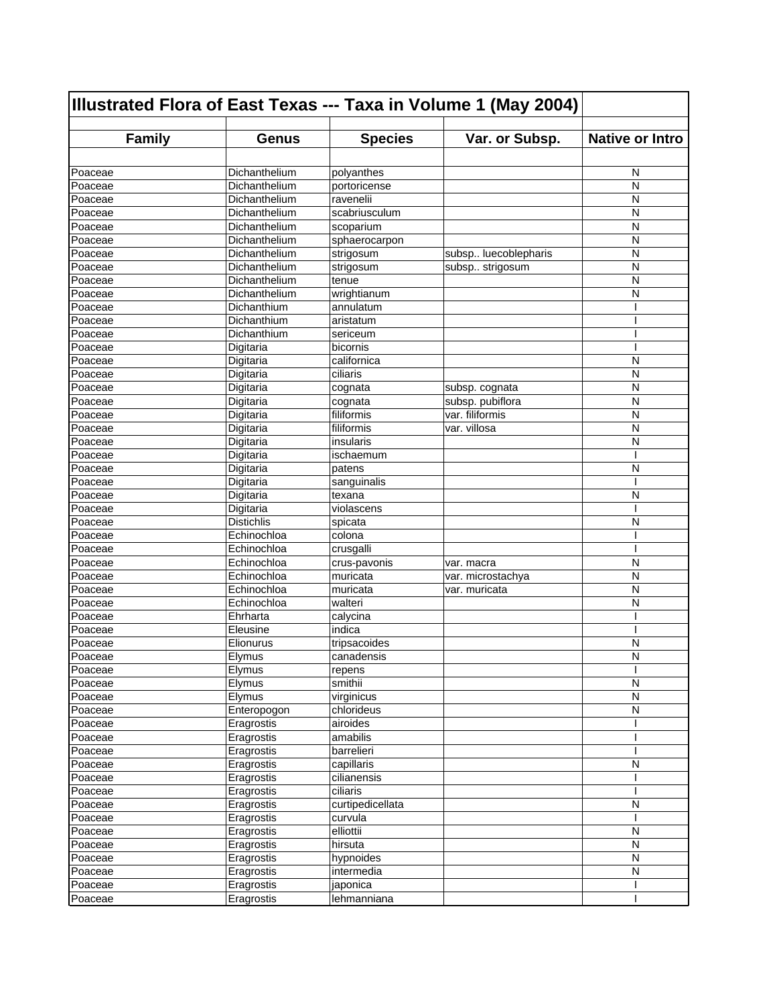| Illustrated Flora of East Texas --- Taxa in Volume 1 (May 2004) |                   |                  |                      |                        |
|-----------------------------------------------------------------|-------------------|------------------|----------------------|------------------------|
| <b>Family</b>                                                   | <b>Genus</b>      | <b>Species</b>   | Var. or Subsp.       | <b>Native or Intro</b> |
|                                                                 |                   |                  |                      |                        |
| Poaceae                                                         | Dichanthelium     | polyanthes       |                      | N                      |
| Poaceae                                                         | Dichanthelium     | portoricense     |                      | N                      |
| Poaceae                                                         | Dichanthelium     | ravenelii        |                      | N                      |
| Poaceae                                                         | Dichanthelium     | scabriusculum    |                      | N                      |
| Poaceae                                                         | Dichanthelium     | scoparium        |                      | N                      |
| Poaceae                                                         | Dichanthelium     | sphaerocarpon    |                      | N                      |
| Poaceae                                                         | Dichanthelium     | strigosum        | subsp luecoblepharis | N                      |
| Poaceae                                                         | Dichanthelium     | strigosum        | subsp strigosum      | N                      |
| Poaceae                                                         | Dichanthelium     | tenue            |                      | N                      |
| Poaceae                                                         | Dichanthelium     | wrightianum      |                      | N                      |
| Poaceae                                                         | Dichanthium       | annulatum        |                      |                        |
| Poaceae                                                         | Dichanthium       | aristatum        |                      |                        |
| Poaceae                                                         | Dichanthium       | sericeum         |                      |                        |
| Poaceae                                                         | Digitaria         | bicornis         |                      | I                      |
| Poaceae                                                         | Digitaria         | californica      |                      | N                      |
| Poaceae                                                         | Digitaria         | ciliaris         |                      | N                      |
| Poaceae                                                         | Digitaria         | cognata          | subsp. cognata       | N                      |
| Poaceae                                                         | Digitaria         | cognata          | subsp. pubiflora     | N                      |
| Poaceae                                                         | Digitaria         | filiformis       | var. filiformis      | N                      |
| Poaceae                                                         | Digitaria         | filiformis       | var. villosa         | N                      |
| Poaceae                                                         | Digitaria         | insularis        |                      | N                      |
| Poaceae                                                         | Digitaria         | ischaemum        |                      | T                      |
| Poaceae                                                         | Digitaria         | patens           |                      | N                      |
| Poaceae                                                         | Digitaria         | sanguinalis      |                      |                        |
| Poaceae                                                         | Digitaria         | texana           |                      | N                      |
| Poaceae                                                         | Digitaria         | violascens       |                      |                        |
| Poaceae                                                         | <b>Distichlis</b> | spicata          |                      | N                      |
| Poaceae                                                         | Echinochloa       | colona           |                      |                        |
| Poaceae                                                         | Echinochloa       | crusgalli        |                      |                        |
| Poaceae                                                         | Echinochloa       | crus-pavonis     | var. macra           | N                      |
| Poaceae                                                         | Echinochloa       | muricata         | var. microstachya    | N                      |
| Poaceae                                                         | Echinochloa       | muricata         | var. muricata        | N                      |
| Poaceae                                                         | Echinochloa       | walteri          |                      | N                      |
| Poaceae                                                         | Ehrharta          | calycina         |                      | ı                      |
| Poaceae                                                         | Eleusine          | indica           |                      |                        |
| Poaceae                                                         | Elionurus         | tripsacoides     |                      | N                      |
| Poaceae                                                         | Elymus            | canadensis       |                      | N                      |
| Poaceae                                                         | Elymus            | repens           |                      | I                      |
| Poaceae                                                         | Elymus            | smithii          |                      | N                      |
| Poaceae                                                         | Elymus            | virginicus       |                      | N                      |
| Poaceae                                                         | Enteropogon       | chlorideus       |                      | N                      |
| Poaceae                                                         | Eragrostis        | airoides         |                      |                        |
| Poaceae                                                         | Eragrostis        | amabilis         |                      |                        |
| Poaceae                                                         | Eragrostis        | barrelieri       |                      |                        |
| Poaceae                                                         | Eragrostis        | capillaris       |                      | N                      |
| Poaceae                                                         | Eragrostis        | cilianensis      |                      |                        |
| Poaceae                                                         | Eragrostis        | ciliaris         |                      |                        |
| Poaceae                                                         | Eragrostis        | curtipedicellata |                      | N                      |
| Poaceae                                                         | Eragrostis        | curvula          |                      | I                      |
| Poaceae                                                         | Eragrostis        | elliottii        |                      | N                      |
| Poaceae                                                         | Eragrostis        | hirsuta          |                      | N                      |
| Poaceae                                                         | Eragrostis        | hypnoides        |                      | N                      |
| Poaceae                                                         | Eragrostis        | intermedia       |                      | N                      |
| Poaceae                                                         | Eragrostis        | japonica         |                      |                        |
| Poaceae                                                         | Eragrostis        | lehmanniana      |                      |                        |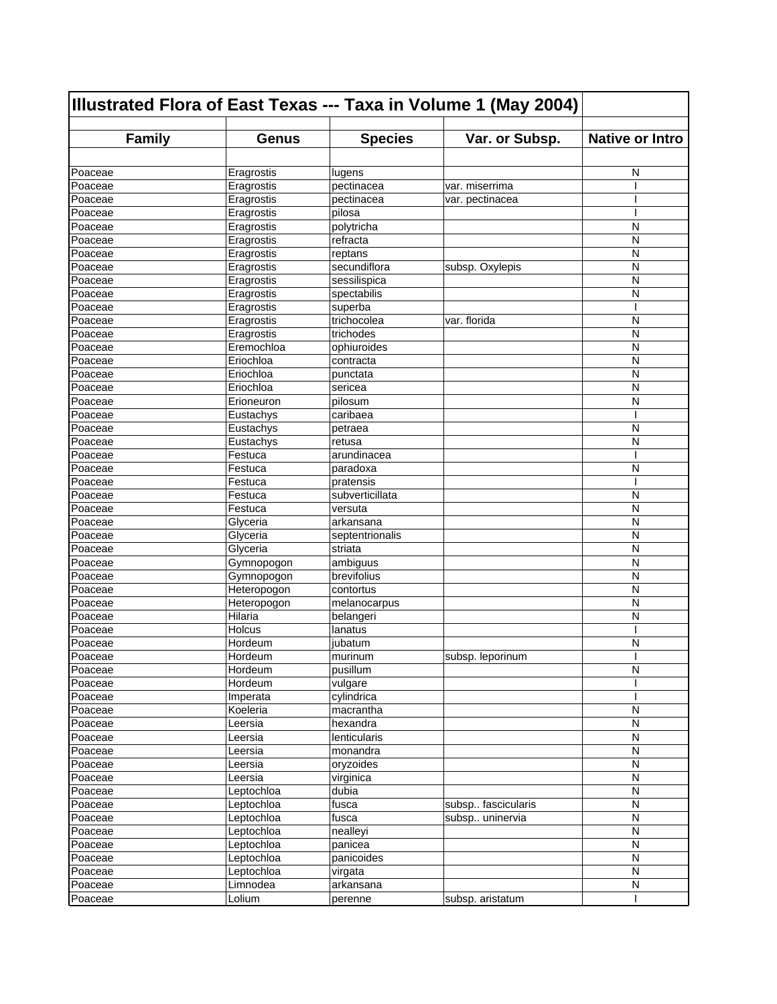| Illustrated Flora of East Texas --- Taxa in Volume 1 (May 2004) |              |                 |                    |                        |
|-----------------------------------------------------------------|--------------|-----------------|--------------------|------------------------|
| <b>Family</b>                                                   | <b>Genus</b> | <b>Species</b>  | Var. or Subsp.     | <b>Native or Intro</b> |
|                                                                 |              |                 |                    |                        |
| Poaceae                                                         | Eragrostis   | lugens          |                    | N                      |
| Poaceae                                                         | Eragrostis   | pectinacea      | var. miserrima     |                        |
| Poaceae                                                         | Eragrostis   | pectinacea      | var. pectinacea    |                        |
| Poaceae                                                         | Eragrostis   | pilosa          |                    | I                      |
| Poaceae                                                         | Eragrostis   | polytricha      |                    | N                      |
| Poaceae                                                         | Eragrostis   | refracta        |                    | N                      |
| Poaceae                                                         | Eragrostis   | reptans         |                    | N                      |
| Poaceae                                                         | Eragrostis   | secundiflora    | subsp. Oxylepis    | N                      |
| Poaceae                                                         | Eragrostis   | sessilispica    |                    | N                      |
| Poaceae                                                         | Eragrostis   | spectabilis     |                    | N                      |
| Poaceae                                                         | Eragrostis   | superba         |                    | ı                      |
| Poaceae                                                         | Eragrostis   | trichocolea     | var. florida       | N                      |
| Poaceae                                                         | Eragrostis   | trichodes       |                    | N                      |
| Poaceae                                                         | Eremochloa   | ophiuroides     |                    | N                      |
| Poaceae                                                         | Eriochloa    | contracta       |                    | N                      |
| Poaceae                                                         | Eriochloa    | punctata        |                    | N                      |
| Poaceae                                                         | Eriochloa    | sericea         |                    | N                      |
| Poaceae                                                         | Erioneuron   | pilosum         |                    | N                      |
| Poaceae                                                         | Eustachys    | caribaea        |                    | ı                      |
| Poaceae                                                         | Eustachys    | petraea         |                    | N                      |
| Poaceae                                                         | Eustachys    | retusa          |                    | N                      |
| Poaceae                                                         | Festuca      | arundinacea     |                    | ı                      |
| Poaceae                                                         | Festuca      | paradoxa        |                    | N                      |
| Poaceae                                                         | Festuca      | pratensis       |                    | ı                      |
| Poaceae                                                         | Festuca      | subverticillata |                    | N                      |
| Poaceae                                                         | Festuca      | versuta         |                    | N                      |
| Poaceae                                                         | Glyceria     | arkansana       |                    | N                      |
| Poaceae                                                         | Glyceria     | septentrionalis |                    | N                      |
| Poaceae                                                         | Glyceria     | striata         |                    | N                      |
| Poaceae                                                         | Gymnopogon   | ambiguus        |                    | N                      |
| Poaceae                                                         | Gymnopogon   | brevifolius     |                    | N                      |
| Poaceae                                                         | Heteropogon  | contortus       |                    | N                      |
| Poaceae                                                         | Heteropogon  | melanocarpus    |                    | N                      |
| Poaceae                                                         | Hilaria      | belangeri       |                    | N                      |
| Poaceae                                                         | Holcus       | lanatus         |                    | I                      |
| Poaceae                                                         | Hordeum      | jubatum         |                    | N                      |
| Poaceae                                                         | Hordeum      | murinum         | subsp. leporinum   |                        |
| Poaceae                                                         | Hordeum      | pusillum        |                    | ${\sf N}$              |
| Poaceae                                                         | Hordeum      | vulgare         |                    |                        |
| Poaceae                                                         | Imperata     | cylindrica      |                    |                        |
| Poaceae                                                         | Koeleria     | macrantha       |                    | $\mathsf{N}$           |
| Poaceae                                                         | Leersia      | hexandra        |                    | N                      |
| Poaceae                                                         | Leersia      | lenticularis    |                    | $\mathsf{N}$           |
| Poaceae                                                         | Leersia      | monandra        |                    | N                      |
| Poaceae                                                         | Leersia      | oryzoides       |                    | N                      |
| Poaceae                                                         | Leersia      | virginica       |                    | N                      |
| Poaceae                                                         | Leptochloa   | dubia           |                    | $\mathsf{N}$           |
| Poaceae                                                         | Leptochloa   | fusca           | subsp fascicularis | $\overline{N}$         |
| Poaceae                                                         | Leptochloa   | fusca           | subsp uninervia    | $\mathsf{N}$           |
| Poaceae                                                         | Leptochloa   | nealleyi        |                    | N                      |
| Poaceae                                                         | Leptochloa   | panicea         |                    | ${\sf N}$              |
| Poaceae                                                         | Leptochloa   | panicoides      |                    | ${\sf N}$              |
| Poaceae                                                         | Leptochloa   | virgata         |                    | N                      |
| Poaceae                                                         | Limnodea     | arkansana       |                    | ${\sf N}$              |
| Poaceae                                                         | Lolium       | perenne         | subsp. aristatum   |                        |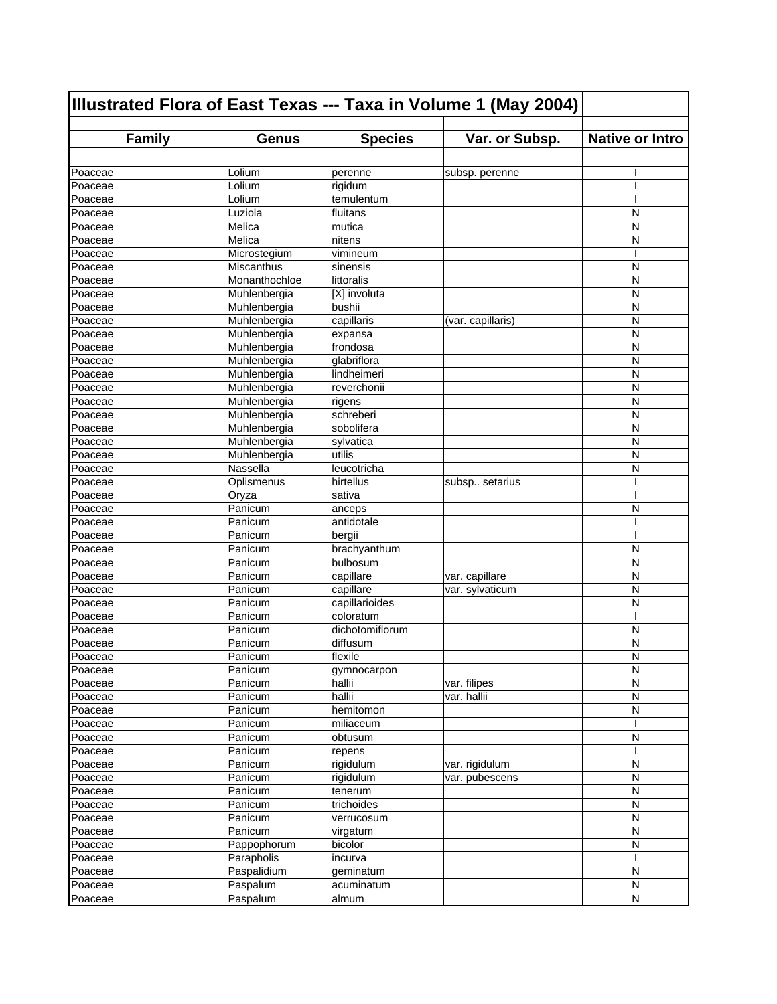| Illustrated Flora of East Texas --- Taxa in Volume 1 (May 2004) |                           |                         |                   |                        |
|-----------------------------------------------------------------|---------------------------|-------------------------|-------------------|------------------------|
| <b>Family</b>                                                   | <b>Genus</b>              | <b>Species</b>          | Var. or Subsp.    | <b>Native or Intro</b> |
|                                                                 |                           |                         |                   |                        |
| Poaceae                                                         | Lolium                    | perenne                 | subsp. perenne    |                        |
| Poaceae                                                         | Lolium                    | rigidum                 |                   |                        |
| Poaceae                                                         | Lolium                    | temulentum              |                   |                        |
| Poaceae                                                         | Luziola                   | fluitans                |                   | N                      |
| Poaceae                                                         | Melica                    | mutica                  |                   | N                      |
| Poaceae                                                         | Melica                    | nitens                  |                   | N                      |
| Poaceae                                                         | Microstegium              | vimineum                |                   | I                      |
| Poaceae                                                         | Miscanthus                | sinensis                |                   | N                      |
| Poaceae                                                         | Monanthochloe             | littoralis              |                   | N                      |
| Poaceae                                                         | Muhlenbergia              | [X] involuta            |                   | N                      |
| Poaceae                                                         | Muhlenbergia              | bushii                  |                   | N                      |
| Poaceae                                                         | Muhlenbergia              | capillaris              | (var. capillaris) | N                      |
| Poaceae                                                         | Muhlenbergia              | expansa                 |                   | N                      |
| Poaceae                                                         | Muhlenbergia              | frondosa                |                   | N                      |
| Poaceae                                                         | Muhlenbergia              | glabriflora             |                   | N                      |
| Poaceae                                                         | Muhlenbergia              | lindheimeri             |                   | N                      |
| Poaceae                                                         | Muhlenbergia              | reverchonii             |                   | N                      |
| Poaceae                                                         | Muhlenbergia              | rigens                  |                   | N                      |
| Poaceae                                                         | Muhlenbergia              | schreberi               |                   | N                      |
| Poaceae                                                         | Muhlenbergia              | sobolifera              |                   | N                      |
| Poaceae                                                         | Muhlenbergia              | sylvatica               |                   | N                      |
| Poaceae                                                         | Muhlenbergia              | utilis                  |                   | N                      |
| Poaceae                                                         | Nassella                  | leucotricha             |                   | N                      |
| Poaceae                                                         | Oplismenus                | hirtellus               | subsp setarius    | ı                      |
| Poaceae                                                         | Oryza                     | sativa                  |                   | I                      |
| Poaceae                                                         | Panicum                   | anceps                  |                   | N                      |
| Poaceae                                                         | Panicum                   | antidotale              |                   |                        |
| Poaceae                                                         | Panicum                   | bergii                  |                   | I                      |
| Poaceae                                                         | Panicum                   | brachyanthum            |                   | N                      |
| Poaceae                                                         | Panicum                   | bulbosum                |                   | N                      |
| Poaceae                                                         | Panicum                   | capillare               | var. capillare    | N                      |
| Poaceae                                                         | Panicum                   | capillare               | var. sylvaticum   | N                      |
| Poaceae                                                         | Panicum                   | capillarioides          |                   | N                      |
| Poaceae                                                         | Panicum                   | coloratum               |                   | ı                      |
| Poaceae                                                         | Panicum                   | dichotomiflorum         |                   | N                      |
| Poaceae                                                         | Panicum                   | diffusum                |                   | N                      |
| Poaceae                                                         | Panicum                   | flexile                 |                   | N                      |
| Poaceae                                                         | Panicum                   | gymnocarpon             |                   | ${\sf N}$              |
| Poaceae                                                         | Panicum                   | hallii                  | var. filipes      | N                      |
| Poaceae                                                         | Panicum                   | hallii                  | var. hallii       | N                      |
| Poaceae                                                         | Panicum                   | hemitomon               |                   | $\mathsf{N}$           |
| Poaceae                                                         | Panicum                   | miliaceum               |                   |                        |
| Poaceae                                                         | Panicum                   | obtusum                 |                   | N                      |
| Poaceae                                                         | Panicum                   | repens                  |                   |                        |
| Poaceae                                                         | Panicum                   | rigidulum               | var. rigidulum    | N                      |
| Poaceae                                                         | Panicum                   | rigidulum               | var. pubescens    | N                      |
| Poaceae                                                         | Panicum                   | tenerum                 |                   | N<br>N                 |
| Poaceae                                                         | Panicum                   | trichoides              |                   | $\mathsf{N}$           |
| Poaceae                                                         | Panicum                   | verrucosum              |                   |                        |
| Poaceae                                                         | Panicum                   | virgatum                |                   | N<br>$\mathsf{N}$      |
| Poaceae                                                         | Pappophorum<br>Parapholis | bicolor                 |                   | ı                      |
| Poaceae<br>Poaceae                                              | Paspalidium               | incurva                 |                   | N                      |
| Poaceae                                                         | Paspalum                  | geminatum<br>acuminatum |                   | ${\sf N}$              |
| Poaceae                                                         | Paspalum                  | almum                   |                   | ${\sf N}$              |
|                                                                 |                           |                         |                   |                        |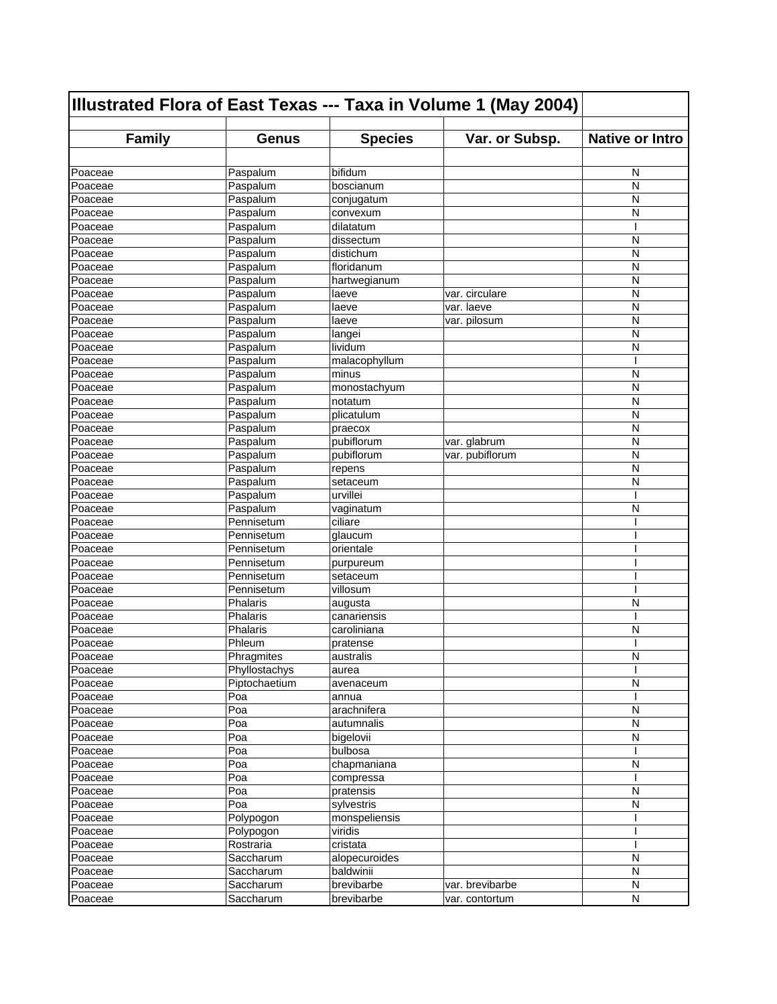| Illustrated Flora of East Texas --- Taxa in Volume 1 (May 2004) |               |                |                                 |                        |
|-----------------------------------------------------------------|---------------|----------------|---------------------------------|------------------------|
| <b>Family</b>                                                   | <b>Genus</b>  | <b>Species</b> | Var. or Subsp.                  | <b>Native or Intro</b> |
|                                                                 |               |                |                                 |                        |
| Poaceae                                                         | Paspalum      | bifidum        |                                 | N                      |
| Poaceae                                                         | Paspalum      | boscianum      |                                 | N                      |
| Poaceae                                                         | Paspalum      | conjugatum     |                                 | N                      |
| Poaceae                                                         | Paspalum      | convexum       |                                 | N                      |
| Poaceae                                                         | Paspalum      | dilatatum      |                                 | I                      |
| Poaceae                                                         | Paspalum      | dissectum      |                                 | N                      |
| Poaceae                                                         | Paspalum      | distichum      |                                 | N                      |
| Poaceae                                                         | Paspalum      | floridanum     |                                 | N                      |
| Poaceae                                                         | Paspalum      | hartwegianum   |                                 | N                      |
| Poaceae                                                         | Paspalum      | laeve          | var. circulare                  | N                      |
| Poaceae                                                         | Paspalum      | laeve          | $\overline{\text{var}}$ . laeve | N                      |
| Poaceae                                                         | Paspalum      | laeve          | var. pilosum                    | N                      |
| Poaceae                                                         | Paspalum      | langei         |                                 | N                      |
| Poaceae                                                         | Paspalum      | lividum        |                                 | N                      |
| Poaceae                                                         | Paspalum      | malacophyllum  |                                 |                        |
| Poaceae                                                         | Paspalum      | minus          |                                 | N                      |
| Poaceae                                                         | Paspalum      | monostachyum   |                                 | N                      |
| Poaceae                                                         | Paspalum      | notatum        |                                 | N                      |
| Poaceae                                                         | Paspalum      | plicatulum     |                                 | N                      |
| Poaceae                                                         | Paspalum      | praecox        |                                 | N                      |
| Poaceae                                                         | Paspalum      | pubiflorum     | var. glabrum                    | N                      |
| Poaceae                                                         | Paspalum      | pubiflorum     | var. pubiflorum                 | N                      |
| Poaceae                                                         | Paspalum      | repens         |                                 | N                      |
| Poaceae                                                         | Paspalum      | setaceum       |                                 | N                      |
| Poaceae                                                         | Paspalum      | urvillei       |                                 | ı                      |
| Poaceae                                                         | Paspalum      | vaginatum      |                                 | N                      |
| Poaceae                                                         | Pennisetum    | ciliare        |                                 |                        |
| Poaceae                                                         | Pennisetum    | glaucum        |                                 |                        |
| Poaceae                                                         | Pennisetum    | orientale      |                                 |                        |
| Poaceae                                                         | Pennisetum    | purpureum      |                                 |                        |
| Poaceae                                                         | Pennisetum    | setaceum       |                                 |                        |
| Poaceae                                                         | Pennisetum    | villosum       |                                 | ı                      |
| Poaceae                                                         | Phalaris      | augusta        |                                 | N                      |
| Poaceae                                                         | Phalaris      | canariensis    |                                 | ı                      |
| Poaceae                                                         | Phalaris      | caroliniana    |                                 | N                      |
| Poaceae                                                         | Phleum        | pratense       |                                 |                        |
| Poaceae                                                         | Phragmites    | australis      |                                 | N                      |
| Poaceae                                                         | Phyllostachys | aurea          |                                 | T                      |
| Poaceae                                                         | Piptochaetium | avenaceum      |                                 | N                      |
| Poaceae                                                         | Poa           | annua          |                                 |                        |
| Poaceae                                                         | Poa           | arachnifera    |                                 | N                      |
| Poaceae                                                         | Poa           | autumnalis     |                                 | N                      |
| Poaceae                                                         | Poa           | bigelovii      |                                 | $\mathsf{N}$           |
| Poaceae                                                         | Poa           | bulbosa        |                                 |                        |
| Poaceae                                                         | Poa           | chapmaniana    |                                 | N                      |
| Poaceae                                                         | Poa           | compressa      |                                 |                        |
| Poaceae                                                         | Poa           | pratensis      |                                 | $\mathsf{N}$           |
| Poaceae                                                         | Poa           | sylvestris     |                                 | N                      |
| Poaceae                                                         | Polypogon     | monspeliensis  |                                 |                        |
| Poaceae                                                         | Polypogon     | viridis        |                                 |                        |
| Poaceae                                                         | Rostraria     | cristata       |                                 |                        |
| Poaceae                                                         | Saccharum     | alopecuroides  |                                 | N                      |
| Poaceae                                                         | Saccharum     | baldwinii      |                                 | N                      |
| Poaceae                                                         | Saccharum     | brevibarbe     | var. brevibarbe                 | ${\sf N}$              |
| Poaceae                                                         | Saccharum     | brevibarbe     | var. contortum                  | N                      |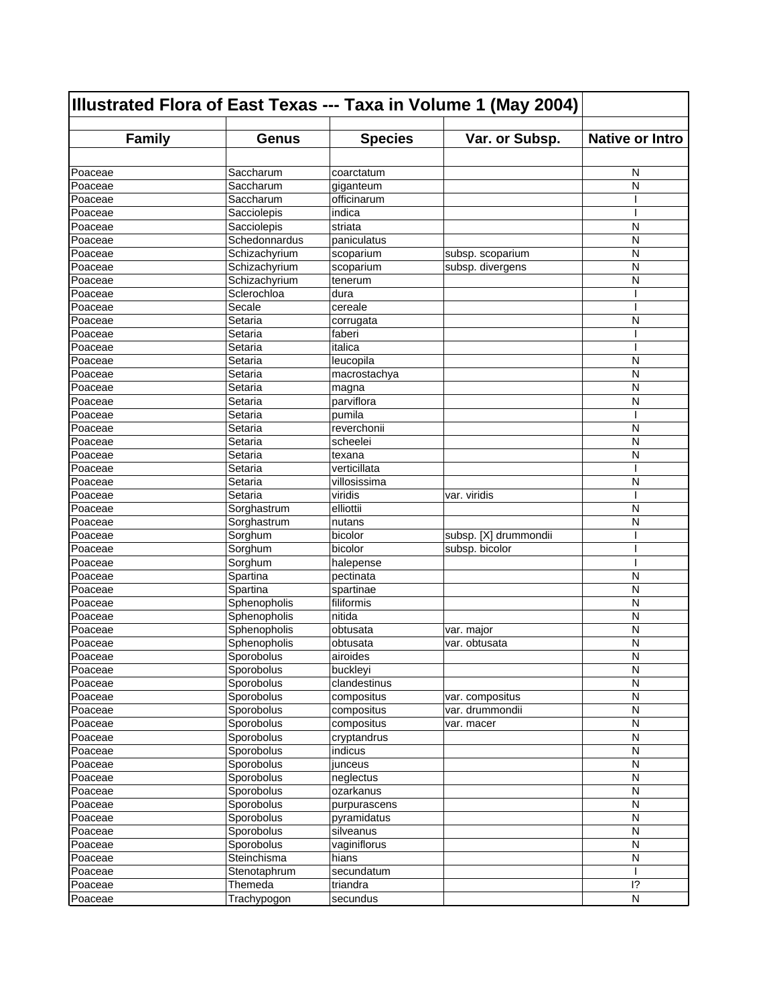| Illustrated Flora of East Texas --- Taxa in Volume 1 (May 2004) |               |                |                       |                        |
|-----------------------------------------------------------------|---------------|----------------|-----------------------|------------------------|
| <b>Family</b>                                                   | <b>Genus</b>  | <b>Species</b> | Var. or Subsp.        | <b>Native or Intro</b> |
|                                                                 |               |                |                       |                        |
| Poaceae                                                         | Saccharum     | coarctatum     |                       | N                      |
| Poaceae                                                         | Saccharum     | giganteum      |                       | N                      |
| Poaceae                                                         | Saccharum     | officinarum    |                       |                        |
| Poaceae                                                         | Sacciolepis   | indica         |                       |                        |
| Poaceae                                                         | Sacciolepis   | striata        |                       | N                      |
| Poaceae                                                         | Schedonnardus | paniculatus    |                       | N                      |
| Poaceae                                                         | Schizachyrium | scoparium      | subsp. scoparium      | N                      |
| Poaceae                                                         | Schizachyrium | scoparium      | subsp. divergens      | N                      |
| Poaceae                                                         | Schizachyrium | tenerum        |                       | N                      |
| Poaceae                                                         | Sclerochloa   | dura           |                       |                        |
| Poaceae                                                         | Secale        | cereale        |                       |                        |
| Poaceae                                                         | Setaria       | corrugata      |                       | N                      |
| Poaceae                                                         | Setaria       | faberi         |                       | I                      |
| Poaceae                                                         | Setaria       | italica        |                       | ı                      |
| Poaceae                                                         | Setaria       | leucopila      |                       | N                      |
| Poaceae                                                         | Setaria       | macrostachya   |                       | N                      |
| Poaceae                                                         | Setaria       | magna          |                       | N                      |
| Poaceae                                                         | Setaria       | parviflora     |                       | N                      |
| Poaceae                                                         | Setaria       | pumila         |                       | ı                      |
| Poaceae                                                         | Setaria       | reverchonii    |                       | N                      |
| Poaceae                                                         | Setaria       | scheelei       |                       | N                      |
| Poaceae                                                         | Setaria       | texana         |                       | N                      |
| Poaceae                                                         | Setaria       | verticillata   |                       |                        |
| Poaceae                                                         | Setaria       | villosissima   |                       | N                      |
| Poaceae                                                         | Setaria       | viridis        | var. viridis          | ı                      |
| Poaceae                                                         | Sorghastrum   | elliottii      |                       | N                      |
| Poaceae                                                         | Sorghastrum   | nutans         |                       | N                      |
| Poaceae                                                         | Sorghum       | bicolor        | subsp. [X] drummondii |                        |
| Poaceae                                                         | Sorghum       | bicolor        | subsp. bicolor        |                        |
| Poaceae                                                         | Sorghum       | halepense      |                       |                        |
| Poaceae                                                         | Spartina      | pectinata      |                       | N                      |
| Poaceae                                                         | Spartina      | spartinae      |                       | N                      |
| Poaceae                                                         | Sphenopholis  | filiformis     |                       | N                      |
| Poaceae                                                         | Sphenopholis  | nitida         |                       | N                      |
| Poaceae                                                         | Sphenopholis  | obtusata       | var. major            | N                      |
| Poaceae                                                         | Sphenopholis  | obtusata       | var. obtusata         | N                      |
| Poaceae                                                         | Sporobolus    | airoides       |                       | N                      |
| Poaceae                                                         | Sporobolus    | buckleyi       |                       | N                      |
| Poaceae                                                         | Sporobolus    | clandestinus   |                       | N                      |
| Poaceae                                                         | Sporobolus    | compositus     | var. compositus       | N                      |
| Poaceae                                                         | Sporobolus    | compositus     | var. drummondii       | $\mathsf{N}$           |
| Poaceae                                                         | Sporobolus    | compositus     | var. macer            | N                      |
| Poaceae                                                         | Sporobolus    | cryptandrus    |                       | $\mathsf{N}$           |
| Poaceae                                                         | Sporobolus    | indicus        |                       | N                      |
| Poaceae                                                         | Sporobolus    | junceus        |                       | N                      |
| Poaceae                                                         | Sporobolus    | neglectus      |                       | N                      |
| Poaceae                                                         | Sporobolus    | ozarkanus      |                       | N                      |
| Poaceae                                                         | Sporobolus    | purpurascens   |                       | N                      |
| Poaceae                                                         | Sporobolus    | pyramidatus    |                       | N                      |
| Poaceae                                                         | Sporobolus    | silveanus      |                       | N                      |
| Poaceae                                                         | Sporobolus    | vaginiflorus   |                       | N                      |
| Poaceae                                                         | Steinchisma   | hians          |                       | N                      |
| Poaceae                                                         | Stenotaphrum  | secundatum     |                       |                        |
| Poaceae                                                         | Themeda       | triandra       |                       | $\overline{1}$ ?       |
| Poaceae                                                         | Trachypogon   | secundus       |                       | N                      |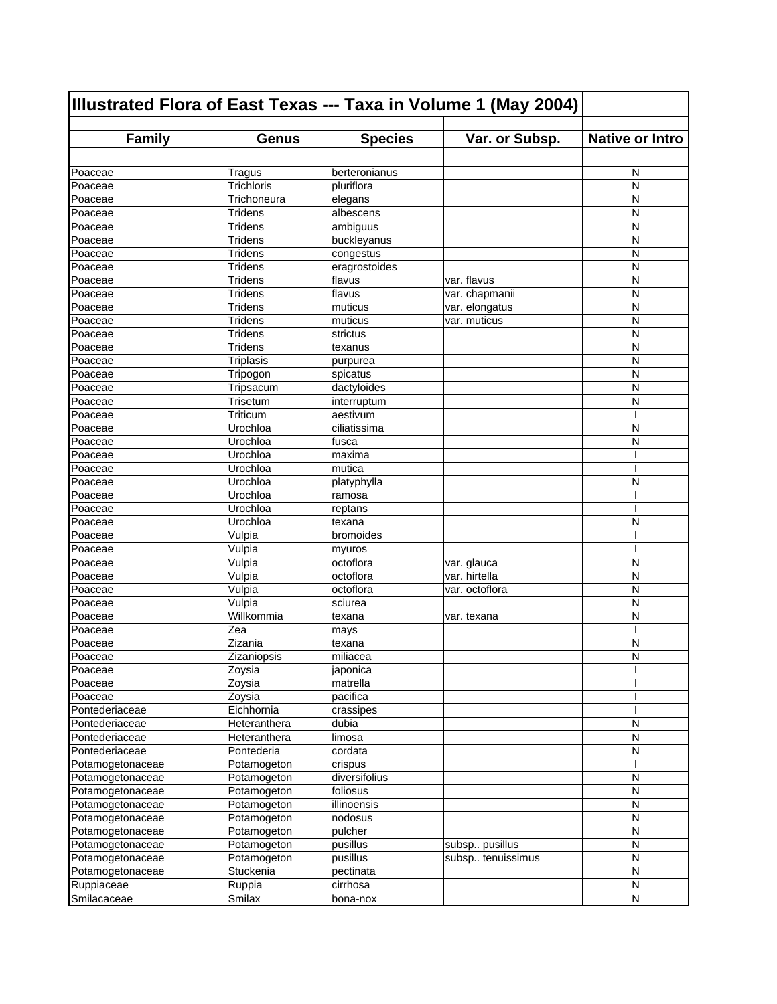| Illustrated Flora of East Texas --- Taxa in Volume 1 (May 2004) |                            |                   |                   |                        |
|-----------------------------------------------------------------|----------------------------|-------------------|-------------------|------------------------|
| <b>Family</b>                                                   | <b>Genus</b>               | <b>Species</b>    | Var. or Subsp.    | <b>Native or Intro</b> |
|                                                                 |                            |                   |                   |                        |
| Poaceae                                                         | Tragus                     | berteronianus     |                   | N                      |
| Poaceae                                                         | <b>Trichloris</b>          | pluriflora        |                   | N                      |
| Poaceae                                                         | Trichoneura                | elegans           |                   | N                      |
| Poaceae                                                         | <b>Tridens</b>             | albescens         |                   | N                      |
| Poaceae                                                         | Tridens                    | ambiguus          |                   | N                      |
| Poaceae                                                         | Tridens                    | buckleyanus       |                   | N                      |
| Poaceae                                                         | <b>Tridens</b>             | congestus         |                   | N                      |
| Poaceae                                                         | <b>Tridens</b>             | eragrostoides     |                   | N                      |
| Poaceae                                                         | <b>Tridens</b>             | flavus            | var. flavus       | N                      |
| Poaceae                                                         | <b>Tridens</b>             | flavus            | var. chapmanii    | N                      |
| Poaceae                                                         | <b>Tridens</b>             | muticus           | var. elongatus    | N                      |
| Poaceae                                                         | <b>Tridens</b>             | muticus           | var. muticus      | N                      |
| Poaceae                                                         | <b>Tridens</b>             | strictus          |                   | N                      |
| Poaceae                                                         | Tridens                    | texanus           |                   | N                      |
| Poaceae                                                         | <b>Triplasis</b>           | purpurea          |                   | N                      |
| Poaceae                                                         | Tripogon                   | spicatus          |                   | N                      |
| Poaceae                                                         | Tripsacum                  | dactyloides       |                   | N                      |
| Poaceae                                                         | Trisetum                   | interruptum       |                   | N                      |
| Poaceae                                                         | Triticum                   | aestivum          |                   | ı                      |
| Poaceae                                                         | Urochloa                   | ciliatissima      |                   | N                      |
| Poaceae                                                         | Urochloa                   | fusca             |                   | N                      |
| Poaceae                                                         | Urochloa                   | maxima            |                   | ı                      |
| Poaceae                                                         | Urochloa                   | mutica            |                   | ı                      |
| Poaceae                                                         | Urochloa                   | platyphylla       |                   | N                      |
| Poaceae                                                         | Urochloa                   | ramosa            |                   | ı                      |
| Poaceae                                                         | Urochloa                   | reptans           |                   | I                      |
| Poaceae                                                         | Urochloa                   | texana            |                   | N                      |
| Poaceae                                                         | Vulpia                     | bromoides         |                   |                        |
| Poaceae                                                         | Vulpia                     | myuros            |                   |                        |
| Poaceae                                                         | Vulpia                     | octoflora         | var. glauca       | N                      |
| Poaceae                                                         | Vulpia                     | octoflora         | var. hirtella     | N                      |
| Poaceae                                                         | Vulpia                     | octoflora         | var. octoflora    | N                      |
| Poaceae                                                         | Vulpia                     | sciurea           |                   | N                      |
| Poaceae                                                         | Willkommia                 | texana            | var. texana       | N                      |
| Poaceae                                                         | Zea                        | mays              |                   | I                      |
| Poaceae                                                         | Zizania                    | texana            |                   | N                      |
| Poaceae                                                         | Zizaniopsis                | miliacea          |                   | N                      |
| Poaceae                                                         | Zoysia                     | japonica          |                   | ı                      |
| Poaceae                                                         | Zoysia                     | matrella          |                   |                        |
| Poaceae                                                         | Zoysia                     | pacifica          |                   |                        |
| Pontederiaceae                                                  | Eichhornia<br>Heteranthera | crassipes         |                   | N                      |
| Pontederiaceae                                                  | Heteranthera               | dubia             |                   |                        |
| Pontederiaceae<br>Pontederiaceae                                | Pontederia                 | limosa<br>cordata |                   | N<br>N                 |
| Potamogetonaceae                                                | Potamogeton                | crispus           |                   |                        |
| Potamogetonaceae                                                |                            | diversifolius     |                   |                        |
|                                                                 | Potamogeton                | foliosus          |                   | N                      |
| Potamogetonaceae<br>Potamogetonaceae                            | Potamogeton<br>Potamogeton | illinoensis       |                   | N<br>N                 |
| Potamogetonaceae                                                | Potamogeton                | nodosus           |                   | N                      |
| Potamogetonaceae                                                | Potamogeton                | pulcher           |                   | N                      |
| Potamogetonaceae                                                | Potamogeton                | pusillus          | subsp pusillus    | ${\sf N}$              |
| Potamogetonaceae                                                | Potamogeton                | pusillus          | subsp tenuissimus | ${\sf N}$              |
| Potamogetonaceae                                                | Stuckenia                  | pectinata         |                   | N                      |
| Ruppiaceae                                                      | Ruppia                     | cirrhosa          |                   | N                      |
| Smilacaceae                                                     | Smilax                     | bona-nox          |                   | N                      |